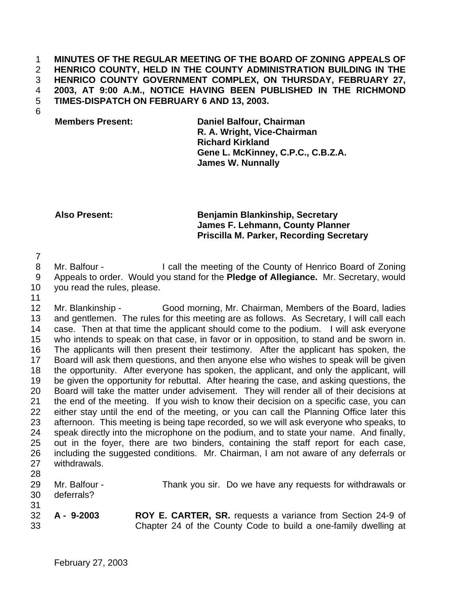### **MINUTES OF THE REGULAR MEETING OF THE BOARD OF ZONING APPEALS OF HENRICO COUNTY, HELD IN THE COUNTY ADMINISTRATION BUILDING IN THE HENRICO COUNTY GOVERNMENT COMPLEX, ON THURSDAY, FEBRUARY 27, 2003, AT 9:00 A.M., NOTICE HAVING BEEN PUBLISHED IN THE RICHMOND TIMES-DISPATCH ON FEBRUARY 6 AND 13, 2003.**

# **Members Present: Daniel Balfour, Chairman R. A. Wright, Vice-Chairman Richard Kirkland Gene L. McKinney, C.P.C., C.B.Z.A. James W. Nunnally**

# **Also Present: Benjamin Blankinship, Secretary James F. Lehmann, County Planner Priscilla M. Parker, Recording Secretary**

8 Mr. Balfour - I call the meeting of the County of Henrico Board of Zoning Appeals to order. Would you stand for the **Pledge of Allegiance.** Mr. Secretary, would you read the rules, please.

 Mr. Blankinship - Good morning, Mr. Chairman, Members of the Board, ladies and gentlemen. The rules for this meeting are as follows. As Secretary, I will call each case. Then at that time the applicant should come to the podium. I will ask everyone who intends to speak on that case, in favor or in opposition, to stand and be sworn in. The applicants will then present their testimony. After the applicant has spoken, the Board will ask them questions, and then anyone else who wishes to speak will be given the opportunity. After everyone has spoken, the applicant, and only the applicant, will be given the opportunity for rebuttal. After hearing the case, and asking questions, the Board will take the matter under advisement. They will render all of their decisions at the end of the meeting. If you wish to know their decision on a specific case, you can either stay until the end of the meeting, or you can call the Planning Office later this afternoon. This meeting is being tape recorded, so we will ask everyone who speaks, to speak directly into the microphone on the podium, and to state your name. And finally, out in the foyer, there are two binders, containing the staff report for each case, including the suggested conditions. Mr. Chairman, I am not aware of any deferrals or withdrawals. Mr. Balfour - Thank you sir. Do we have any requests for withdrawals or

 deferrals? **A - 9-2003 ROY E. CARTER, SR.** requests a variance from Section 24-9 of Chapter 24 of the County Code to build a one-family dwelling at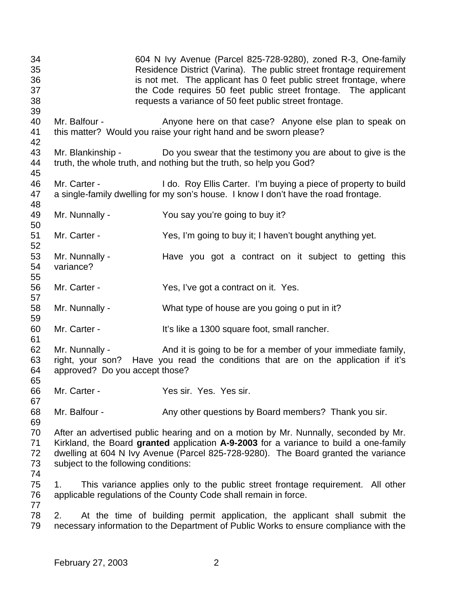| 34<br>35<br>36<br>37<br>38<br>39 |                                                  | 604 N Ivy Avenue (Parcel 825-728-9280), zoned R-3, One-family<br>Residence District (Varina). The public street frontage requirement<br>is not met. The applicant has 0 feet public street frontage, where<br>the Code requires 50 feet public street frontage. The applicant<br>requests a variance of 50 feet public street frontage. |
|----------------------------------|--------------------------------------------------|-----------------------------------------------------------------------------------------------------------------------------------------------------------------------------------------------------------------------------------------------------------------------------------------------------------------------------------------|
| 40<br>41<br>42                   | Mr. Balfour -                                    | Anyone here on that case? Anyone else plan to speak on<br>this matter? Would you raise your right hand and be sworn please?                                                                                                                                                                                                             |
| 43<br>44<br>45                   | Mr. Blankinship -                                | Do you swear that the testimony you are about to give is the<br>truth, the whole truth, and nothing but the truth, so help you God?                                                                                                                                                                                                     |
| 46<br>47<br>48                   | Mr. Carter -                                     | I do. Roy Ellis Carter. I'm buying a piece of property to build<br>a single-family dwelling for my son's house. I know I don't have the road frontage.                                                                                                                                                                                  |
| 49                               | Mr. Nunnally -                                   | You say you're going to buy it?                                                                                                                                                                                                                                                                                                         |
| 50<br>51<br>52                   | Mr. Carter -                                     | Yes, I'm going to buy it; I haven't bought anything yet.                                                                                                                                                                                                                                                                                |
| 53<br>54<br>55                   | Mr. Nunnally -<br>variance?                      | Have you got a contract on it subject to getting this                                                                                                                                                                                                                                                                                   |
| 56<br>57                         | Mr. Carter -                                     | Yes, I've got a contract on it. Yes.                                                                                                                                                                                                                                                                                                    |
| 58<br>59                         | Mr. Nunnally -                                   | What type of house are you going o put in it?                                                                                                                                                                                                                                                                                           |
| 60<br>61                         | Mr. Carter -                                     | It's like a 1300 square foot, small rancher.                                                                                                                                                                                                                                                                                            |
| 62<br>63<br>64<br>65             | Mr. Nunnally -<br>approved? Do you accept those? | And it is going to be for a member of your immediate family,<br>right, your son? Have you read the conditions that are on the application if it's                                                                                                                                                                                       |
| 66<br>67                         | Mr. Carter -                                     | Yes sir. Yes. Yes sir.                                                                                                                                                                                                                                                                                                                  |
| 68<br>69                         | Mr. Balfour -                                    | Any other questions by Board members? Thank you sir.                                                                                                                                                                                                                                                                                    |
| 70<br>71<br>72<br>73<br>74       | subject to the following conditions:             | After an advertised public hearing and on a motion by Mr. Nunnally, seconded by Mr.<br>Kirkland, the Board granted application A-9-2003 for a variance to build a one-family<br>dwelling at 604 N Ivy Avenue (Parcel 825-728-9280). The Board granted the variance                                                                      |
| 75<br>76<br>77                   | 1.                                               | This variance applies only to the public street frontage requirement. All other<br>applicable regulations of the County Code shall remain in force.                                                                                                                                                                                     |
| 78<br>79                         | 2.                                               | At the time of building permit application, the applicant shall submit the<br>necessary information to the Department of Public Works to ensure compliance with the                                                                                                                                                                     |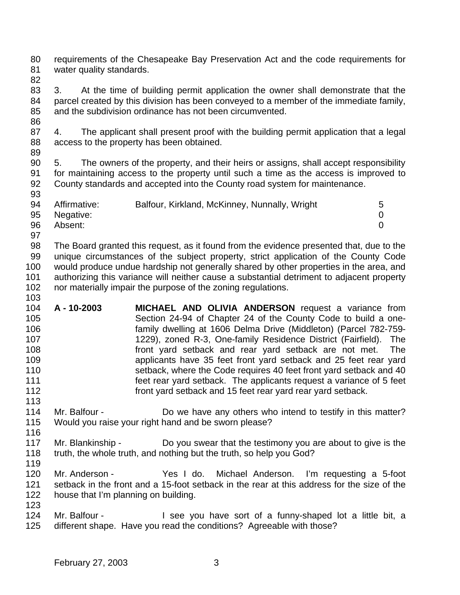requirements of the Chesapeake Bay Preservation Act and the code requirements for water quality standards.

 3. At the time of building permit application the owner shall demonstrate that the parcel created by this division has been conveyed to a member of the immediate family, and the subdivision ordinance has not been circumvented.

 4. The applicant shall present proof with the building permit application that a legal access to the property has been obtained.

 5. The owners of the property, and their heirs or assigns, shall accept responsibility for maintaining access to the property until such a time as the access is improved to County standards and accepted into the County road system for maintenance. 

| 94 | Affirmative: | Balfour, Kirkland, McKinney, Nunnally, Wright | 5 |
|----|--------------|-----------------------------------------------|---|
|    |              |                                               |   |
| 95 | Negative:    |                                               |   |
| 96 | Absent:      |                                               |   |
| 97 |              |                                               |   |

 The Board granted this request, as it found from the evidence presented that, due to the unique circumstances of the subject property, strict application of the County Code would produce undue hardship not generally shared by other properties in the area, and authorizing this variance will neither cause a substantial detriment to adjacent property nor materially impair the purpose of the zoning regulations. 

- **A 10-2003 MICHAEL AND OLIVIA ANDERSON** request a variance from Section 24-94 of Chapter 24 of the County Code to build a one- family dwelling at 1606 Delma Drive (Middleton) (Parcel 782-759- 1229), zoned R-3, One-family Residence District (Fairfield). The front yard setback and rear yard setback are not met. The applicants have 35 feet front yard setback and 25 feet rear yard setback, where the Code requires 40 feet front yard setback and 40 feet rear yard setback. The applicants request a variance of 5 feet front yard setback and 15 feet rear yard rear yard setback.
- Mr. Balfour - Do we have any others who intend to testify in this matter? Would you raise your right hand and be sworn please?
- 117 Mr. Blankinship Do you swear that the testimony you are about to give is the 118 truth, the whole truth, and nothing but the truth, so help you God?
- Mr. Anderson - Yes I do. Michael Anderson. I'm requesting a 5-foot setback in the front and a 15-foot setback in the rear at this address for the size of the house that I'm planning on building.
- 124 Mr. Balfour I see you have sort of a funny-shaped lot a little bit, a different shape. Have you read the conditions? Agreeable with those?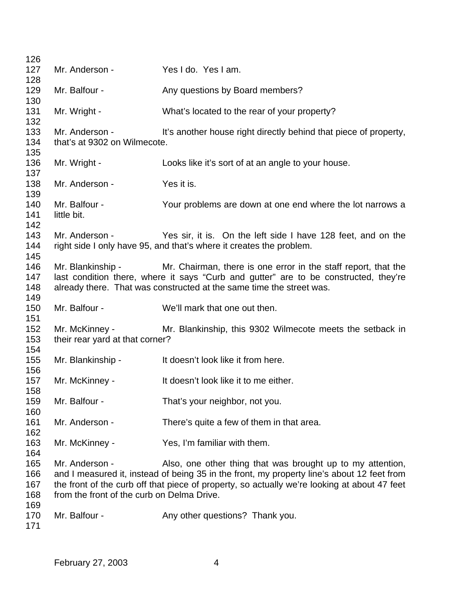| 126        |                                            |                                                                                              |  |  |
|------------|--------------------------------------------|----------------------------------------------------------------------------------------------|--|--|
| 127        | Mr. Anderson -                             | Yes I do. Yes I am.                                                                          |  |  |
| 128        |                                            |                                                                                              |  |  |
| 129        | Mr. Balfour -                              | Any questions by Board members?                                                              |  |  |
| 130        |                                            |                                                                                              |  |  |
| 131        | Mr. Wright -                               | What's located to the rear of your property?                                                 |  |  |
| 132        |                                            |                                                                                              |  |  |
| 133        | Mr. Anderson -                             | It's another house right directly behind that piece of property,                             |  |  |
| 134        | that's at 9302 on Wilmecote.               |                                                                                              |  |  |
| 135<br>136 |                                            |                                                                                              |  |  |
| 137        | Mr. Wright -                               | Looks like it's sort of at an angle to your house.                                           |  |  |
| 138        | Mr. Anderson -                             | Yes it is.                                                                                   |  |  |
| 139        |                                            |                                                                                              |  |  |
| 140        | Mr. Balfour -                              | Your problems are down at one end where the lot narrows a                                    |  |  |
| 141        | little bit.                                |                                                                                              |  |  |
| 142        |                                            |                                                                                              |  |  |
| 143        | Mr. Anderson -                             | Yes sir, it is. On the left side I have 128 feet, and on the                                 |  |  |
| 144        |                                            | right side I only have 95, and that's where it creates the problem.                          |  |  |
| 145        |                                            |                                                                                              |  |  |
| 146        | Mr. Blankinship -                          | Mr. Chairman, there is one error in the staff report, that the                               |  |  |
| 147        |                                            | last condition there, where it says "Curb and gutter" are to be constructed, they're         |  |  |
| 148        |                                            | already there. That was constructed at the same time the street was.                         |  |  |
| 149        |                                            |                                                                                              |  |  |
| 150        | Mr. Balfour -                              | We'll mark that one out then.                                                                |  |  |
| 151        |                                            |                                                                                              |  |  |
| 152        | Mr. McKinney -                             | Mr. Blankinship, this 9302 Wilmecote meets the setback in                                    |  |  |
| 153<br>154 | their rear yard at that corner?            |                                                                                              |  |  |
| 155        | Mr. Blankinship -                          | It doesn't look like it from here.                                                           |  |  |
| 156        |                                            |                                                                                              |  |  |
| 157        | Mr. McKinney -                             | It doesn't look like it to me either.                                                        |  |  |
| 158        |                                            |                                                                                              |  |  |
| 159        | Mr. Balfour -                              | That's your neighbor, not you.                                                               |  |  |
| 160        |                                            |                                                                                              |  |  |
| 161        | Mr. Anderson -                             | There's quite a few of them in that area.                                                    |  |  |
| 162        |                                            |                                                                                              |  |  |
| 163        | Mr. McKinney -                             | Yes, I'm familiar with them.                                                                 |  |  |
| 164        |                                            |                                                                                              |  |  |
| 165        | Mr. Anderson -                             | Also, one other thing that was brought up to my attention,                                   |  |  |
| 166        |                                            | and I measured it, instead of being 35 in the front, my property line's about 12 feet from   |  |  |
| 167        |                                            | the front of the curb off that piece of property, so actually we're looking at about 47 feet |  |  |
| 168        | from the front of the curb on Delma Drive. |                                                                                              |  |  |
| 169        |                                            |                                                                                              |  |  |
| 170        | Mr. Balfour -                              | Any other questions? Thank you.                                                              |  |  |
| 171        |                                            |                                                                                              |  |  |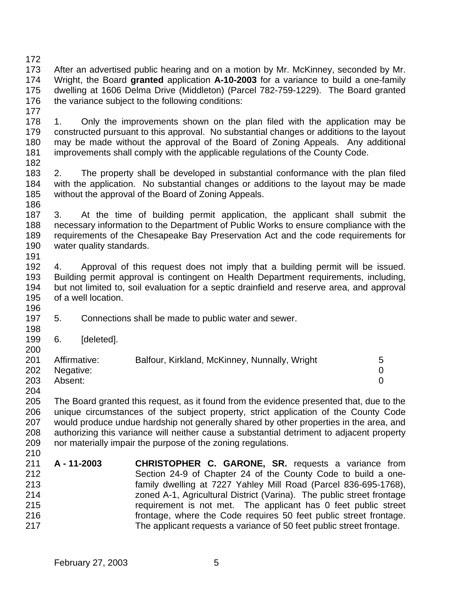After an advertised public hearing and on a motion by Mr. McKinney, seconded by Mr. Wright, the Board **granted** application **A-10-2003** for a variance to build a one-family dwelling at 1606 Delma Drive (Middleton) (Parcel 782-759-1229). The Board granted 176 the variance subject to the following conditions:

 1. Only the improvements shown on the plan filed with the application may be constructed pursuant to this approval. No substantial changes or additions to the layout may be made without the approval of the Board of Zoning Appeals. Any additional improvements shall comply with the applicable regulations of the County Code.

 2. The property shall be developed in substantial conformance with the plan filed with the application. No substantial changes or additions to the layout may be made without the approval of the Board of Zoning Appeals.

 3. At the time of building permit application, the applicant shall submit the necessary information to the Department of Public Works to ensure compliance with the requirements of the Chesapeake Bay Preservation Act and the code requirements for water quality standards. 

 4. Approval of this request does not imply that a building permit will be issued. Building permit approval is contingent on Health Department requirements, including, but not limited to, soil evaluation for a septic drainfield and reserve area, and approval of a well location. 

- 5. Connections shall be made to public water and sewer.
- 6. [deleted].

| 201 | Affirmative: | Balfour, Kirkland, McKinney, Nunnally, Wright | 5 |
|-----|--------------|-----------------------------------------------|---|
| 202 | Negative:    |                                               |   |
| 203 | Absent:      |                                               |   |
|     |              |                                               |   |

 The Board granted this request, as it found from the evidence presented that, due to the unique circumstances of the subject property, strict application of the County Code would produce undue hardship not generally shared by other properties in the area, and authorizing this variance will neither cause a substantial detriment to adjacent property nor materially impair the purpose of the zoning regulations.

 **A - 11-2003 CHRISTOPHER C. GARONE, SR.** requests a variance from Section 24-9 of Chapter 24 of the County Code to build a one- family dwelling at 7227 Yahley Mill Road (Parcel 836-695-1768), zoned A-1, Agricultural District (Varina). The public street frontage requirement is not met. The applicant has 0 feet public street frontage, where the Code requires 50 feet public street frontage. The applicant requests a variance of 50 feet public street frontage.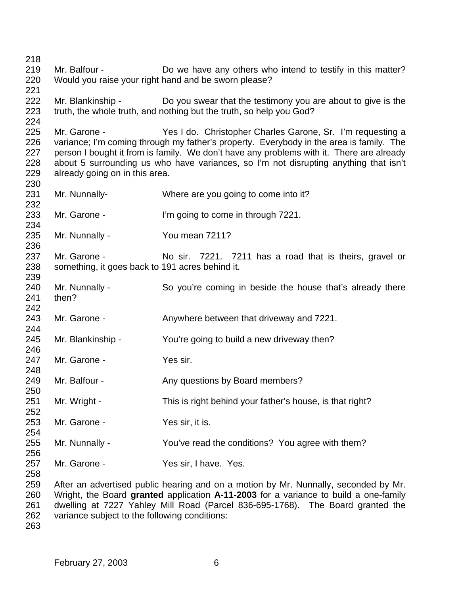Mr. Balfour - Do we have any others who intend to testify in this matter? Would you raise your right hand and be sworn please? 222 Mr. Blankinship - Do you swear that the testimony you are about to give is the truth, the whole truth, and nothing but the truth, so help you God? Mr. Garone - Yes I do. Christopher Charles Garone, Sr. I'm requesting a variance; I'm coming through my father's property. Everybody in the area is family. The person I bought it from is family. We don't have any problems with it. There are already about 5 surrounding us who have variances, so I'm not disrupting anything that isn't already going on in this area. Mr. Nunnally- Where are you going to come into it? Mr. Garone - I'm going to come in through 7221. Mr. Nunnally - You mean 7211? 237 Mr. Garone - No sir. 7221. 7211 has a road that is theirs, gravel or something, it goes back to 191 acres behind it. Mr. Nunnally - So you're coming in beside the house that's already there then? 243 Mr. Garone - Anywhere between that driveway and 7221. Mr. Blankinship - You're going to build a new driveway then? 247 Mr. Garone - Yes sir. 249 Mr. Balfour - Any questions by Board members? Mr. Wright - This is right behind your father's house, is that right? 253 Mr. Garone - Yes sir, it is. Mr. Nunnally - You've read the conditions? You agree with them? 257 Mr. Garone - Yes sir, I have. Yes. After an advertised public hearing and on a motion by Mr. Nunnally, seconded by Mr. Wright, the Board **granted** application **A-11-2003** for a variance to build a one-family dwelling at 7227 Yahley Mill Road (Parcel 836-695-1768). The Board granted the

variance subject to the following conditions: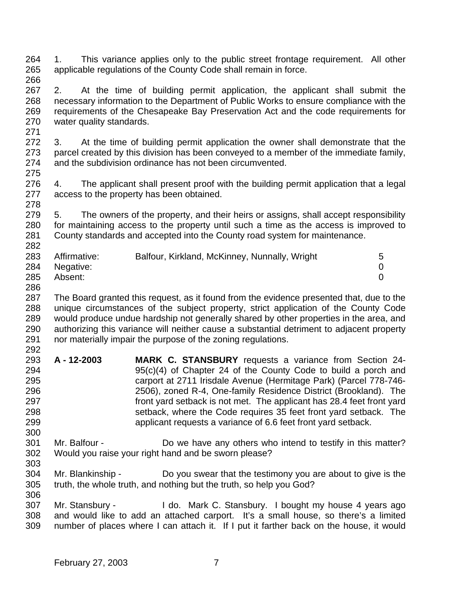- 1. This variance applies only to the public street frontage requirement. All other applicable regulations of the County Code shall remain in force.
- 2. At the time of building permit application, the applicant shall submit the necessary information to the Department of Public Works to ensure compliance with the requirements of the Chesapeake Bay Preservation Act and the code requirements for water quality standards.
- 3. At the time of building permit application the owner shall demonstrate that the parcel created by this division has been conveyed to a member of the immediate family, and the subdivision ordinance has not been circumvented.
- 4. The applicant shall present proof with the building permit application that a legal access to the property has been obtained.
- 5. The owners of the property, and their heirs or assigns, shall accept responsibility for maintaining access to the property until such a time as the access is improved to County standards and accepted into the County road system for maintenance.
- 283 Affirmative: Balfour, Kirkland, McKinney, Nunnally, Wright 5 Negative: 0 Absent: 0
- 

 The Board granted this request, as it found from the evidence presented that, due to the unique circumstances of the subject property, strict application of the County Code would produce undue hardship not generally shared by other properties in the area, and authorizing this variance will neither cause a substantial detriment to adjacent property nor materially impair the purpose of the zoning regulations. 

- **A 12-2003 MARK C. STANSBURY** requests a variance from Section 24- 95(c)(4) of Chapter 24 of the County Code to build a porch and carport at 2711 Irisdale Avenue (Hermitage Park) (Parcel 778-746- 2506), zoned R-4, One-family Residence District (Brookland). The front yard setback is not met. The applicant has 28.4 feet front yard setback, where the Code requires 35 feet front yard setback. The applicant requests a variance of 6.6 feet front yard setback.
- Mr. Balfour Do we have any others who intend to testify in this matter? Would you raise your right hand and be sworn please?
- Mr. Blankinship Do you swear that the testimony you are about to give is the truth, the whole truth, and nothing but the truth, so help you God?
- Mr. Stansbury I do. Mark C. Stansbury. I bought my house 4 years ago and would like to add an attached carport. It's a small house, so there's a limited number of places where I can attach it. If I put it farther back on the house, it would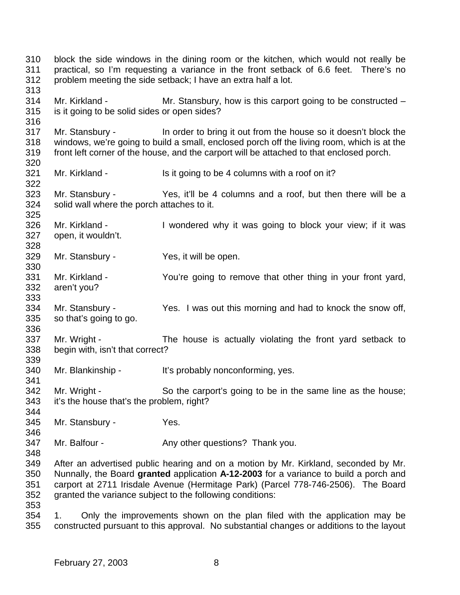block the side windows in the dining room or the kitchen, which would not really be practical, so I'm requesting a variance in the front setback of 6.6 feet. There's no problem meeting the side setback; I have an extra half a lot. Mr. Kirkland - Mr. Stansbury, how is this carport going to be constructed – is it going to be solid sides or open sides? Mr. Stansbury - In order to bring it out from the house so it doesn't block the windows, we're going to build a small, enclosed porch off the living room, which is at the front left corner of the house, and the carport will be attached to that enclosed porch. 321 Mr. Kirkland - Is it going to be 4 columns with a roof on it? Mr. Stansbury - Yes, it'll be 4 columns and a roof, but then there will be a solid wall where the porch attaches to it. 326 Mr. Kirkland - I wondered why it was going to block your view; if it was open, it wouldn't. Mr. Stansbury - Yes, it will be open. Mr. Kirkland - You're going to remove that other thing in your front yard, aren't you? Mr. Stansbury - Yes. I was out this morning and had to knock the snow off, so that's going to go. Mr. Wright - The house is actually violating the front yard setback to begin with, isn't that correct? 340 Mr. Blankinship - It's probably nonconforming, yes. Mr. Wright - So the carport's going to be in the same line as the house; it's the house that's the problem, right? Mr. Stansbury - Yes. 347 Mr. Balfour - Any other questions? Thank you. After an advertised public hearing and on a motion by Mr. Kirkland, seconded by Mr. Nunnally, the Board **granted** application **A-12-2003** for a variance to build a porch and carport at 2711 Irisdale Avenue (Hermitage Park) (Parcel 778-746-2506). The Board granted the variance subject to the following conditions: 1. Only the improvements shown on the plan filed with the application may be constructed pursuant to this approval. No substantial changes or additions to the layout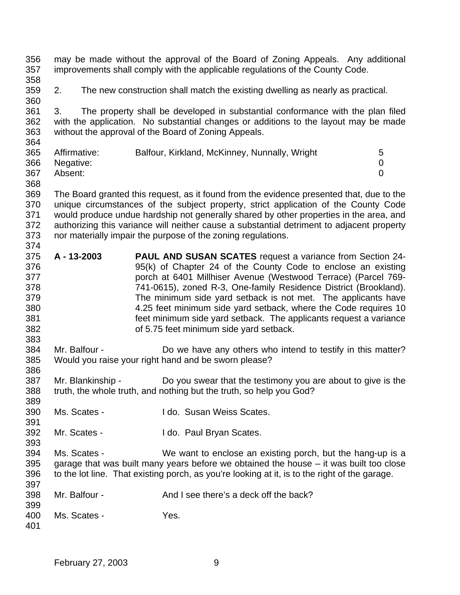may be made without the approval of the Board of Zoning Appeals. Any additional improvements shall comply with the applicable regulations of the County Code. 

2. The new construction shall match the existing dwelling as nearly as practical.

 3. The property shall be developed in substantial conformance with the plan filed with the application. No substantial changes or additions to the layout may be made without the approval of the Board of Zoning Appeals. 

| 365 | Affirmative:  | Balfour, Kirkland, McKinney, Nunnally, Wright |  |
|-----|---------------|-----------------------------------------------|--|
|     | 366 Negative: |                                               |  |
| 367 | Absent:       |                                               |  |

 The Board granted this request, as it found from the evidence presented that, due to the unique circumstances of the subject property, strict application of the County Code would produce undue hardship not generally shared by other properties in the area, and authorizing this variance will neither cause a substantial detriment to adjacent property nor materially impair the purpose of the zoning regulations. 

- **A 13-2003 PAUL AND SUSAN SCATES** request a variance from Section 24- 95(k) of Chapter 24 of the County Code to enclose an existing porch at 6401 Millhiser Avenue (Westwood Terrace) (Parcel 769- 741-0615), zoned R-3, One-family Residence District (Brookland). The minimum side yard setback is not met. The applicants have 4.25 feet minimum side yard setback, where the Code requires 10 feet minimum side yard setback. The applicants request a variance of 5.75 feet minimum side yard setback.
- Mr. Balfour - Do we have any others who intend to testify in this matter? Would you raise your right hand and be sworn please?
- Mr. Blankinship Do you swear that the testimony you are about to give is the truth, the whole truth, and nothing but the truth, so help you God?
- Ms. Scates I do. Susan Weiss Scates.
- Mr. Scates I do. Paul Bryan Scates.

 Ms. Scates - We want to enclose an existing porch, but the hang-up is a garage that was built many years before we obtained the house – it was built too close to the lot line. That existing porch, as you're looking at it, is to the right of the garage. 

- Mr. Balfour And I see there's a deck off the back?
- Ms. Scates Yes.
	- February 27, 2003 9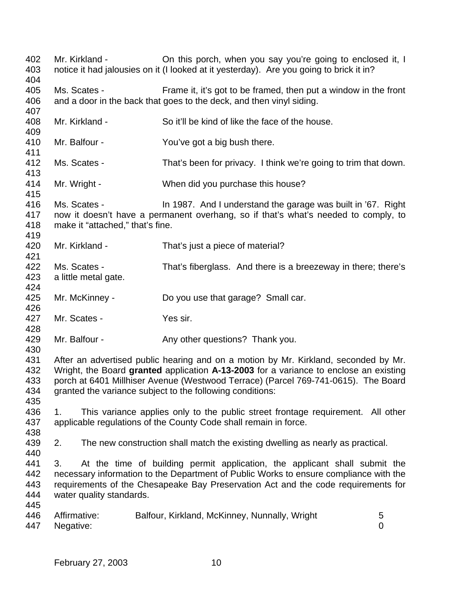402 Mr. Kirkland - Christ porch, when you say you're going to enclosed it, I notice it had jalousies on it (I looked at it yesterday). Are you going to brick it in? Ms. Scates - Frame it, it's got to be framed, then put a window in the front and a door in the back that goes to the deck, and then vinyl siding. Mr. Kirkland - So it'll be kind of like the face of the house. Mr. Balfour - You've got a big bush there. Ms. Scates - That's been for privacy. I think we're going to trim that down. Mr. Wright - When did you purchase this house? Ms. Scates - In 1987. And I understand the garage was built in '67. Right now it doesn't have a permanent overhang, so if that's what's needed to comply, to make it "attached," that's fine. Mr. Kirkland - That's just a piece of material? Ms. Scates - That's fiberglass. And there is a breezeway in there; there's a little metal gate. Mr. McKinney - Do you use that garage? Small car. Mr. Scates - Yes sir. 429 Mr. Balfour - Any other questions? Thank you. After an advertised public hearing and on a motion by Mr. Kirkland, seconded by Mr. Wright, the Board **granted** application **A-13-2003** for a variance to enclose an existing porch at 6401 Millhiser Avenue (Westwood Terrace) (Parcel 769-741-0615). The Board granted the variance subject to the following conditions: 1. This variance applies only to the public street frontage requirement. All other applicable regulations of the County Code shall remain in force. 2. The new construction shall match the existing dwelling as nearly as practical. 3. At the time of building permit application, the applicant shall submit the necessary information to the Department of Public Works to ensure compliance with the requirements of the Chesapeake Bay Preservation Act and the code requirements for water quality standards. 446 Affirmative: Balfour, Kirkland, McKinney, Nunnally, Wright 5 Negative: 0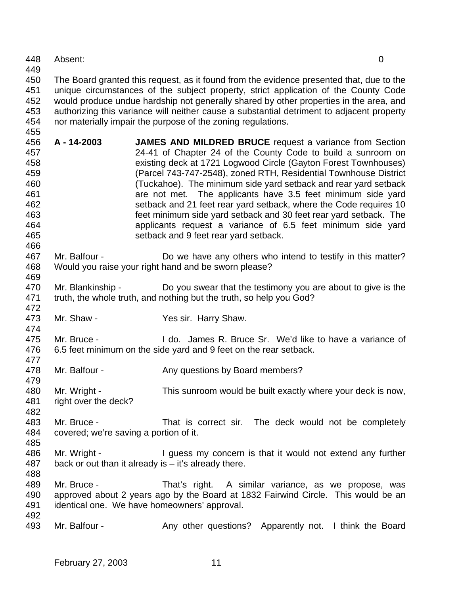Absent: 0

 The Board granted this request, as it found from the evidence presented that, due to the unique circumstances of the subject property, strict application of the County Code would produce undue hardship not generally shared by other properties in the area, and authorizing this variance will neither cause a substantial detriment to adjacent property nor materially impair the purpose of the zoning regulations.

- **A 14-2003 JAMES AND MILDRED BRUCE** request a variance from Section 24-41 of Chapter 24 of the County Code to build a sunroom on existing deck at 1721 Logwood Circle (Gayton Forest Townhouses) (Parcel 743-747-2548), zoned RTH, Residential Townhouse District (Tuckahoe). The minimum side yard setback and rear yard setback are not met. The applicants have 3.5 feet minimum side yard setback and 21 feet rear yard setback, where the Code requires 10 feet minimum side yard setback and 30 feet rear yard setback. The applicants request a variance of 6.5 feet minimum side yard setback and 9 feet rear yard setback.
- Mr. Balfour - Do we have any others who intend to testify in this matter? Would you raise your right hand and be sworn please?
- 470 Mr. Blankinship Do you swear that the testimony you are about to give is the truth, the whole truth, and nothing but the truth, so help you God?
- Mr. Shaw Yes sir. Harry Shaw.
- Mr. Bruce I do. James R. Bruce Sr. We'd like to have a variance of 6.5 feet minimum on the side yard and 9 feet on the rear setback.
- 478 Mr. Balfour Any questions by Board members?
- Mr. Wright This sunroom would be built exactly where your deck is now, right over the deck?
- Mr. Bruce That is correct sir. The deck would not be completely covered; we're saving a portion of it.
- 486 Mr. Wright I guess my concern is that it would not extend any further back or out than it already is – it's already there.
- 

- Mr. Bruce That's right. A similar variance, as we propose, was approved about 2 years ago by the Board at 1832 Fairwind Circle. This would be an identical one. We have homeowners' approval.
- 493 Mr. Balfour Any other questions? Apparently not. I think the Board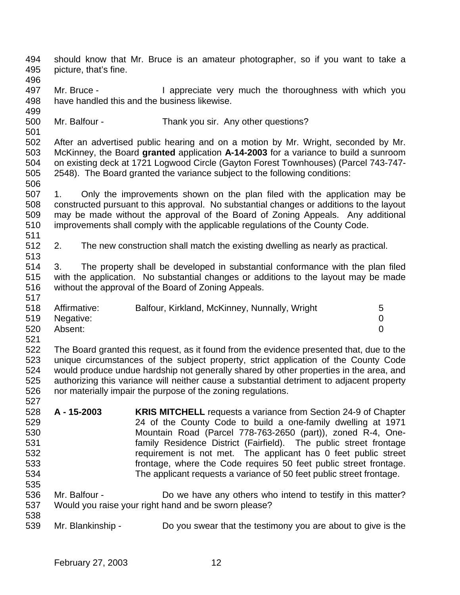picture, that's fine. 497 Mr. Bruce - I appreciate very much the thoroughness with which you have handled this and the business likewise. Mr. Balfour - Thank you sir. Any other questions? After an advertised public hearing and on a motion by Mr. Wright, seconded by Mr. McKinney, the Board **granted** application **A-14-2003** for a variance to build a sunroom on existing deck at 1721 Logwood Circle (Gayton Forest Townhouses) (Parcel 743-747- 2548). The Board granted the variance subject to the following conditions: 1. Only the improvements shown on the plan filed with the application may be constructed pursuant to this approval. No substantial changes or additions to the layout may be made without the approval of the Board of Zoning Appeals. Any additional improvements shall comply with the applicable regulations of the County Code. 2. The new construction shall match the existing dwelling as nearly as practical. 3. The property shall be developed in substantial conformance with the plan filed with the application. No substantial changes or additions to the layout may be made without the approval of the Board of Zoning Appeals. Affirmative: Balfour, Kirkland, McKinney, Nunnally, Wright 5 Negative: 0 Absent: 0 The Board granted this request, as it found from the evidence presented that, due to the unique circumstances of the subject property, strict application of the County Code would produce undue hardship not generally shared by other properties in the area, and authorizing this variance will neither cause a substantial detriment to adjacent property nor materially impair the purpose of the zoning regulations. 

should know that Mr. Bruce is an amateur photographer, so if you want to take a

- **A 15-2003 KRIS MITCHELL** requests a variance from Section 24-9 of Chapter 24 of the County Code to build a one-family dwelling at 1971 Mountain Road (Parcel 778-763-2650 (part)), zoned R-4, One- family Residence District (Fairfield). The public street frontage requirement is not met. The applicant has 0 feet public street frontage, where the Code requires 50 feet public street frontage. The applicant requests a variance of 50 feet public street frontage.
- Mr. Balfour Do we have any others who intend to testify in this matter? Would you raise your right hand and be sworn please?
- Mr. Blankinship Do you swear that the testimony you are about to give is the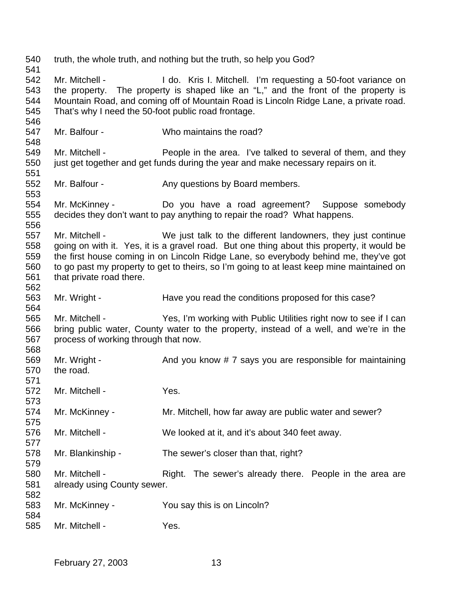truth, the whole truth, and nothing but the truth, so help you God? 542 Mr. Mitchell - I do. Kris I. Mitchell. I'm requesting a 50-foot variance on the property. The property is shaped like an "L," and the front of the property is Mountain Road, and coming off of Mountain Road is Lincoln Ridge Lane, a private road. That's why I need the 50-foot public road frontage. Mr. Balfour - Who maintains the road? Mr. Mitchell - People in the area. I've talked to several of them, and they just get together and get funds during the year and make necessary repairs on it. 552 Mr. Balfour - Any questions by Board members. Mr. McKinney - Do you have a road agreement? Suppose somebody decides they don't want to pay anything to repair the road? What happens. Mr. Mitchell - We just talk to the different landowners, they just continue going on with it. Yes, it is a gravel road. But one thing about this property, it would be the first house coming in on Lincoln Ridge Lane, so everybody behind me, they've got to go past my property to get to theirs, so I'm going to at least keep mine maintained on that private road there. 563 Mr. Wright - Have you read the conditions proposed for this case? Mr. Mitchell - Yes, I'm working with Public Utilities right now to see if I can bring public water, County water to the property, instead of a well, and we're in the process of working through that now. 569 Mr. Wright - And you know # 7 says you are responsible for maintaining the road. Mr. Mitchell - Yes. 574 Mr. McKinney - Mr. Mitchell, how far away are public water and sewer? Mr. Mitchell - We looked at it, and it's about 340 feet away. 578 Mr. Blankinship - The sewer's closer than that, right? 580 Mr. Mitchell - Right. The sewer's already there. People in the area are already using County sewer. Mr. McKinney - You say this is on Lincoln? Mr. Mitchell - Yes.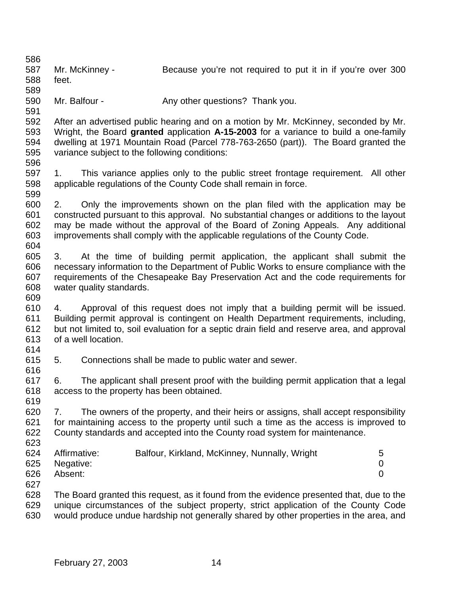587 Mr. McKinney - Because you're not required to put it in if you're over 300 feet. 590 Mr. Balfour - Any other questions? Thank you. After an advertised public hearing and on a motion by Mr. McKinney, seconded by Mr. Wright, the Board **granted** application **A-15-2003** for a variance to build a one-family dwelling at 1971 Mountain Road (Parcel 778-763-2650 (part)). The Board granted the variance subject to the following conditions: 1. This variance applies only to the public street frontage requirement. All other applicable regulations of the County Code shall remain in force. 2. Only the improvements shown on the plan filed with the application may be constructed pursuant to this approval. No substantial changes or additions to the layout may be made without the approval of the Board of Zoning Appeals. Any additional improvements shall comply with the applicable regulations of the County Code. 3. At the time of building permit application, the applicant shall submit the necessary information to the Department of Public Works to ensure compliance with the requirements of the Chesapeake Bay Preservation Act and the code requirements for water quality standards. 4. Approval of this request does not imply that a building permit will be issued. Building permit approval is contingent on Health Department requirements, including, but not limited to, soil evaluation for a septic drain field and reserve area, and approval of a well location. 5. Connections shall be made to public water and sewer. 6. The applicant shall present proof with the building permit application that a legal access to the property has been obtained. 7. The owners of the property, and their heirs or assigns, shall accept responsibility for maintaining access to the property until such a time as the access is improved to County standards and accepted into the County road system for maintenance. Affirmative: Balfour, Kirkland, McKinney, Nunnally, Wright 5 Negative: 0 Absent: 0 The Board granted this request, as it found from the evidence presented that, due to the unique circumstances of the subject property, strict application of the County Code would produce undue hardship not generally shared by other properties in the area, and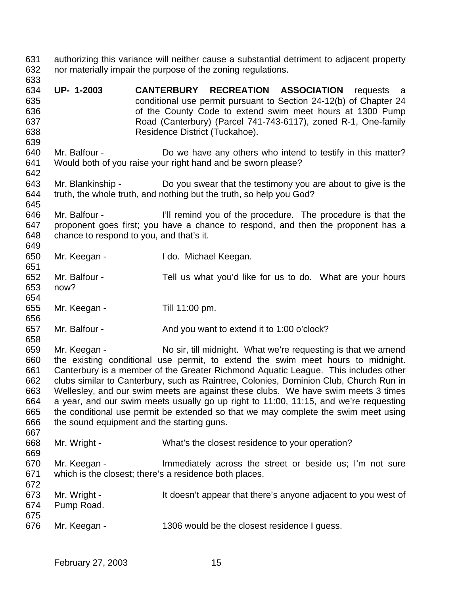authorizing this variance will neither cause a substantial detriment to adjacent property nor materially impair the purpose of the zoning regulations. **UP- 1-2003 CANTERBURY RECREATION ASSOCIATION** requests a conditional use permit pursuant to Section 24-12(b) of Chapter 24 of the County Code to extend swim meet hours at 1300 Pump Road (Canterbury) (Parcel 741-743-6117), zoned R-1, One-family Residence District (Tuckahoe). Mr. Balfour - Do we have any others who intend to testify in this matter? Would both of you raise your right hand and be sworn please? Mr. Blankinship - Do you swear that the testimony you are about to give is the truth, the whole truth, and nothing but the truth, so help you God? Mr. Balfour - I'll remind you of the procedure. The procedure is that the proponent goes first; you have a chance to respond, and then the proponent has a chance to respond to you, and that's it. Mr. Keegan - I do. Michael Keegan. Mr. Balfour - Tell us what you'd like for us to do. What are your hours now? Mr. Keegan - Till 11:00 pm. 657 Mr. Balfour - And you want to extend it to 1:00 o'clock? Mr. Keegan - No sir, till midnight. What we're requesting is that we amend the existing conditional use permit, to extend the swim meet hours to midnight. Canterbury is a member of the Greater Richmond Aquatic League. This includes other clubs similar to Canterbury, such as Raintree, Colonies, Dominion Club, Church Run in Wellesley, and our swim meets are against these clubs. We have swim meets 3 times a year, and our swim meets usually go up right to 11:00, 11:15, and we're requesting the conditional use permit be extended so that we may complete the swim meet using the sound equipment and the starting guns. Mr. Wright - What's the closest residence to your operation? Mr. Keegan - Immediately across the street or beside us; I'm not sure which is the closest; there's a residence both places. Mr. Wright - It doesn't appear that there's anyone adjacent to you west of Pump Road. Mr. Keegan - 1306 would be the closest residence I guess.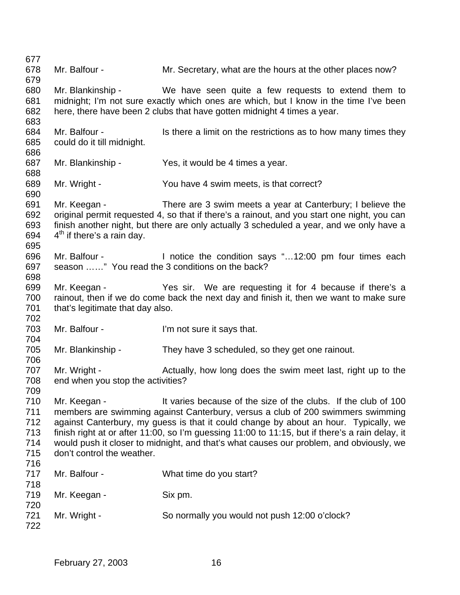Mr. Balfour - Mr. Secretary, what are the hours at the other places now? Mr. Blankinship - We have seen quite a few requests to extend them to midnight; I'm not sure exactly which ones are which, but I know in the time I've been here, there have been 2 clubs that have gotten midnight 4 times a year. 684 Mr. Balfour - Is there a limit on the restrictions as to how many times they could do it till midnight. Mr. Blankinship - Yes, it would be 4 times a year. Mr. Wright - You have 4 swim meets, is that correct? Mr. Keegan - There are 3 swim meets a year at Canterbury; I believe the original permit requested 4, so that if there's a rainout, and you start one night, you can finish another night, but there are only actually 3 scheduled a year, and we only have a 694  $4<sup>th</sup>$  if there's a rain day. Mr. Balfour - I notice the condition says "…12:00 pm four times each season ……" You read the 3 conditions on the back? Mr. Keegan - Yes sir. We are requesting it for 4 because if there's a rainout, then if we do come back the next day and finish it, then we want to make sure 701 that's legitimate that day also. Mr. Balfour - I'm not sure it says that. 705 Mr. Blankinship - They have 3 scheduled, so they get one rainout. 707 Mr. Wright - Actually, how long does the swim meet last, right up to the end when you stop the activities? Mr. Keegan - It varies because of the size of the clubs. If the club of 100 members are swimming against Canterbury, versus a club of 200 swimmers swimming against Canterbury, my guess is that it could change by about an hour. Typically, we finish right at or after 11:00, so I'm guessing 11:00 to 11:15, but if there's a rain delay, it would push it closer to midnight, and that's what causes our problem, and obviously, we don't control the weather. 717 Mr. Balfour - What time do you start? 719 Mr. Keegan - Six pm. Mr. Wright - So normally you would not push 12:00 o'clock?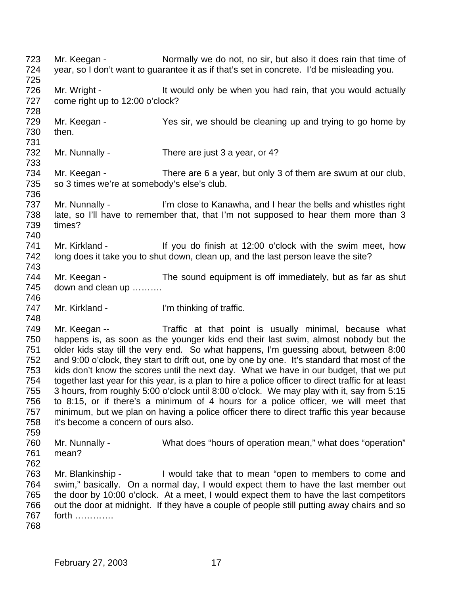723 Mr. Keegan - Normally we do not, no sir, but also it does rain that time of year, so I don't want to guarantee it as if that's set in concrete. I'd be misleading you. 726 Mr. Wright - It would only be when you had rain, that you would actually 727 come right up to 12:00 o'clock? 729 Mr. Keegan - Yes sir, we should be cleaning up and trying to go home by then. 732 Mr. Nunnally - There are just 3 a year, or 4? 734 Mr. Keegan - There are 6 a year, but only 3 of them are swum at our club, so 3 times we're at somebody's else's club. 737 Mr. Nunnally - I'm close to Kanawha, and I hear the bells and whistles right late, so I'll have to remember that, that I'm not supposed to hear them more than 3 times? 741 Mr. Kirkland - If you do finish at 12:00 o'clock with the swim meet, how long does it take you to shut down, clean up, and the last person leave the site? 744 Mr. Keegan - The sound equipment is off immediately, but as far as shut down and clean up ………. 747 Mr. Kirkland - I'm thinking of traffic. Mr. Keegan -- Traffic at that point is usually minimal, because what happens is, as soon as the younger kids end their last swim, almost nobody but the older kids stay till the very end. So what happens, I'm guessing about, between 8:00 and 9:00 o'clock, they start to drift out, one by one by one. It's standard that most of the kids don't know the scores until the next day. What we have in our budget, that we put together last year for this year, is a plan to hire a police officer to direct traffic for at least 3 hours, from roughly 5:00 o'clock until 8:00 o'clock. We may play with it, say from 5:15 to 8:15, or if there's a minimum of 4 hours for a police officer, we will meet that minimum, but we plan on having a police officer there to direct traffic this year because it's become a concern of ours also. Mr. Nunnally - What does "hours of operation mean," what does "operation" mean? Mr. Blankinship - I would take that to mean "open to members to come and swim," basically. On a normal day, I would expect them to have the last member out the door by 10:00 o'clock. At a meet, I would expect them to have the last competitors out the door at midnight. If they have a couple of people still putting away chairs and so forth ………….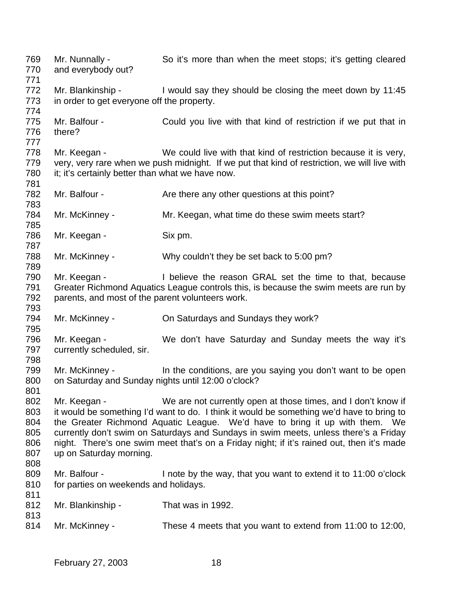Mr. Nunnally - So it's more than when the meet stops; it's getting cleared and everybody out? 772 Mr. Blankinship - I would say they should be closing the meet down by 11:45 in order to get everyone off the property. Mr. Balfour - Could you live with that kind of restriction if we put that in there? 778 Mr. Keegan - We could live with that kind of restriction because it is very, very, very rare when we push midnight. If we put that kind of restriction, we will live with 780 it; it's certainly better than what we have now. 782 Mr. Balfour - Are there any other questions at this point? 784 Mr. McKinney - Mr. Keegan, what time do these swim meets start? 786 Mr. Keegan - Six pm. 788 Mr. McKinney - Why couldn't they be set back to 5:00 pm? Mr. Keegan - I believe the reason GRAL set the time to that, because Greater Richmond Aquatics League controls this, is because the swim meets are run by parents, and most of the parent volunteers work. Mr. McKinney - On Saturdays and Sundays they work? Mr. Keegan - We don't have Saturday and Sunday meets the way it's currently scheduled, sir. 799 Mr. McKinney - In the conditions, are you saying you don't want to be open on Saturday and Sunday nights until 12:00 o'clock? Mr. Keegan - We are not currently open at those times, and I don't know if it would be something I'd want to do. I think it would be something we'd have to bring to the Greater Richmond Aquatic League. We'd have to bring it up with them. We currently don't swim on Saturdays and Sundays in swim meets, unless there's a Friday night. There's one swim meet that's on a Friday night; if it's rained out, then it's made up on Saturday morning. 809 Mr. Balfour - I note by the way, that you want to extend it to 11:00 o'clock 810 for parties on weekends and holidays. Mr. Blankinship - That was in 1992. Mr. McKinney - These 4 meets that you want to extend from 11:00 to 12:00,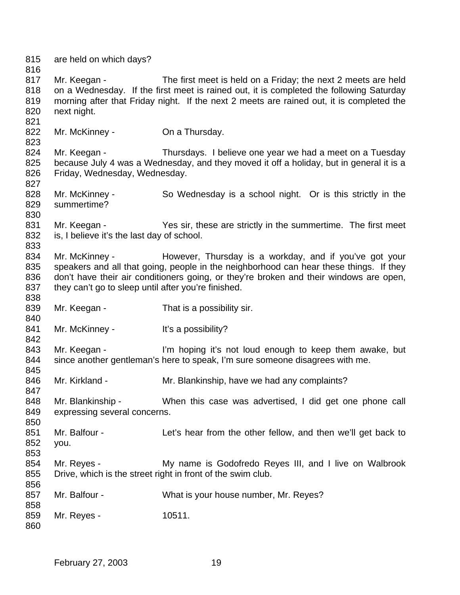are held on which days? 817 Mr. Keegan - The first meet is held on a Friday; the next 2 meets are held on a Wednesday. If the first meet is rained out, it is completed the following Saturday morning after that Friday night. If the next 2 meets are rained out, it is completed the next night. 822 Mr. McKinney - On a Thursday. 824 Mr. Keegan - Thursdays. I believe one year we had a meet on a Tuesday because July 4 was a Wednesday, and they moved it off a holiday, but in general it is a Friday, Wednesday, Wednesday. 828 Mr. McKinney - So Wednesday is a school night. Or is this strictly in the summertime? 831 Mr. Keegan - Yes sir, these are strictly in the summertime. The first meet is, I believe it's the last day of school. 834 Mr. McKinney - However, Thursday is a workday, and if you've got your speakers and all that going, people in the neighborhood can hear these things. If they don't have their air conditioners going, or they're broken and their windows are open, 837 they can't go to sleep until after you're finished. 839 Mr. Keegan - That is a possibility sir. 841 Mr. McKinney - It's a possibility? 843 Mr. Keegan - I'm hoping it's not loud enough to keep them awake, but since another gentleman's here to speak, I'm sure someone disagrees with me. 846 Mr. Kirkland - Mr. Blankinship, have we had any complaints? Mr. Blankinship - When this case was advertised, I did get one phone call expressing several concerns. Mr. Balfour - Let's hear from the other fellow, and then we'll get back to you. Mr. Reyes - My name is Godofredo Reyes III, and I live on Walbrook Drive, which is the street right in front of the swim club. 857 Mr. Balfour - What is your house number, Mr. Reyes? 859 Mr. Reyes - 10511.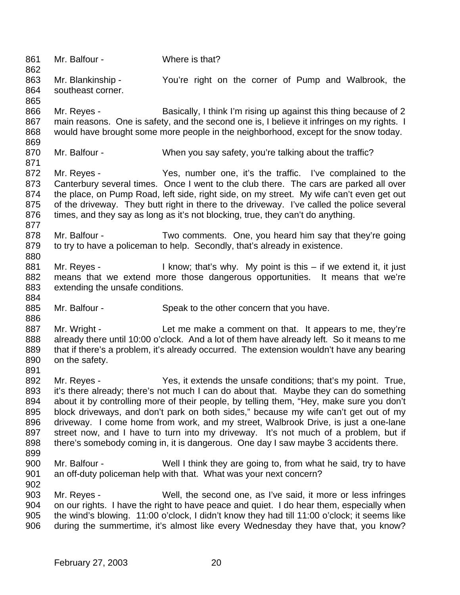861 Mr. Balfour - Where is that? Mr. Blankinship - You're right on the corner of Pump and Walbrook, the southeast corner. 866 Mr. Reyes - Basically, I think I'm rising up against this thing because of 2 867 main reasons. One is safety, and the second one is, I believe it infringes on my rights. I would have brought some more people in the neighborhood, except for the snow today. 870 Mr. Balfour - When you say safety, you're talking about the traffic? Mr. Reyes - Yes, number one, it's the traffic. I've complained to the Canterbury several times. Once I went to the club there. The cars are parked all over the place, on Pump Road, left side, right side, on my street. My wife can't even get out of the driveway. They butt right in there to the driveway. I've called the police several times, and they say as long as it's not blocking, true, they can't do anything. Mr. Balfour - Two comments. One, you heard him say that they're going 879 to try to have a policeman to help. Secondly, that's already in existence. 881 Mr. Reyes - I know; that's why. My point is this – if we extend it, it just means that we extend more those dangerous opportunities. It means that we're extending the unsafe conditions. 885 Mr. Balfour - Speak to the other concern that you have. 887 Mr. Wright - Let me make a comment on that. It appears to me, they're already there until 10:00 o'clock. And a lot of them have already left. So it means to me that if there's a problem, it's already occurred. The extension wouldn't have any bearing on the safety. Mr. Reyes - Yes, it extends the unsafe conditions; that's my point. True, it's there already; there's not much I can do about that. Maybe they can do something about it by controlling more of their people, by telling them, "Hey, make sure you don't block driveways, and don't park on both sides," because my wife can't get out of my driveway. I come home from work, and my street, Walbrook Drive, is just a one-lane 897 street now, and I have to turn into my driveway. It's not much of a problem, but if there's somebody coming in, it is dangerous. One day I saw maybe 3 accidents there. Mr. Balfour - Well I think they are going to, from what he said, try to have an off-duty policeman help with that. What was your next concern? Mr. Reyes - Well, the second one, as I've said, it more or less infringes on our rights. I have the right to have peace and quiet. I do hear them, especially when the wind's blowing. 11:00 o'clock, I didn't know they had till 11:00 o'clock; it seems like during the summertime, it's almost like every Wednesday they have that, you know?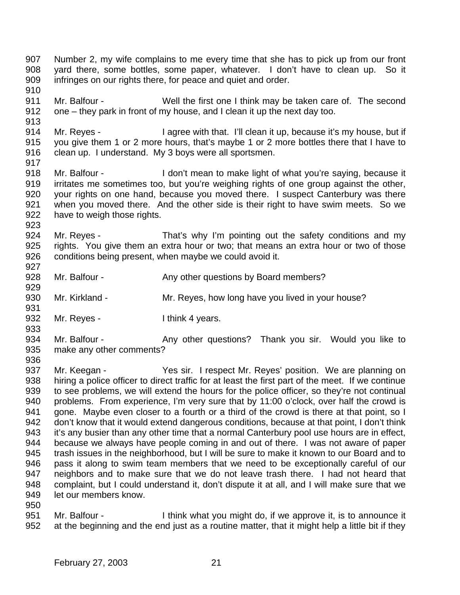Number 2, my wife complains to me every time that she has to pick up from our front yard there, some bottles, some paper, whatever. I don't have to clean up. So it infringes on our rights there, for peace and quiet and order. Mr. Balfour - Well the first one I think may be taken care of. The second one – they park in front of my house, and I clean it up the next day too. Mr. Reyes - I agree with that. I'll clean it up, because it's my house, but if you give them 1 or 2 more hours, that's maybe 1 or 2 more bottles there that I have to 916 clean up. I understand. My 3 boys were all sportsmen. Mr. Balfour - I don't mean to make light of what you're saying, because it irritates me sometimes too, but you're weighing rights of one group against the other, your rights on one hand, because you moved there. I suspect Canterbury was there when you moved there. And the other side is their right to have swim meets. So we have to weigh those rights. 924 Mr. Reyes - That's why I'm pointing out the safety conditions and my rights. You give them an extra hour or two; that means an extra hour or two of those conditions being present, when maybe we could avoid it. 928 Mr. Balfour - Any other questions by Board members? 930 Mr. Kirkland - Mr. Reyes, how long have you lived in your house? 932 Mr. Reyes - Ithink 4 years. 934 Mr. Balfour - Any other questions? Thank you sir. Would you like to make any other comments? 937 Mr. Keegan - Yes sir. I respect Mr. Reyes' position. We are planning on 938 hiring a police officer to direct traffic for at least the first part of the meet. If we continue to see problems, we will extend the hours for the police officer, so they're not continual problems. From experience, I'm very sure that by 11:00 o'clock, over half the crowd is 941 gone. Maybe even closer to a fourth or a third of the crowd is there at that point, so I don't know that it would extend dangerous conditions, because at that point, I don't think it's any busier than any other time that a normal Canterbury pool use hours are in effect, because we always have people coming in and out of there. I was not aware of paper trash issues in the neighborhood, but I will be sure to make it known to our Board and to pass it along to swim team members that we need to be exceptionally careful of our neighbors and to make sure that we do not leave trash there. I had not heard that complaint, but I could understand it, don't dispute it at all, and I will make sure that we let our members know. 

 Mr. Balfour - I think what you might do, if we approve it, is to announce it at the beginning and the end just as a routine matter, that it might help a little bit if they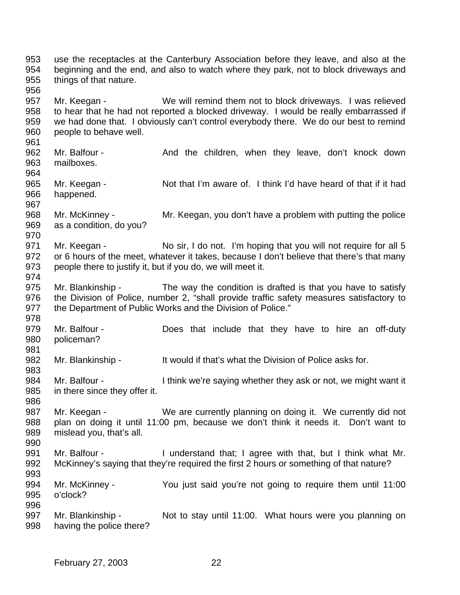use the receptacles at the Canterbury Association before they leave, and also at the beginning and the end, and also to watch where they park, not to block driveways and things of that nature. Mr. Keegan - We will remind them not to block driveways. I was relieved to hear that he had not reported a blocked driveway. I would be really embarrassed if we had done that. I obviously can't control everybody there. We do our best to remind people to behave well. 962 Mr. Balfour - And the children, when they leave, don't knock down mailboxes. Mr. Keegan - Not that I'm aware of. I think I'd have heard of that if it had happened. Mr. McKinney - Mr. Keegan, you don't have a problem with putting the police as a condition, do you? 971 Mr. Keegan - No sir, I do not. I'm hoping that you will not require for all 5 972 or 6 hours of the meet, whatever it takes, because I don't believe that there's that many people there to justify it, but if you do, we will meet it. Mr. Blankinship - The way the condition is drafted is that you have to satisfy 976 the Division of Police, number 2, "shall provide traffic safety measures satisfactory to 977 the Department of Public Works and the Division of Police." Mr. Balfour - Does that include that they have to hire an off-duty policeman? 982 Mr. Blankinship - It would if that's what the Division of Police asks for. Mr. Balfour - I think we're saying whether they ask or not, we might want it in there since they offer it. 987 Mr. Keegan - We are currently planning on doing it. We currently did not plan on doing it until 11:00 pm, because we don't think it needs it. Don't want to mislead you, that's all. Mr. Balfour - I understand that; I agree with that, but I think what Mr. McKinney's saying that they're required the first 2 hours or something of that nature? Mr. McKinney - You just said you're not going to require them until 11:00 o'clock? 997 Mr. Blankinship - Not to stay until 11:00. What hours were you planning on having the police there?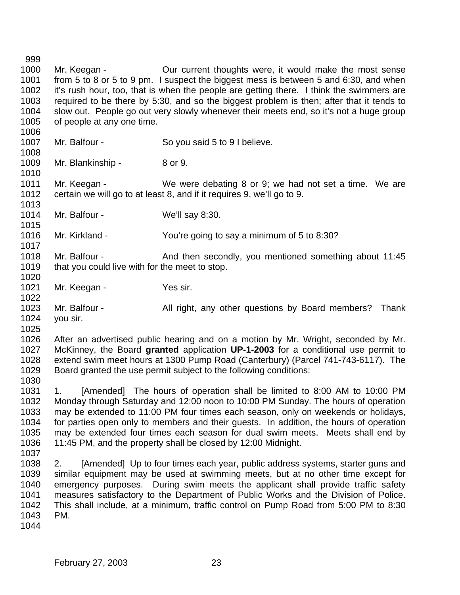Mr. Keegan - Our current thoughts were, it would make the most sense from 5 to 8 or 5 to 9 pm. I suspect the biggest mess is between 5 and 6:30, and when it's rush hour, too, that is when the people are getting there. I think the swimmers are required to be there by 5:30, and so the biggest problem is then; after that it tends to slow out. People go out very slowly whenever their meets end, so it's not a huge group of people at any one time. 1007 Mr. Balfour - So you said 5 to 9 I believe. 1009 Mr. Blankinship - 8 or 9. Mr. Keegan - We were debating 8 or 9; we had not set a time. We are certain we will go to at least 8, and if it requires 9, we'll go to 9. Mr. Balfour - We'll say 8:30. Mr. Kirkland - You're going to say a minimum of 5 to 8:30? 1018 Mr. Balfour - And then secondly, you mentioned something about 11:45 1019 that you could live with for the meet to stop. 1021 Mr. Keegan - Yes sir. Mr. Balfour - All right, any other questions by Board members? Thank you sir. After an advertised public hearing and on a motion by Mr. Wright, seconded by Mr. McKinney, the Board **granted** application **UP-1-2003** for a conditional use permit to extend swim meet hours at 1300 Pump Road (Canterbury) (Parcel 741-743-6117). The Board granted the use permit subject to the following conditions: 1. [Amended] The hours of operation shall be limited to 8:00 AM to 10:00 PM Monday through Saturday and 12:00 noon to 10:00 PM Sunday. The hours of operation may be extended to 11:00 PM four times each season, only on weekends or holidays, for parties open only to members and their guests. In addition, the hours of operation may be extended four times each season for dual swim meets. Meets shall end by 11:45 PM, and the property shall be closed by 12:00 Midnight. 2. [Amended] Up to four times each year, public address systems, starter guns and similar equipment may be used at swimming meets, but at no other time except for emergency purposes. During swim meets the applicant shall provide traffic safety measures satisfactory to the Department of Public Works and the Division of Police. This shall include, at a minimum, traffic control on Pump Road from 5:00 PM to 8:30 PM.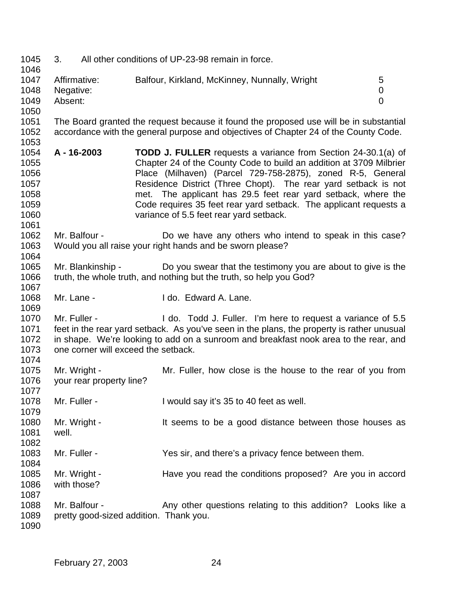3. All other conditions of UP-23-98 remain in force. 1047 Affirmative: Balfour, Kirkland, McKinney, Nunnally, Wright 5 Negative: 0 Absent: 0 The Board granted the request because it found the proposed use will be in substantial accordance with the general purpose and objectives of Chapter 24 of the County Code. **A - 16-2003 TODD J. FULLER** requests a variance from Section 24-30.1(a) of Chapter 24 of the County Code to build an addition at 3709 Milbrier Place (Milhaven) (Parcel 729-758-2875), zoned R-5, General Residence District (Three Chopt). The rear yard setback is not met. The applicant has 29.5 feet rear yard setback, where the Code requires 35 feet rear yard setback. The applicant requests a variance of 5.5 feet rear yard setback. Mr. Balfour - Do we have any others who intend to speak in this case? Would you all raise your right hands and be sworn please? Mr. Blankinship - Do you swear that the testimony you are about to give is the truth, the whole truth, and nothing but the truth, so help you God? Mr. Lane - I do. Edward A. Lane. Mr. Fuller - I do. Todd J. Fuller. I'm here to request a variance of 5.5 feet in the rear yard setback. As you've seen in the plans, the property is rather unusual in shape. We're looking to add on a sunroom and breakfast nook area to the rear, and one corner will exceed the setback. Mr. Wright - Mr. Fuller, how close is the house to the rear of you from your rear property line? Mr. Fuller - I would say it's 35 to 40 feet as well. 1080 Mr. Wright - It seems to be a good distance between those houses as well. 1083 Mr. Fuller - Yes sir, and there's a privacy fence between them. 1085 Mr. Wright - Have you read the conditions proposed? Are you in accord with those? 1088 Mr. Balfour - Any other questions relating to this addition? Looks like a pretty good-sized addition. Thank you.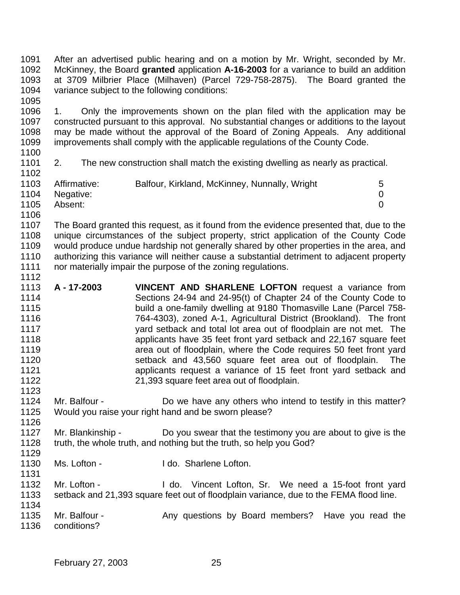After an advertised public hearing and on a motion by Mr. Wright, seconded by Mr. McKinney, the Board **granted** application **A-16-2003** for a variance to build an addition at 3709 Milbrier Place (Milhaven) (Parcel 729-758-2875). The Board granted the variance subject to the following conditions: 

 1. Only the improvements shown on the plan filed with the application may be constructed pursuant to this approval. No substantial changes or additions to the layout may be made without the approval of the Board of Zoning Appeals. Any additional improvements shall comply with the applicable regulations of the County Code.

### 2. The new construction shall match the existing dwelling as nearly as practical.

| 1103 | Affirmative: | Balfour, Kirkland, McKinney, Nunnally, Wright | 5 |
|------|--------------|-----------------------------------------------|---|
| 1104 | Negative:    |                                               |   |
| 1105 | Absent:      |                                               |   |
| 1106 |              |                                               |   |

 The Board granted this request, as it found from the evidence presented that, due to the unique circumstances of the subject property, strict application of the County Code would produce undue hardship not generally shared by other properties in the area, and authorizing this variance will neither cause a substantial detriment to adjacent property 1111 nor materially impair the purpose of the zoning regulations. 

- **A 17-2003 VINCENT AND SHARLENE LOFTON** request a variance from Sections 24-94 and 24-95(t) of Chapter 24 of the County Code to build a one-family dwelling at 9180 Thomasville Lane (Parcel 758- 764-4303), zoned A-1, Agricultural District (Brookland). The front yard setback and total lot area out of floodplain are not met. The applicants have 35 feet front yard setback and 22,167 square feet area out of floodplain, where the Code requires 50 feet front yard setback and 43,560 square feet area out of floodplain. The applicants request a variance of 15 feet front yard setback and 21,393 square feet area out of floodplain.
- Mr. Balfour Do we have any others who intend to testify in this matter? Would you raise your right hand and be sworn please?
- Mr. Blankinship Do you swear that the testimony you are about to give is the truth, the whole truth, and nothing but the truth, so help you God?
- 
- 1130 Ms. Lofton I do. Sharlene Lofton.
- 1131<br>1132 Mr. Lofton - I do. Vincent Lofton, Sr. We need a 15-foot front yard setback and 21,393 square feet out of floodplain variance, due to the FEMA flood line.
- 1135 Mr. Balfour Any questions by Board members? Have you read the conditions?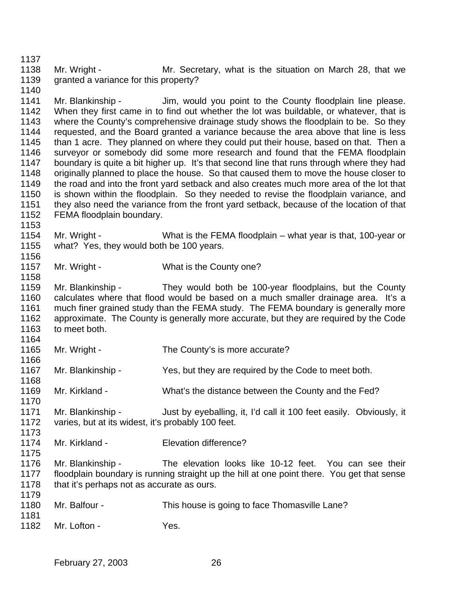1138 Mr. Wright - Mr. Secretary, what is the situation on March 28, that we granted a variance for this property?

1141 Mr. Blankinship - Jim, would you point to the County floodplain line please. When they first came in to find out whether the lot was buildable, or whatever, that is where the County's comprehensive drainage study shows the floodplain to be. So they requested, and the Board granted a variance because the area above that line is less than 1 acre. They planned on where they could put their house, based on that. Then a surveyor or somebody did some more research and found that the FEMA floodplain boundary is quite a bit higher up. It's that second line that runs through where they had originally planned to place the house. So that caused them to move the house closer to the road and into the front yard setback and also creates much more area of the lot that is shown within the floodplain. So they needed to revise the floodplain variance, and they also need the variance from the front yard setback, because of the location of that FEMA floodplain boundary.

 Mr. Wright - What is the FEMA floodplain – what year is that, 100-year or what? Yes, they would both be 100 years.

1157 Mr. Wright - What is the County one?

 Mr. Blankinship - They would both be 100-year floodplains, but the County calculates where that flood would be based on a much smaller drainage area. It's a much finer grained study than the FEMA study. The FEMA boundary is generally more approximate. The County is generally more accurate, but they are required by the Code to meet both.

- 1165 Mr. Wright The County's is more accurate?
- Mr. Blankinship Yes, but they are required by the Code to meet both.
- Mr. Kirkland What's the distance between the County and the Fed?
- Mr. Blankinship Just by eyeballing, it, I'd call it 100 feet easily. Obviously, it varies, but at its widest, it's probably 100 feet.
- Mr. Kirkland Elevation difference?
- Mr. Blankinship The elevation looks like 10-12 feet. You can see their floodplain boundary is running straight up the hill at one point there. You get that sense 1178 that it's perhaps not as accurate as ours.
- 1180 Mr. Balfour This house is going to face Thomasville Lane?
- 

1182 Mr. Lofton - Yes.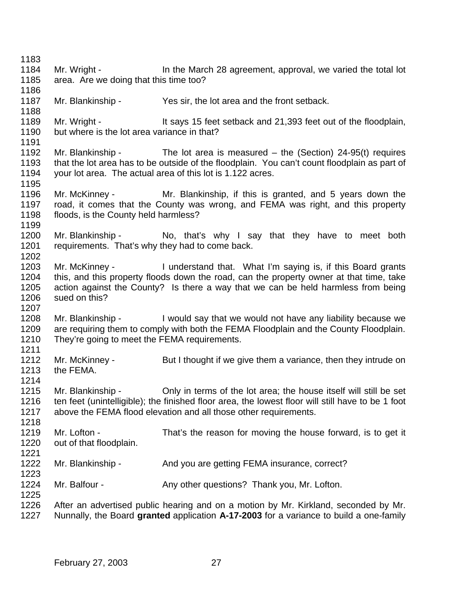1184 Mr. Wright - In the March 28 agreement, approval, we varied the total lot area. Are we doing that this time too? Mr. Blankinship - Yes sir, the lot area and the front setback. 1189 Mr. Wright - It says 15 feet setback and 21,393 feet out of the floodplain, but where is the lot area variance in that? Mr. Blankinship - The lot area is measured – the (Section) 24-95(t) requires that the lot area has to be outside of the floodplain. You can't count floodplain as part of your lot area. The actual area of this lot is 1.122 acres. 1196 Mr. McKinney - Mr. Blankinship, if this is granted, and 5 years down the 1197 road, it comes that the County was wrong, and FFMA was right, and this property road, it comes that the County was wrong, and FEMA was right, and this property floods, is the County held harmless? Mr. Blankinship - No, that's why I say that they have to meet both requirements. That's why they had to come back. Mr. McKinney - I understand that. What I'm saying is, if this Board grants this, and this property floods down the road, can the property owner at that time, take action against the County? Is there a way that we can be held harmless from being sued on this? Mr. Blankinship - I would say that we would not have any liability because we are requiring them to comply with both the FEMA Floodplain and the County Floodplain. 1210 They're going to meet the FEMA requirements. 1212 Mr. McKinney - But I thought if we give them a variance, then they intrude on the FEMA. Mr. Blankinship - Only in terms of the lot area; the house itself will still be set ten feet (unintelligible); the finished floor area, the lowest floor will still have to be 1 foot above the FEMA flood elevation and all those other requirements. 1219 Mr. Lofton - That's the reason for moving the house forward, is to get it out of that floodplain. 1222 Mr. Blankinship - And you are getting FEMA insurance, correct? 1224 Mr. Balfour - Any other questions? Thank you, Mr. Lofton. After an advertised public hearing and on a motion by Mr. Kirkland, seconded by Mr. Nunnally, the Board **granted** application **A-17-2003** for a variance to build a one-family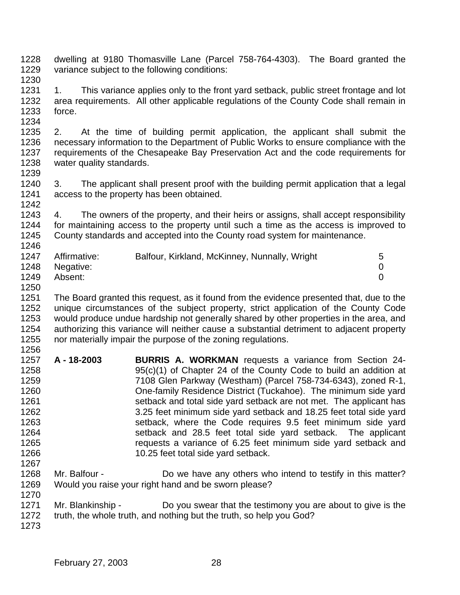dwelling at 9180 Thomasville Lane (Parcel 758-764-4303). The Board granted the variance subject to the following conditions: 

1231 1. This variance applies only to the front yard setback, public street frontage and lot area requirements. All other applicable regulations of the County Code shall remain in force. 

 2. At the time of building permit application, the applicant shall submit the necessary information to the Department of Public Works to ensure compliance with the requirements of the Chesapeake Bay Preservation Act and the code requirements for water quality standards.

 3. The applicant shall present proof with the building permit application that a legal access to the property has been obtained. 

 4. The owners of the property, and their heirs or assigns, shall accept responsibility for maintaining access to the property until such a time as the access is improved to County standards and accepted into the County road system for maintenance. 

| 1247 | Affirmative:   | Balfour, Kirkland, McKinney, Nunnally, Wright | 5 |
|------|----------------|-----------------------------------------------|---|
|      | 1248 Negative: |                                               |   |
| 1249 | Absent:        |                                               |   |

 The Board granted this request, as it found from the evidence presented that, due to the unique circumstances of the subject property, strict application of the County Code would produce undue hardship not generally shared by other properties in the area, and authorizing this variance will neither cause a substantial detriment to adjacent property nor materially impair the purpose of the zoning regulations. 

- **A 18-2003 BURRIS A. WORKMAN** requests a variance from Section 24- 95(c)(1) of Chapter 24 of the County Code to build an addition at 7108 Glen Parkway (Westham) (Parcel 758-734-6343), zoned R-1, One-family Residence District (Tuckahoe). The minimum side yard setback and total side yard setback are not met. The applicant has 3.25 feet minimum side yard setback and 18.25 feet total side yard setback, where the Code requires 9.5 feet minimum side yard setback and 28.5 feet total side yard setback. The applicant requests a variance of 6.25 feet minimum side yard setback and 10.25 feet total side yard setback.
- Mr. Balfour Do we have any others who intend to testify in this matter? Would you raise your right hand and be sworn please?
- 1271 Mr. Blankinship Do you swear that the testimony you are about to give is the
- truth, the whole truth, and nothing but the truth, so help you God?
-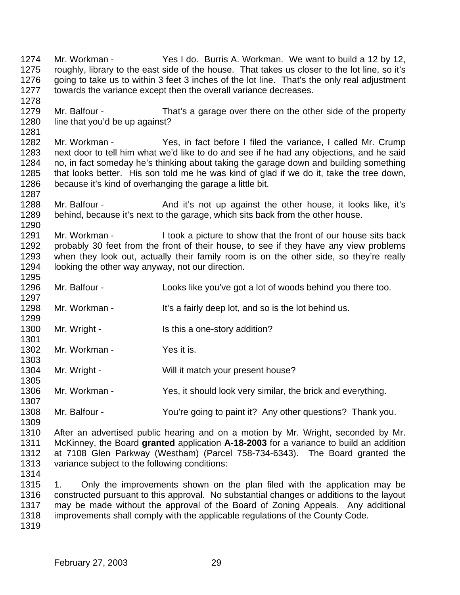Mr. Workman - Yes I do. Burris A. Workman. We want to build a 12 by 12, roughly, library to the east side of the house. That takes us closer to the lot line, so it's going to take us to within 3 feet 3 inches of the lot line. That's the only real adjustment towards the variance except then the overall variance decreases. Mr. Balfour - That's a garage over there on the other side of the property 1280 line that you'd be up against? Mr. Workman - Yes, in fact before I filed the variance, I called Mr. Crump next door to tell him what we'd like to do and see if he had any objections, and he said no, in fact someday he's thinking about taking the garage down and building something that looks better. His son told me he was kind of glad if we do it, take the tree down, because it's kind of overhanging the garage a little bit. 1288 Mr. Balfour - And it's not up against the other house, it looks like, it's behind, because it's next to the garage, which sits back from the other house. 1291 Mr. Workman - I took a picture to show that the front of our house sits back probably 30 feet from the front of their house, to see if they have any view problems when they look out, actually their family room is on the other side, so they're really looking the other way anyway, not our direction. Mr. Balfour - Looks like you've got a lot of woods behind you there too. 1298 Mr. Workman - It's a fairly deep lot, and so is the lot behind us. 1300 Mr. Wright - Is this a one-story addition? 1302 Mr. Workman - Yes it is. 1304 Mr. Wright - Will it match your present house? Mr. Workman - Yes, it should look very similar, the brick and everything. Mr. Balfour - You're going to paint it? Any other questions? Thank you. After an advertised public hearing and on a motion by Mr. Wright, seconded by Mr. McKinney, the Board **granted** application **A-18-2003** for a variance to build an addition at 7108 Glen Parkway (Westham) (Parcel 758-734-6343). The Board granted the variance subject to the following conditions: 1. Only the improvements shown on the plan filed with the application may be constructed pursuant to this approval. No substantial changes or additions to the layout may be made without the approval of the Board of Zoning Appeals. Any additional improvements shall comply with the applicable regulations of the County Code.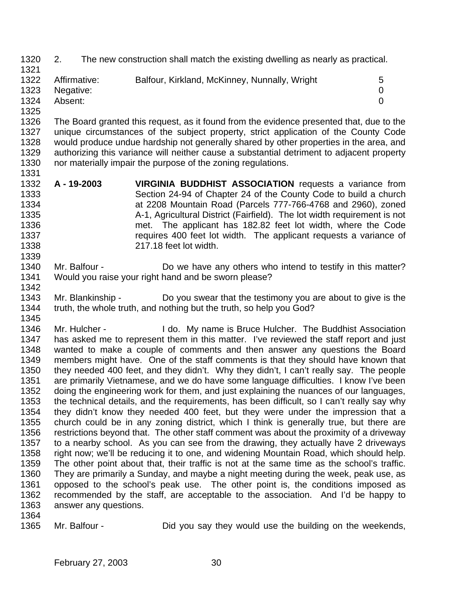- 2. The new construction shall match the existing dwelling as nearly as practical.
- 1322 Affirmative: Balfour, Kirkland, McKinney, Nunnally, Wright 5 Negative: 0 Absent: 0
- 

 The Board granted this request, as it found from the evidence presented that, due to the unique circumstances of the subject property, strict application of the County Code would produce undue hardship not generally shared by other properties in the area, and authorizing this variance will neither cause a substantial detriment to adjacent property nor materially impair the purpose of the zoning regulations. 

- **A 19-2003 VIRGINIA BUDDHIST ASSOCIATION** requests a variance from Section 24-94 of Chapter 24 of the County Code to build a church at 2208 Mountain Road (Parcels 777-766-4768 and 2960), zoned A-1, Agricultural District (Fairfield). The lot width requirement is not met. The applicant has 182.82 feet lot width, where the Code **requires 400 feet lot width.** The applicant requests a variance of 217.18 feet lot width.
- 1340 Mr. Balfour Do we have any others who intend to testify in this matter? Would you raise your right hand and be sworn please?
- Mr. Blankinship Do you swear that the testimony you are about to give is the truth, the whole truth, and nothing but the truth, so help you God?

1346 Mr. Hulcher - I do. My name is Bruce Hulcher. The Buddhist Association has asked me to represent them in this matter. I've reviewed the staff report and just 1348 wanted to make a couple of comments and then answer any questions the Board<br>1349 members might have. One of the staff comments is that they should have known that members might have. One of the staff comments is that they should have known that they needed 400 feet, and they didn't. Why they didn't, I can't really say. The people are primarily Vietnamese, and we do have some language difficulties. I know I've been doing the engineering work for them, and just explaining the nuances of our languages, the technical details, and the requirements, has been difficult, so I can't really say why they didn't know they needed 400 feet, but they were under the impression that a church could be in any zoning district, which I think is generally true, but there are restrictions beyond that. The other staff comment was about the proximity of a driveway to a nearby school. As you can see from the drawing, they actually have 2 driveways right now; we'll be reducing it to one, and widening Mountain Road, which should help. The other point about that, their traffic is not at the same time as the school's traffic. They are primarily a Sunday, and maybe a night meeting during the week, peak use, as opposed to the school's peak use. The other point is, the conditions imposed as recommended by the staff, are acceptable to the association. And I'd be happy to answer any questions.

Mr. Balfour - Did you say they would use the building on the weekends,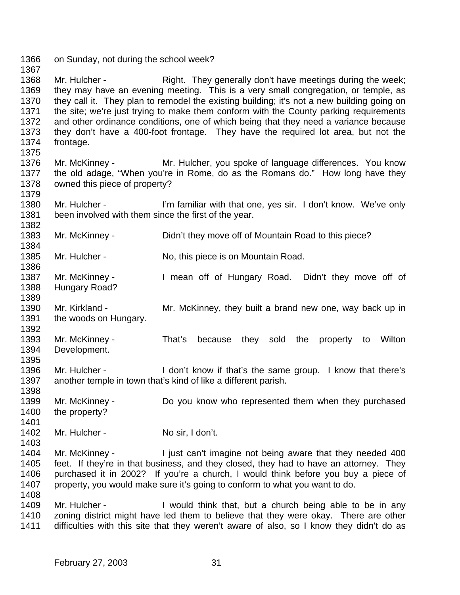on Sunday, not during the school week? 1368 Mr. Hulcher - Right. They generally don't have meetings during the week; they may have an evening meeting. This is a very small congregation, or temple, as they call it. They plan to remodel the existing building; it's not a new building going on the site; we're just trying to make them conform with the County parking requirements and other ordinance conditions, one of which being that they need a variance because they don't have a 400-foot frontage. They have the required lot area, but not the frontage. Mr. McKinney - Mr. Hulcher, you spoke of language differences. You know the old adage, "When you're in Rome, do as the Romans do." How long have they owned this piece of property? Mr. Hulcher - I'm familiar with that one, yes sir. I don't know. We've only been involved with them since the first of the year. 1383 Mr. McKinney - Didn't they move off of Mountain Road to this piece? 1385 Mr. Hulcher - No, this piece is on Mountain Road. 1387 Mr. McKinney - I mean off of Hungary Road. Didn't they move off of Hungary Road? 1390 Mr. Kirkland - Mr. McKinney, they built a brand new one, way back up in the woods on Hungary. Mr. McKinney - That's because they sold the property to Wilton Development. Mr. Hulcher - I don't know if that's the same group. I know that there's another temple in town that's kind of like a different parish. Mr. McKinney - Do you know who represented them when they purchased the property? 1402 Mr. Hulcher - No sir, I don't. Mr. McKinney - I just can't imagine not being aware that they needed 400 feet. If they're in that business, and they closed, they had to have an attorney. They purchased it in 2002? If you're a church, I would think before you buy a piece of property, you would make sure it's going to conform to what you want to do. 1409 Mr. Hulcher - I would think that, but a church being able to be in any zoning district might have led them to believe that they were okay. There are other difficulties with this site that they weren't aware of also, so I know they didn't do as

February 27, 2003 31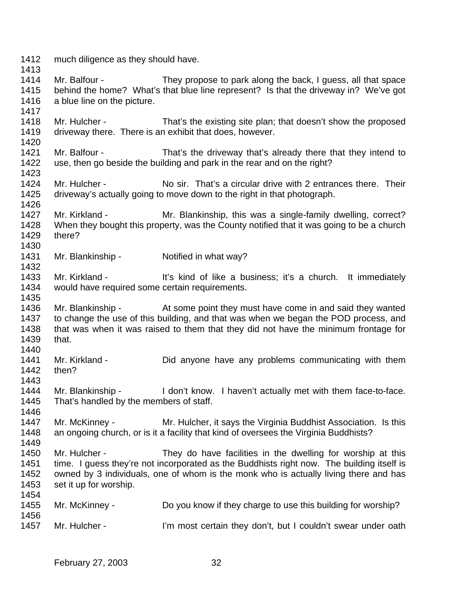much diligence as they should have.

 Mr. Balfour - They propose to park along the back, I guess, all that space behind the home? What's that blue line represent? Is that the driveway in? We've got a blue line on the picture.

 Mr. Hulcher - That's the existing site plan; that doesn't show the proposed driveway there. There is an exhibit that does, however.

 Mr. Balfour - That's the driveway that's already there that they intend to use, then go beside the building and park in the rear and on the right? 

 Mr. Hulcher - No sir. That's a circular drive with 2 entrances there. Their driveway's actually going to move down to the right in that photograph. 

 Mr. Kirkland - Mr. Blankinship, this was a single-family dwelling, correct? When they bought this property, was the County notified that it was going to be a church there? 

Mr. Blankinship - Notified in what way?

1433 Mr. Kirkland - It's kind of like a business; it's a church. It immediately would have required some certain requirements. 

 Mr. Blankinship - At some point they must have come in and said they wanted to change the use of this building, and that was when we began the POD process, and that was when it was raised to them that they did not have the minimum frontage for that. 

 Mr. Kirkland - Did anyone have any problems communicating with them then?

1444 Mr. Blankinship - I don't know. I haven't actually met with them face-to-face. That's handled by the members of staff. 

 Mr. McKinney - Mr. Hulcher, it says the Virginia Buddhist Association. Is this an ongoing church, or is it a facility that kind of oversees the Virginia Buddhists? 

 Mr. Hulcher - They do have facilities in the dwelling for worship at this time. I guess they're not incorporated as the Buddhists right now. The building itself is owned by 3 individuals, one of whom is the monk who is actually living there and has set it up for worship.

 Mr. McKinney - Do you know if they charge to use this building for worship? 1457 Mr. Hulcher - I'm most certain they don't, but I couldn't swear under oath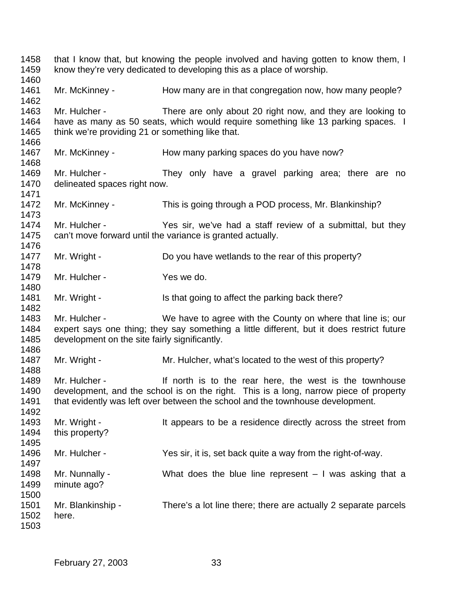that I know that, but knowing the people involved and having gotten to know them, I know they're very dedicated to developing this as a place of worship. 1461 Mr. McKinney - How many are in that congregation now, how many people? Mr. Hulcher - There are only about 20 right now, and they are looking to have as many as 50 seats, which would require something like 13 parking spaces. I 1465 think we're providing 21 or something like that. 1467 Mr. McKinney - How many parking spaces do you have now? 1469 Mr. Hulcher - They only have a gravel parking area; there are no delineated spaces right now. Mr. McKinney - This is going through a POD process, Mr. Blankinship? Mr. Hulcher - Yes sir, we've had a staff review of a submittal, but they can't move forward until the variance is granted actually. 1477 Mr. Wright - Do you have wetlands to the rear of this property? 1479 Mr. Hulcher - Yes we do. 1481 Mr. Wright - Is that going to affect the parking back there? Mr. Hulcher - We have to agree with the County on where that line is; our expert says one thing; they say something a little different, but it does restrict future development on the site fairly significantly. 1487 Mr. Wright - Mr. Hulcher, what's located to the west of this property? 1489 Mr. Hulcher - If north is to the rear here, the west is the townhouse development, and the school is on the right. This is a long, narrow piece of property that evidently was left over between the school and the townhouse development. 1492<br>1493 Mr. Wright - It appears to be a residence directly across the street from this property? Mr. Hulcher - Yes sir, it is, set back quite a way from the right-of-way. Mr. Nunnally - What does the blue line represent – I was asking that a minute ago? Mr. Blankinship - There's a lot line there; there are actually 2 separate parcels here.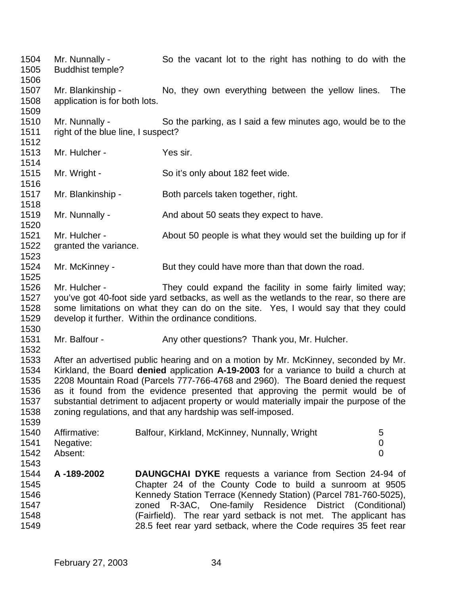Mr. Nunnally - So the vacant lot to the right has nothing to do with the Buddhist temple? Mr. Blankinship - No, they own everything between the yellow lines. The application is for both lots. Mr. Nunnally - So the parking, as I said a few minutes ago, would be to the right of the blue line, I suspect? 1513 Mr. Hulcher - Yes sir. Mr. Wright - So it's only about 182 feet wide. Mr. Blankinship - Both parcels taken together, right. 1519 Mr. Nunnally - And about 50 seats they expect to have. Mr. Hulcher - About 50 people is what they would set the building up for if 1522 aranted the variance. 1524 Mr. McKinney - But they could have more than that down the road. Mr. Hulcher - They could expand the facility in some fairly limited way; you've got 40-foot side yard setbacks, as well as the wetlands to the rear, so there are some limitations on what they can do on the site. Yes, I would say that they could develop it further. Within the ordinance conditions. 1531 Mr. Balfour - Any other questions? Thank you, Mr. Hulcher. After an advertised public hearing and on a motion by Mr. McKinney, seconded by Mr. Kirkland, the Board **denied** application **A-19-2003** for a variance to build a church at 2208 Mountain Road (Parcels 777-766-4768 and 2960). The Board denied the request as it found from the evidence presented that approving the permit would be of substantial detriment to adjacent property or would materially impair the purpose of the zoning regulations, and that any hardship was self-imposed. Affirmative: Balfour, Kirkland, McKinney, Nunnally, Wright 5 Negative: 0 Absent: 0 **A -189-2002 DAUNGCHAI DYKE** requests a variance from Section 24-94 of Chapter 24 of the County Code to build a sunroom at 9505 Kennedy Station Terrace (Kennedy Station) (Parcel 781-760-5025), zoned R-3AC, One-family Residence District (Conditional) (Fairfield). The rear yard setback is not met. The applicant has 28.5 feet rear yard setback, where the Code requires 35 feet rear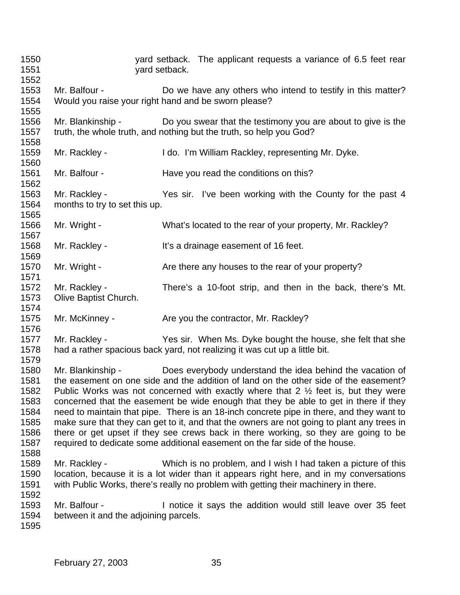| 1550<br>1551<br>1552                                                 |                                                                       | yard setback. | yard setback. The applicant requests a variance of 6.5 feet rear                                                                                                                                                                                                                                                                                                                                                                                                                                                                                                                                                                                                                                           |
|----------------------------------------------------------------------|-----------------------------------------------------------------------|---------------|------------------------------------------------------------------------------------------------------------------------------------------------------------------------------------------------------------------------------------------------------------------------------------------------------------------------------------------------------------------------------------------------------------------------------------------------------------------------------------------------------------------------------------------------------------------------------------------------------------------------------------------------------------------------------------------------------------|
| 1553<br>1554<br>1555                                                 | Mr. Balfour -<br>Would you raise your right hand and be sworn please? |               | Do we have any others who intend to testify in this matter?                                                                                                                                                                                                                                                                                                                                                                                                                                                                                                                                                                                                                                                |
| 1556<br>1557<br>1558                                                 |                                                                       |               | Mr. Blankinship - Do you swear that the testimony you are about to give is the<br>truth, the whole truth, and nothing but the truth, so help you God?                                                                                                                                                                                                                                                                                                                                                                                                                                                                                                                                                      |
| 1559<br>1560                                                         | Mr. Rackley -                                                         |               | I do. I'm William Rackley, representing Mr. Dyke.                                                                                                                                                                                                                                                                                                                                                                                                                                                                                                                                                                                                                                                          |
| 1561<br>1562                                                         | Mr. Balfour -                                                         |               | Have you read the conditions on this?                                                                                                                                                                                                                                                                                                                                                                                                                                                                                                                                                                                                                                                                      |
| 1563<br>1564<br>1565                                                 | Mr. Rackley -<br>months to try to set this up.                        |               | Yes sir. I've been working with the County for the past 4                                                                                                                                                                                                                                                                                                                                                                                                                                                                                                                                                                                                                                                  |
| 1566<br>1567                                                         | Mr. Wright -                                                          |               | What's located to the rear of your property, Mr. Rackley?                                                                                                                                                                                                                                                                                                                                                                                                                                                                                                                                                                                                                                                  |
| 1568<br>1569                                                         | Mr. Rackley -                                                         |               | It's a drainage easement of 16 feet.                                                                                                                                                                                                                                                                                                                                                                                                                                                                                                                                                                                                                                                                       |
| 1570<br>1571                                                         | Mr. Wright -                                                          |               | Are there any houses to the rear of your property?                                                                                                                                                                                                                                                                                                                                                                                                                                                                                                                                                                                                                                                         |
| 1572<br>1573<br>1574                                                 | Mr. Rackley -<br>Olive Baptist Church.                                |               | There's a 10-foot strip, and then in the back, there's Mt.                                                                                                                                                                                                                                                                                                                                                                                                                                                                                                                                                                                                                                                 |
| 1575<br>1576                                                         | Mr. McKinney -                                                        |               | Are you the contractor, Mr. Rackley?                                                                                                                                                                                                                                                                                                                                                                                                                                                                                                                                                                                                                                                                       |
| 1577<br>1578<br>1579                                                 | Mr. Rackley -                                                         |               | Yes sir. When Ms. Dyke bought the house, she felt that she<br>had a rather spacious back yard, not realizing it was cut up a little bit.                                                                                                                                                                                                                                                                                                                                                                                                                                                                                                                                                                   |
| 1580<br>1581<br>1582<br>1583<br>1584<br>1585<br>1586<br>1587<br>1588 | Mr. Blankinship -                                                     |               | Does everybody understand the idea behind the vacation of<br>the easement on one side and the addition of land on the other side of the easement?<br>Public Works was not concerned with exactly where that 2 $\frac{1}{2}$ feet is, but they were<br>concerned that the easement be wide enough that they be able to get in there if they<br>need to maintain that pipe. There is an 18-inch concrete pipe in there, and they want to<br>make sure that they can get to it, and that the owners are not going to plant any trees in<br>there or get upset if they see crews back in there working, so they are going to be<br>required to dedicate some additional easement on the far side of the house. |
| 1589<br>1590<br>1591<br>1592                                         | Mr. Rackley -                                                         |               | Which is no problem, and I wish I had taken a picture of this<br>location, because it is a lot wider than it appears right here, and in my conversations<br>with Public Works, there's really no problem with getting their machinery in there.                                                                                                                                                                                                                                                                                                                                                                                                                                                            |
| 1593<br>1594<br>1595                                                 | Mr. Balfour -<br>between it and the adjoining parcels.                |               | I notice it says the addition would still leave over 35 feet                                                                                                                                                                                                                                                                                                                                                                                                                                                                                                                                                                                                                                               |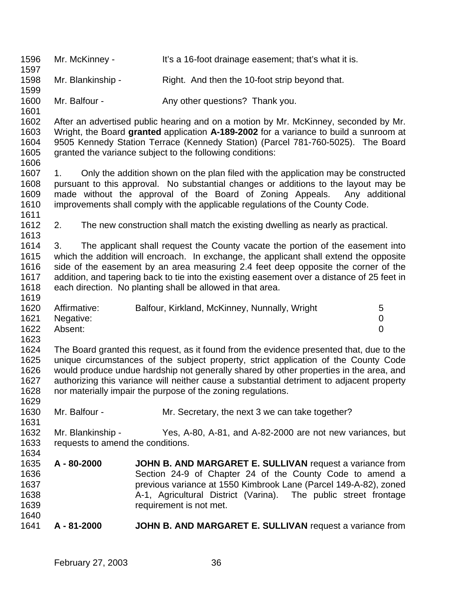Mr. McKinney - It's a 16-foot drainage easement; that's what it is. Mr. Blankinship - Right. And then the 10-foot strip beyond that. 1600 Mr. Balfour - Any other questions? Thank you. After an advertised public hearing and on a motion by Mr. McKinney, seconded by Mr. Wright, the Board **granted** application **A-189-2002** for a variance to build a sunroom at 9505 Kennedy Station Terrace (Kennedy Station) (Parcel 781-760-5025). The Board granted the variance subject to the following conditions: 1607 1. Only the addition shown on the plan filed with the application may be constructed pursuant to this approval. No substantial changes or additions to the layout may be 1609 made without the approval of the Board of Zoning Appeals. Any additional 1610 improvements shall comply with the applicable regulations of the County Code. improvements shall comply with the applicable regulations of the County Code. 2. The new construction shall match the existing dwelling as nearly as practical. 3. The applicant shall request the County vacate the portion of the easement into which the addition will encroach. In exchange, the applicant shall extend the opposite side of the easement by an area measuring 2.4 feet deep opposite the corner of the addition, and tapering back to tie into the existing easement over a distance of 25 feet in each direction. No planting shall be allowed in that area. 1620 Affirmative: Balfour, Kirkland, McKinney, Nunnally, Wright 5 Negative: 0 Absent: 0 The Board granted this request, as it found from the evidence presented that, due to the unique circumstances of the subject property, strict application of the County Code would produce undue hardship not generally shared by other properties in the area, and authorizing this variance will neither cause a substantial detriment to adjacent property nor materially impair the purpose of the zoning regulations. Mr. Balfour - Mr. Secretary, the next 3 we can take together? Mr. Blankinship - Yes, A-80, A-81, and A-82-2000 are not new variances, but requests to amend the conditions. **A - 80-2000 JOHN B. AND MARGARET E. SULLIVAN** request a variance from Section 24-9 of Chapter 24 of the County Code to amend a previous variance at 1550 Kimbrook Lane (Parcel 149-A-82), zoned A-1, Agricultural District (Varina). The public street frontage requirement is not met. **A - 81-2000 JOHN B. AND MARGARET E. SULLIVAN** request a variance from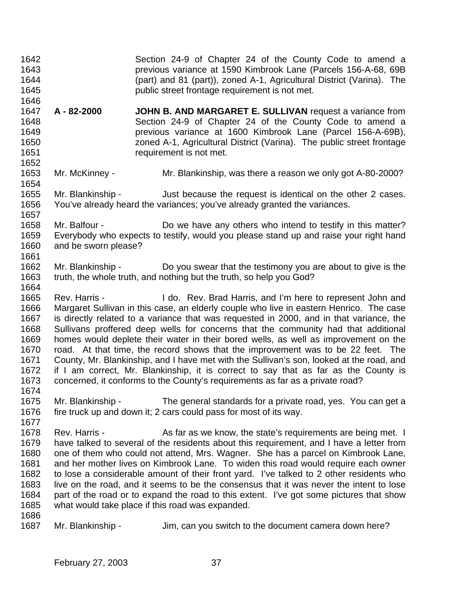| 1642<br>1643<br>1644<br>1645<br>1646                                         |                                                                                                                                                                                                                                                                                                                                                                                                                                                                                                                                                                                                                                                                                                                                                                                                        | Section 24-9 of Chapter 24 of the County Code to amend a<br>previous variance at 1590 Kimbrook Lane (Parcels 156-A-68, 69B<br>(part) and 81 (part)), zoned A-1, Agricultural District (Varina). The<br>public street frontage requirement is not met.                                                                                                                                                                                                                                                                                                                                                                                                                    |  |
|------------------------------------------------------------------------------|--------------------------------------------------------------------------------------------------------------------------------------------------------------------------------------------------------------------------------------------------------------------------------------------------------------------------------------------------------------------------------------------------------------------------------------------------------------------------------------------------------------------------------------------------------------------------------------------------------------------------------------------------------------------------------------------------------------------------------------------------------------------------------------------------------|--------------------------------------------------------------------------------------------------------------------------------------------------------------------------------------------------------------------------------------------------------------------------------------------------------------------------------------------------------------------------------------------------------------------------------------------------------------------------------------------------------------------------------------------------------------------------------------------------------------------------------------------------------------------------|--|
| 1647<br>1648<br>1649<br>1650<br>1651<br>1652                                 | A - 82-2000                                                                                                                                                                                                                                                                                                                                                                                                                                                                                                                                                                                                                                                                                                                                                                                            | JOHN B. AND MARGARET E. SULLIVAN request a variance from<br>Section 24-9 of Chapter 24 of the County Code to amend a<br>previous variance at 1600 Kimbrook Lane (Parcel 156-A-69B),<br>zoned A-1, Agricultural District (Varina). The public street frontage<br>requirement is not met.                                                                                                                                                                                                                                                                                                                                                                                  |  |
| 1653<br>1654                                                                 | Mr. McKinney -                                                                                                                                                                                                                                                                                                                                                                                                                                                                                                                                                                                                                                                                                                                                                                                         | Mr. Blankinship, was there a reason we only got A-80-2000?                                                                                                                                                                                                                                                                                                                                                                                                                                                                                                                                                                                                               |  |
| 1655<br>1656<br>1657                                                         | Mr. Blankinship -                                                                                                                                                                                                                                                                                                                                                                                                                                                                                                                                                                                                                                                                                                                                                                                      | Just because the request is identical on the other 2 cases.<br>You've already heard the variances; you've already granted the variances.                                                                                                                                                                                                                                                                                                                                                                                                                                                                                                                                 |  |
| 1658<br>1659<br>1660<br>1661                                                 | Mr. Balfour -<br>and be sworn please?                                                                                                                                                                                                                                                                                                                                                                                                                                                                                                                                                                                                                                                                                                                                                                  | Do we have any others who intend to testify in this matter?<br>Everybody who expects to testify, would you please stand up and raise your right hand                                                                                                                                                                                                                                                                                                                                                                                                                                                                                                                     |  |
| 1662<br>1663<br>1664                                                         | Mr. Blankinship -                                                                                                                                                                                                                                                                                                                                                                                                                                                                                                                                                                                                                                                                                                                                                                                      | Do you swear that the testimony you are about to give is the<br>truth, the whole truth, and nothing but the truth, so help you God?                                                                                                                                                                                                                                                                                                                                                                                                                                                                                                                                      |  |
| 1665<br>1666<br>1667<br>1668<br>1669<br>1670<br>1671<br>1672<br>1673<br>1674 | Rev. Harris -<br>I do. Rev. Brad Harris, and I'm here to represent John and<br>Margaret Sullivan in this case, an elderly couple who live in eastern Henrico. The case<br>is directly related to a variance that was requested in 2000, and in that variance, the<br>Sullivans proffered deep wells for concerns that the community had that additional<br>homes would deplete their water in their bored wells, as well as improvement on the<br>road. At that time, the record shows that the improvement was to be 22 feet. The<br>County, Mr. Blankinship, and I have met with the Sullivan's son, looked at the road, and<br>if I am correct, Mr. Blankinship, it is correct to say that as far as the County is<br>concerned, it conforms to the County's requirements as far as a private road? |                                                                                                                                                                                                                                                                                                                                                                                                                                                                                                                                                                                                                                                                          |  |
| 1675<br>1676<br>1677                                                         | Mr. Blankinship -                                                                                                                                                                                                                                                                                                                                                                                                                                                                                                                                                                                                                                                                                                                                                                                      | The general standards for a private road, yes. You can get a<br>fire truck up and down it; 2 cars could pass for most of its way.                                                                                                                                                                                                                                                                                                                                                                                                                                                                                                                                        |  |
| 1678<br>1679<br>1680<br>1681<br>1682<br>1683<br>1684<br>1685<br>1686         | Rev. Harris -                                                                                                                                                                                                                                                                                                                                                                                                                                                                                                                                                                                                                                                                                                                                                                                          | As far as we know, the state's requirements are being met. I<br>have talked to several of the residents about this requirement, and I have a letter from<br>one of them who could not attend, Mrs. Wagner. She has a parcel on Kimbrook Lane,<br>and her mother lives on Kimbrook Lane. To widen this road would require each owner<br>to lose a considerable amount of their front yard. I've talked to 2 other residents who<br>live on the road, and it seems to be the consensus that it was never the intent to lose<br>part of the road or to expand the road to this extent. I've got some pictures that show<br>what would take place if this road was expanded. |  |
| 1687                                                                         | Mr. Blankinship -                                                                                                                                                                                                                                                                                                                                                                                                                                                                                                                                                                                                                                                                                                                                                                                      | Jim, can you switch to the document camera down here?                                                                                                                                                                                                                                                                                                                                                                                                                                                                                                                                                                                                                    |  |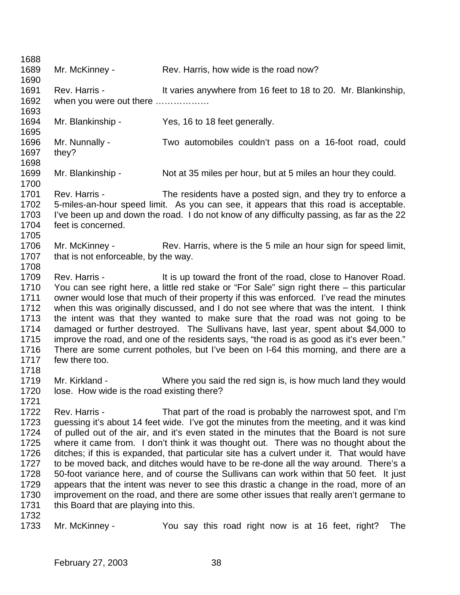1689 Mr. McKinney - Rev. Harris, how wide is the road now? 1691 Rev. Harris - It varies anywhere from 16 feet to 18 to 20. Mr. Blankinship, when you were out there ……………… Mr. Blankinship - Yes, 16 to 18 feet generally. Mr. Nunnally - Two automobiles couldn't pass on a 16-foot road, could they? Mr. Blankinship - Not at 35 miles per hour, but at 5 miles an hour they could. Rev. Harris - The residents have a posted sign, and they try to enforce a 5-miles-an-hour speed limit. As you can see, it appears that this road is acceptable. I've been up and down the road. I do not know of any difficulty passing, as far as the 22 feet is concerned. 1706 Mr. McKinney - Rev. Harris, where is the 5 mile an hour sign for speed limit, 1707 that is not enforceable, by the way. 1709 Rev. Harris - It is up toward the front of the road, close to Hanover Road. You can see right here, a little red stake or "For Sale" sign right there – this particular owner would lose that much of their property if this was enforced. I've read the minutes when this was originally discussed, and I do not see where that was the intent. I think the intent was that they wanted to make sure that the road was not going to be damaged or further destroyed. The Sullivans have, last year, spent about \$4,000 to improve the road, and one of the residents says, "the road is as good as it's ever been." 1716 There are some current potholes, but I've been on I-64 this morning, and there are a 1717 few there too. few there too. Mr. Kirkland - Where you said the red sign is, is how much land they would lose. How wide is the road existing there? Rev. Harris - That part of the road is probably the narrowest spot, and I'm 1723 guessing it's about 14 feet wide. I've got the minutes from the meeting, and it was kind of pulled out of the air, and it's even stated in the minutes that the Board is not sure where it came from. I don't think it was thought out. There was no thought about the ditches; if this is expanded, that particular site has a culvert under it. That would have to be moved back, and ditches would have to be re-done all the way around. There's a 50-foot variance here, and of course the Sullivans can work within that 50 feet. It just appears that the intent was never to see this drastic a change in the road, more of an improvement on the road, and there are some other issues that really aren't germane to 1731 this Board that are playing into this. Mr. McKinney - You say this road right now is at 16 feet, right? The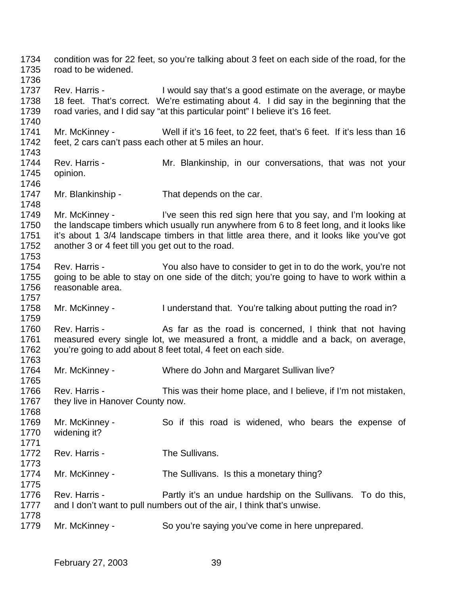condition was for 22 feet, so you're talking about 3 feet on each side of the road, for the road to be widened. Rev. Harris - I would say that's a good estimate on the average, or maybe 18 feet. That's correct. We're estimating about 4. I did say in the beginning that the road varies, and I did say "at this particular point" I believe it's 16 feet. Mr. McKinney - Well if it's 16 feet, to 22 feet, that's 6 feet. If it's less than 16 feet, 2 cars can't pass each other at 5 miles an hour. 1744 Rev. Harris - Mr. Blankinship, in our conversations, that was not your opinion. 1747 Mr. Blankinship - That depends on the car. 1749 Mr. McKinney - I've seen this red sign here that you say, and I'm looking at the landscape timbers which usually run anywhere from 6 to 8 feet long, and it looks like it's about 1 3/4 landscape timbers in that little area there, and it looks like you've got another 3 or 4 feet till you get out to the road. Rev. Harris - You also have to consider to get in to do the work, you're not going to be able to stay on one side of the ditch; you're going to have to work within a reasonable area. 1758 Mr. McKinney - I understand that. You're talking about putting the road in? 1760 Rev. Harris - As far as the road is concerned, I think that not having measured every single lot, we measured a front, a middle and a back, on average, you're going to add about 8 feet total, 4 feet on each side. Mr. McKinney - Where do John and Margaret Sullivan live? Rev. Harris - This was their home place, and I believe, if I'm not mistaken, 1767 they live in Hanover County now. Mr. McKinney - So if this road is widened, who bears the expense of widening it? 1772 Rev. Harris - The Sullivans. Mr. McKinney - The Sullivans. Is this a monetary thing? Rev. Harris - Partly it's an undue hardship on the Sullivans. To do this, and I don't want to pull numbers out of the air, I think that's unwise. Mr. McKinney - So you're saying you've come in here unprepared.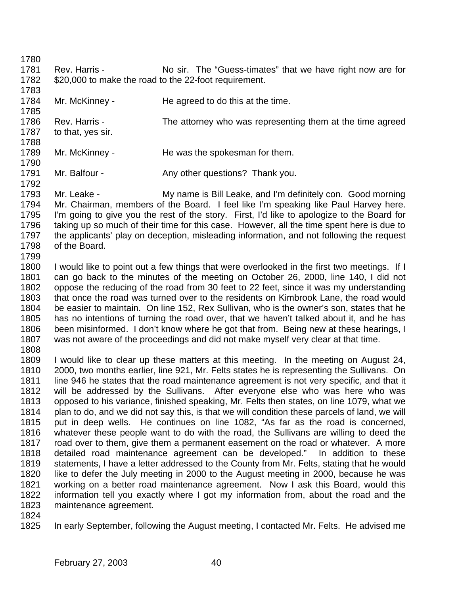- 
- 1781 Rev. Harris No sir. The "Guess-timates" that we have right now are for \$20,000 to make the road to the 22-foot requirement.
- 1784 Mr. McKinney - He agreed to do this at the time.
- 1786 Rev. Harris - The attorney who was representing them at the time agreed to that, yes sir.
- 1789 Mr. McKinney He was the spokesman for them.
- 1791 Mr. Balfour - Any other questions? Thank you.
- Mr. Leake - My name is Bill Leake, and I'm definitely con. Good morning Mr. Chairman, members of the Board. I feel like I'm speaking like Paul Harvey here. I'm going to give you the rest of the story. First, I'd like to apologize to the Board for taking up so much of their time for this case. However, all the time spent here is due to the applicants' play on deception, misleading information, and not following the request of the Board.
- 
- I would like to point out a few things that were overlooked in the first two meetings. If I can go back to the minutes of the meeting on October 26, 2000, line 140, I did not oppose the reducing of the road from 30 feet to 22 feet, since it was my understanding that once the road was turned over to the residents on Kimbrook Lane, the road would be easier to maintain. On line 152, Rex Sullivan, who is the owner's son, states that he has no intentions of turning the road over, that we haven't talked about it, and he has been misinformed. I don't know where he got that from. Being new at these hearings, I was not aware of the proceedings and did not make myself very clear at that time.
- 
- I would like to clear up these matters at this meeting. In the meeting on August 24, 2000, two months earlier, line 921, Mr. Felts states he is representing the Sullivans. On line 946 he states that the road maintenance agreement is not very specific, and that it will be addressed by the Sullivans. After everyone else who was here who was opposed to his variance, finished speaking, Mr. Felts then states, on line 1079, what we plan to do, and we did not say this, is that we will condition these parcels of land, we will put in deep wells. He continues on line 1082, "As far as the road is concerned, whatever these people want to do with the road, the Sullivans are willing to deed the road over to them, give them a permanent easement on the road or whatever. A more detailed road maintenance agreement can be developed." In addition to these statements, I have a letter addressed to the County from Mr. Felts, stating that he would like to defer the July meeting in 2000 to the August meeting in 2000, because he was working on a better road maintenance agreement. Now I ask this Board, would this information tell you exactly where I got my information from, about the road and the maintenance agreement.
- 
- In early September, following the August meeting, I contacted Mr. Felts. He advised me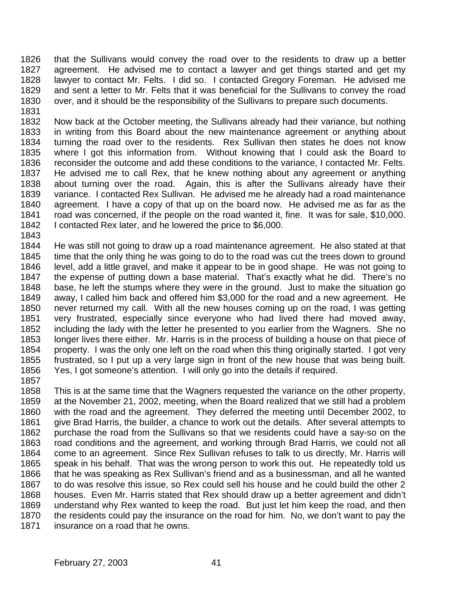that the Sullivans would convey the road over to the residents to draw up a better agreement. He advised me to contact a lawyer and get things started and get my lawyer to contact Mr. Felts. I did so. I contacted Gregory Foreman. He advised me and sent a letter to Mr. Felts that it was beneficial for the Sullivans to convey the road over, and it should be the responsibility of the Sullivans to prepare such documents. 

 Now back at the October meeting, the Sullivans already had their variance, but nothing in writing from this Board about the new maintenance agreement or anything about turning the road over to the residents. Rex Sullivan then states he does not know where I got this information from. Without knowing that I could ask the Board to reconsider the outcome and add these conditions to the variance, I contacted Mr. Felts. He advised me to call Rex, that he knew nothing about any agreement or anything about turning over the road. Again, this is after the Sullivans already have their variance. I contacted Rex Sullivan. He advised me he already had a road maintenance agreement. I have a copy of that up on the board now. He advised me as far as the road was concerned, if the people on the road wanted it, fine. It was for sale, \$10,000. I contacted Rex later, and he lowered the price to \$6,000.

 He was still not going to draw up a road maintenance agreement. He also stated at that time that the only thing he was going to do to the road was cut the trees down to ground level, add a little gravel, and make it appear to be in good shape. He was not going to the expense of putting down a base material. That's exactly what he did. There's no base, he left the stumps where they were in the ground. Just to make the situation go away, I called him back and offered him \$3,000 for the road and a new agreement. He never returned my call. With all the new houses coming up on the road, I was getting very frustrated, especially since everyone who had lived there had moved away, including the lady with the letter he presented to you earlier from the Wagners. She no longer lives there either. Mr. Harris is in the process of building a house on that piece of property. I was the only one left on the road when this thing originally started. I got very frustrated, so I put up a very large sign in front of the new house that was being built. Yes, I got someone's attention. I will only go into the details if required.

 This is at the same time that the Wagners requested the variance on the other property, at the November 21, 2002, meeting, when the Board realized that we still had a problem with the road and the agreement. They deferred the meeting until December 2002, to 1861 give Brad Harris, the builder, a chance to work out the details. After several attempts to purchase the road from the Sullivans so that we residents could have a say-so on the road conditions and the agreement, and working through Brad Harris, we could not all come to an agreement. Since Rex Sullivan refuses to talk to us directly, Mr. Harris will speak in his behalf. That was the wrong person to work this out. He repeatedly told us that he was speaking as Rex Sullivan's friend and as a businessman, and all he wanted to do was resolve this issue, so Rex could sell his house and he could build the other 2 houses. Even Mr. Harris stated that Rex should draw up a better agreement and didn't understand why Rex wanted to keep the road. But just let him keep the road, and then the residents could pay the insurance on the road for him. No, we don't want to pay the insurance on a road that he owns.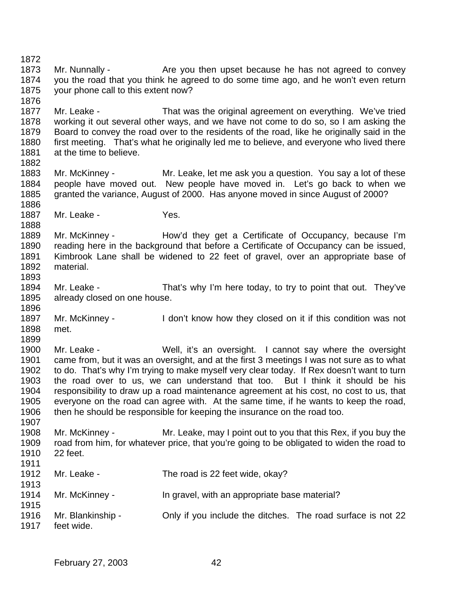1873 Mr. Nunnally - Are you then upset because he has not agreed to convey you the road that you think he agreed to do some time ago, and he won't even return your phone call to this extent now? 1877 Mr. Leake - That was the original agreement on everything. We've tried working it out several other ways, and we have not come to do so, so I am asking the Board to convey the road over to the residents of the road, like he originally said in the first meeting. That's what he originally led me to believe, and everyone who lived there 1881 at the time to believe. Mr. McKinney - Mr. Leake, let me ask you a question. You say a lot of these people have moved out. New people have moved in. Let's go back to when we granted the variance, August of 2000. Has anyone moved in since August of 2000? 1887 Mr. Leake - Yes. Mr. McKinney - How'd they get a Certificate of Occupancy, because I'm reading here in the background that before a Certificate of Occupancy can be issued, Kimbrook Lane shall be widened to 22 feet of gravel, over an appropriate base of material. Mr. Leake - That's why I'm here today, to try to point that out. They've already closed on one house. Mr. McKinney - I don't know how they closed on it if this condition was not met. Mr. Leake - Well, it's an oversight. I cannot say where the oversight came from, but it was an oversight, and at the first 3 meetings I was not sure as to what to do. That's why I'm trying to make myself very clear today. If Rex doesn't want to turn the road over to us, we can understand that too. But I think it should be his responsibility to draw up a road maintenance agreement at his cost, no cost to us, that everyone on the road can agree with. At the same time, if he wants to keep the road, then he should be responsible for keeping the insurance on the road too. Mr. McKinney - Mr. Leake, may I point out to you that this Rex, if you buy the road from him, for whatever price, that you're going to be obligated to widen the road to 22 feet. 1912 Mr. Leake - The road is 22 feet wide, okay? Mr. McKinney - In gravel, with an appropriate base material? Mr. Blankinship - Only if you include the ditches. The road surface is not 22 feet wide.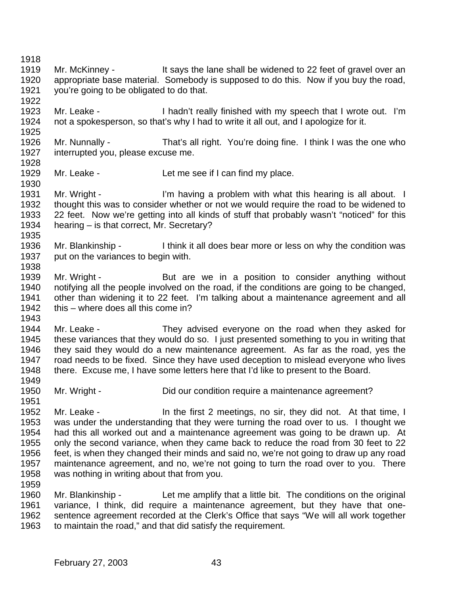1919 Mr. McKinney - It says the lane shall be widened to 22 feet of gravel over an appropriate base material. Somebody is supposed to do this. Now if you buy the road, you're going to be obligated to do that. Mr. Leake - I hadn't really finished with my speech that I wrote out. I'm not a spokesperson, so that's why I had to write it all out, and I apologize for it. 1926 Mr. Nunnally - That's all right. You're doing fine. I think I was the one who<br>1927 interrupted vou. please excuse me. interrupted you, please excuse me. 1929 Mr. Leake - Let me see if I can find my place. 1931 Mr. Wright - I'm having a problem with what this hearing is all about. I thought this was to consider whether or not we would require the road to be widened to 22 feet. Now we're getting into all kinds of stuff that probably wasn't "noticed" for this hearing – is that correct, Mr. Secretary? Mr. Blankinship - I think it all does bear more or less on why the condition was 1937 put on the variances to begin with. 1939 Mr. Wright - But are we in a position to consider anything without notifying all the people involved on the road, if the conditions are going to be changed, other than widening it to 22 feet. I'm talking about a maintenance agreement and all 1942 this – where does all this come in? Mr. Leake - They advised everyone on the road when they asked for these variances that they would do so. I just presented something to you in writing that they said they would do a new maintenance agreement. As far as the road, yes the road needs to be fixed. Since they have used deception to mislead everyone who lives there. Excuse me, I have some letters here that I'd like to present to the Board. 1950 Mr. Wright - Did our condition require a maintenance agreement? 1952 Mr. Leake - In the first 2 meetings, no sir, they did not. At that time, I was under the understanding that they were turning the road over to us. I thought we had this all worked out and a maintenance agreement was going to be drawn up. At only the second variance, when they came back to reduce the road from 30 feet to 22 feet, is when they changed their minds and said no, we're not going to draw up any road maintenance agreement, and no, we're not going to turn the road over to you. There was nothing in writing about that from you. Mr. Blankinship - Let me amplify that a little bit. The conditions on the original variance, I think, did require a maintenance agreement, but they have that one- sentence agreement recorded at the Clerk's Office that says "We will all work together to maintain the road," and that did satisfy the requirement.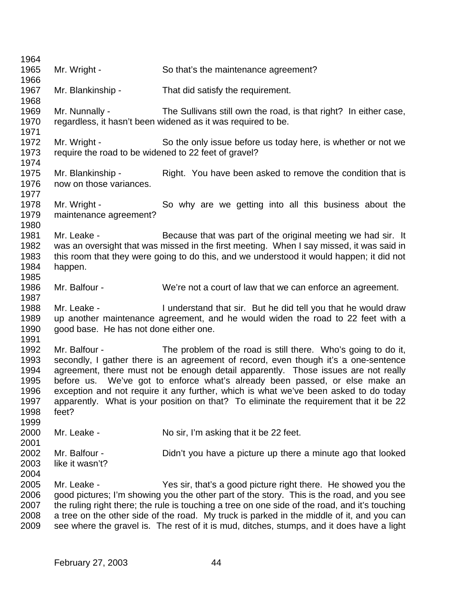| 1964         |                                                                                                                                                                               |                                                                                                |  |
|--------------|-------------------------------------------------------------------------------------------------------------------------------------------------------------------------------|------------------------------------------------------------------------------------------------|--|
| 1965         | Mr. Wright -                                                                                                                                                                  | So that's the maintenance agreement?                                                           |  |
| 1966         |                                                                                                                                                                               |                                                                                                |  |
| 1967         | Mr. Blankinship -                                                                                                                                                             | That did satisfy the requirement.                                                              |  |
| 1968         |                                                                                                                                                                               |                                                                                                |  |
| 1969         | Mr. Nunnally -                                                                                                                                                                | The Sullivans still own the road, is that right? In either case,                               |  |
| 1970         |                                                                                                                                                                               | regardless, it hasn't been widened as it was required to be.                                   |  |
| 1971         |                                                                                                                                                                               |                                                                                                |  |
| 1972         | Mr. Wright -                                                                                                                                                                  | So the only issue before us today here, is whether or not we                                   |  |
| 1973         | require the road to be widened to 22 feet of gravel?                                                                                                                          |                                                                                                |  |
| 1974         |                                                                                                                                                                               |                                                                                                |  |
| 1975         | Mr. Blankinship -                                                                                                                                                             | Right. You have been asked to remove the condition that is                                     |  |
| 1976         | now on those variances.                                                                                                                                                       |                                                                                                |  |
| 1977         |                                                                                                                                                                               |                                                                                                |  |
| 1978         | Mr. Wright -                                                                                                                                                                  | So why are we getting into all this business about the                                         |  |
| 1979         | maintenance agreement?                                                                                                                                                        |                                                                                                |  |
| 1980         |                                                                                                                                                                               |                                                                                                |  |
| 1981         | Mr. Leake -                                                                                                                                                                   | Because that was part of the original meeting we had sir. It                                   |  |
| 1982         |                                                                                                                                                                               | was an oversight that was missed in the first meeting. When I say missed, it was said in       |  |
| 1983         |                                                                                                                                                                               | this room that they were going to do this, and we understood it would happen; it did not       |  |
| 1984         | happen.                                                                                                                                                                       |                                                                                                |  |
| 1985         |                                                                                                                                                                               |                                                                                                |  |
| 1986         | Mr. Balfour -                                                                                                                                                                 | We're not a court of law that we can enforce an agreement.                                     |  |
| 1987         |                                                                                                                                                                               |                                                                                                |  |
| 1988         | Mr. Leake -                                                                                                                                                                   | I understand that sir. But he did tell you that he would draw                                  |  |
| 1989         |                                                                                                                                                                               | up another maintenance agreement, and he would widen the road to 22 feet with a                |  |
| 1990         | good base. He has not done either one.                                                                                                                                        |                                                                                                |  |
| 1991<br>1992 |                                                                                                                                                                               |                                                                                                |  |
|              | Mr. Balfour -                                                                                                                                                                 | The problem of the road is still there. Who's going to do it,                                  |  |
| 1993         |                                                                                                                                                                               | secondly, I gather there is an agreement of record, even though it's a one-sentence            |  |
| 1994         | before us.                                                                                                                                                                    | agreement, there must not be enough detail apparently. Those issues are not really             |  |
| 1995<br>1996 |                                                                                                                                                                               | We've got to enforce what's already been passed, or else make an                               |  |
| 1997         | exception and not require it any further, which is what we've been asked to do today<br>apparently. What is your position on that? To eliminate the requirement that it be 22 |                                                                                                |  |
| 1998         | feet?                                                                                                                                                                         |                                                                                                |  |
| 1999         |                                                                                                                                                                               |                                                                                                |  |
| 2000         | Mr. Leake -                                                                                                                                                                   | No sir, I'm asking that it be 22 feet.                                                         |  |
| 2001         |                                                                                                                                                                               |                                                                                                |  |
| 2002         | Mr. Balfour -                                                                                                                                                                 | Didn't you have a picture up there a minute ago that looked                                    |  |
| 2003         | like it wasn't?                                                                                                                                                               |                                                                                                |  |
| 2004         |                                                                                                                                                                               |                                                                                                |  |
| 2005         | Mr. Leake -                                                                                                                                                                   | Yes sir, that's a good picture right there. He showed you the                                  |  |
| 2006         |                                                                                                                                                                               | good pictures; I'm showing you the other part of the story. This is the road, and you see      |  |
| 2007         |                                                                                                                                                                               | the ruling right there; the rule is touching a tree on one side of the road, and it's touching |  |
| 2008         |                                                                                                                                                                               | a tree on the other side of the road. My truck is parked in the middle of it, and you can      |  |
| 2009         |                                                                                                                                                                               | see where the gravel is. The rest of it is mud, ditches, stumps, and it does have a light      |  |
|              |                                                                                                                                                                               |                                                                                                |  |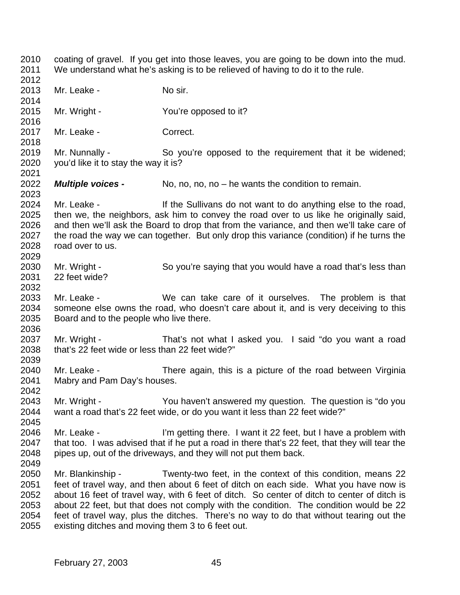coating of gravel. If you get into those leaves, you are going to be down into the mud. We understand what he's asking is to be relieved of having to do it to the rule. 2013 Mr. Leake - No sir. Mr. Wright - You're opposed to it? 2017 Mr. Leake - Correct. Mr. Nunnally - So you're opposed to the requirement that it be widened; you'd like it to stay the way it is? *Multiple voices -* No, no, no, no – he wants the condition to remain. 2023<br>2024 Mr. Leake - The Sullivans do not want to do anything else to the road, then we, the neighbors, ask him to convey the road over to us like he originally said, and then we'll ask the Board to drop that from the variance, and then we'll take care of the road the way we can together. But only drop this variance (condition) if he turns the road over to us. Mr. Wright - So you're saying that you would have a road that's less than 22 feet wide? Mr. Leake - We can take care of it ourselves. The problem is that someone else owns the road, who doesn't care about it, and is very deceiving to this Board and to the people who live there. Mr. Wright - That's not what I asked you. I said "do you want a road that's 22 feet wide or less than 22 feet wide?" Mr. Leake - There again, this is a picture of the road between Virginia Mabry and Pam Day's houses. Mr. Wright - You haven't answered my question. The question is "do you want a road that's 22 feet wide, or do you want it less than 22 feet wide?" 2046 Mr. Leake - I'm getting there. I want it 22 feet, but I have a problem with that too. I was advised that if he put a road in there that's 22 feet, that they will tear the pipes up, out of the driveways, and they will not put them back. Mr. Blankinship - Twenty-two feet, in the context of this condition, means 22 feet of travel way, and then about 6 feet of ditch on each side. What you have now is about 16 feet of travel way, with 6 feet of ditch. So center of ditch to center of ditch is about 22 feet, but that does not comply with the condition. The condition would be 22 feet of travel way, plus the ditches. There's no way to do that without tearing out the existing ditches and moving them 3 to 6 feet out.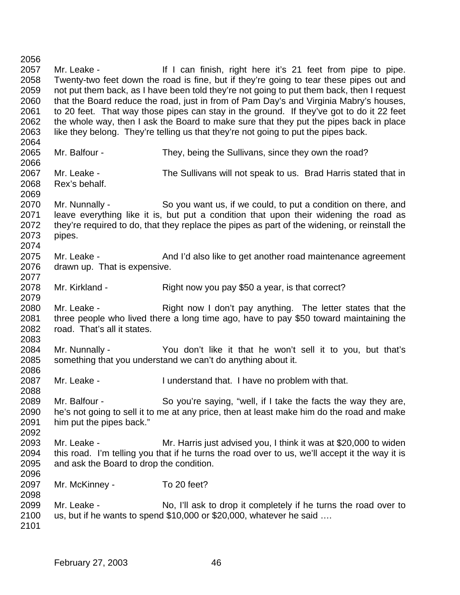2057 Mr. Leake - If I can finish, right here it's 21 feet from pipe to pipe. Twenty-two feet down the road is fine, but if they're going to tear these pipes out and not put them back, as I have been told they're not going to put them back, then I request that the Board reduce the road, just in from of Pam Day's and Virginia Mabry's houses, to 20 feet. That way those pipes can stay in the ground. If they've got to do it 22 feet the whole way, then I ask the Board to make sure that they put the pipes back in place like they belong. They're telling us that they're not going to put the pipes back. Mr. Balfour - They, being the Sullivans, since they own the road? Mr. Leake - The Sullivans will not speak to us. Brad Harris stated that in Rex's behalf. Mr. Nunnally - So you want us, if we could, to put a condition on there, and leave everything like it is, but put a condition that upon their widening the road as 2072 they're required to do, that they replace the pipes as part of the widening, or reinstall the pipes. 2075 Mr. Leake - And I'd also like to get another road maintenance agreement drawn up. That is expensive. Mr. Kirkland - Right now you pay \$50 a year, is that correct? 2080 Mr. Leake - Right now I don't pay anything. The letter states that the three people who lived there a long time ago, have to pay \$50 toward maintaining the 2082 road. That's all it states. Mr. Nunnally - You don't like it that he won't sell it to you, but that's something that you understand we can't do anything about it. Mr. Leake - I understand that. I have no problem with that. 2089 Mr. Balfour - So you're saying, "well, if I take the facts the way they are,<br>2090 he's not going to sell it to me at any price, then at least make him do the road and make he's not going to sell it to me at any price, then at least make him do the road and make him put the pipes back." Mr. Leake - Mr. Harris just advised you, I think it was at \$20,000 to widen this road. I'm telling you that if he turns the road over to us, we'll accept it the way it is and ask the Board to drop the condition. Mr. McKinney - To 20 feet? Mr. Leake - No, I'll ask to drop it completely if he turns the road over to us, but if he wants to spend \$10,000 or \$20,000, whatever he said ….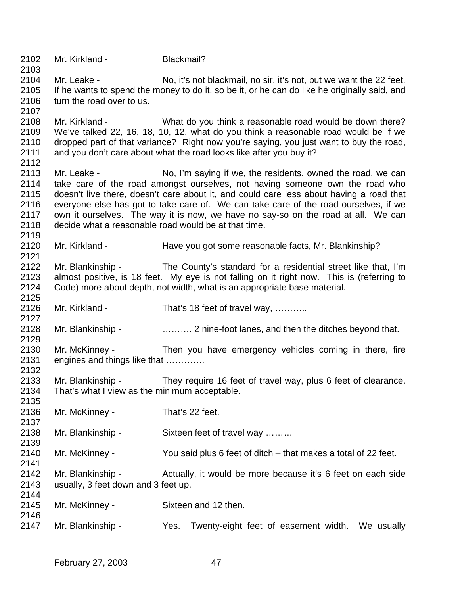Mr. Kirkland - Blackmail? Mr. Leake - No, it's not blackmail, no sir, it's not, but we want the 22 feet. If he wants to spend the money to do it, so be it, or he can do like he originally said, and 2106 turn the road over to us. Mr. Kirkland - What do you think a reasonable road would be down there? We've talked 22, 16, 18, 10, 12, what do you think a reasonable road would be if we dropped part of that variance? Right now you're saying, you just want to buy the road, and you don't care about what the road looks like after you buy it? Mr. Leake - No, I'm saying if we, the residents, owned the road, we can take care of the road amongst ourselves, not having someone own the road who doesn't live there, doesn't care about it, and could care less about having a road that everyone else has got to take care of. We can take care of the road ourselves, if we own it ourselves. The way it is now, we have no say-so on the road at all. We can decide what a reasonable road would be at that time. 2120 Mr. Kirkland - Have you got some reasonable facts, Mr. Blankinship? Mr. Blankinship - The County's standard for a residential street like that, I'm almost positive, is 18 feet. My eye is not falling on it right now. This is (referring to Code) more about depth, not width, what is an appropriate base material. 2126 Mr. Kirkland - That's 18 feet of travel way, ........... Mr. Blankinship - ………. 2 nine-foot lanes, and then the ditches beyond that. Mr. McKinney - Then you have emergency vehicles coming in there, fire engines and things like that …………. Mr. Blankinship - They require 16 feet of travel way, plus 6 feet of clearance. That's what I view as the minimum acceptable. Mr. McKinney - That's 22 feet. Mr. Blankinship - Sixteen feet of travel way ……… Mr. McKinney - You said plus 6 feet of ditch – that makes a total of 22 feet. Mr. Blankinship - Actually, it would be more because it's 6 feet on each side usually, 3 feet down and 3 feet up. Mr. McKinney - Sixteen and 12 then. Mr. Blankinship - Yes. Twenty-eight feet of easement width. We usually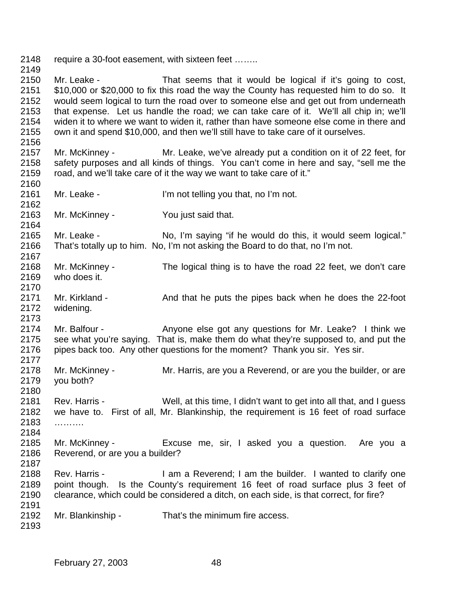2148 require a 30-foot easement, with sixteen feet .......

 Mr. Leake - That seems that it would be logical if it's going to cost, \$10,000 or \$20,000 to fix this road the way the County has requested him to do so. It would seem logical to turn the road over to someone else and get out from underneath that expense. Let us handle the road; we can take care of it. We'll all chip in; we'll widen it to where we want to widen it, rather than have someone else come in there and own it and spend \$10,000, and then we'll still have to take care of it ourselves.

- Mr. McKinney Mr. Leake, we've already put a condition on it of 22 feet, for safety purposes and all kinds of things. You can't come in here and say, "sell me the road, and we'll take care of it the way we want to take care of it."
- Mr. Leake I'm not telling you that, no I'm not.

Mr. McKinney - You just said that.

 Mr. Leake - No, I'm saying "if he would do this, it would seem logical." That's totally up to him. No, I'm not asking the Board to do that, no I'm not. 

- Mr. McKinney The logical thing is to have the road 22 feet, we don't care who does it.
- 2171 Mr. Kirkland - And that he puts the pipes back when he does the 22-foot widening.

2174 Mr. Balfour - Anyone else got any questions for Mr. Leake? I think we see what you're saying. That is, make them do what they're supposed to, and put the 2176 pipes back too. Any other questions for the moment? Thank you sir. Yes sir. 

- Mr. McKinney Mr. Harris, are you a Reverend, or are you the builder, or are you both?
- Rev. Harris Well, at this time, I didn't want to get into all that, and I guess we have to. First of all, Mr. Blankinship, the requirement is 16 feet of road surface ……….
- Mr. McKinney Excuse me, sir, I asked you a question. Are you a Reverend, or are you a builder?
- Rev. Harris I am a Reverend; I am the builder. I wanted to clarify one point though. Is the County's requirement 16 feet of road surface plus 3 feet of clearance, which could be considered a ditch, on each side, is that correct, for fire?
- Mr. Blankinship That's the minimum fire access.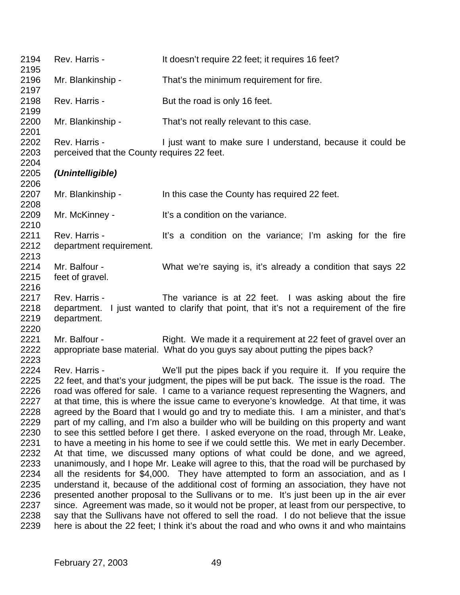| 2194<br>2195                                                                                                                 | Rev. Harris -                                                | It doesn't require 22 feet; it requires 16 feet?                                                                                                                                                                                                                                                                                                                                                                                                                                                                                                                                                                                                                                                                                                                                                                                                                                                                                                                                                                                                                                                                                                                                                                                                                                                                                                                                                                                                                              |
|------------------------------------------------------------------------------------------------------------------------------|--------------------------------------------------------------|-------------------------------------------------------------------------------------------------------------------------------------------------------------------------------------------------------------------------------------------------------------------------------------------------------------------------------------------------------------------------------------------------------------------------------------------------------------------------------------------------------------------------------------------------------------------------------------------------------------------------------------------------------------------------------------------------------------------------------------------------------------------------------------------------------------------------------------------------------------------------------------------------------------------------------------------------------------------------------------------------------------------------------------------------------------------------------------------------------------------------------------------------------------------------------------------------------------------------------------------------------------------------------------------------------------------------------------------------------------------------------------------------------------------------------------------------------------------------------|
| 2196<br>2197                                                                                                                 | Mr. Blankinship -                                            | That's the minimum requirement for fire.                                                                                                                                                                                                                                                                                                                                                                                                                                                                                                                                                                                                                                                                                                                                                                                                                                                                                                                                                                                                                                                                                                                                                                                                                                                                                                                                                                                                                                      |
| 2198<br>2199                                                                                                                 | Rev. Harris -                                                | But the road is only 16 feet.                                                                                                                                                                                                                                                                                                                                                                                                                                                                                                                                                                                                                                                                                                                                                                                                                                                                                                                                                                                                                                                                                                                                                                                                                                                                                                                                                                                                                                                 |
| 2200<br>2201                                                                                                                 | Mr. Blankinship -                                            | That's not really relevant to this case.                                                                                                                                                                                                                                                                                                                                                                                                                                                                                                                                                                                                                                                                                                                                                                                                                                                                                                                                                                                                                                                                                                                                                                                                                                                                                                                                                                                                                                      |
| 2202<br>2203<br>2204                                                                                                         | Rev. Harris -<br>perceived that the County requires 22 feet. | I just want to make sure I understand, because it could be                                                                                                                                                                                                                                                                                                                                                                                                                                                                                                                                                                                                                                                                                                                                                                                                                                                                                                                                                                                                                                                                                                                                                                                                                                                                                                                                                                                                                    |
| 2205<br>2206                                                                                                                 | (Unintelligible)                                             |                                                                                                                                                                                                                                                                                                                                                                                                                                                                                                                                                                                                                                                                                                                                                                                                                                                                                                                                                                                                                                                                                                                                                                                                                                                                                                                                                                                                                                                                               |
| 2207<br>2208                                                                                                                 | Mr. Blankinship -                                            | In this case the County has required 22 feet.                                                                                                                                                                                                                                                                                                                                                                                                                                                                                                                                                                                                                                                                                                                                                                                                                                                                                                                                                                                                                                                                                                                                                                                                                                                                                                                                                                                                                                 |
| 2209<br>2210                                                                                                                 | Mr. McKinney -                                               | It's a condition on the variance.                                                                                                                                                                                                                                                                                                                                                                                                                                                                                                                                                                                                                                                                                                                                                                                                                                                                                                                                                                                                                                                                                                                                                                                                                                                                                                                                                                                                                                             |
| 2211<br>2212<br>2213                                                                                                         | Rev. Harris -<br>department requirement.                     | It's a condition on the variance; I'm asking for the fire                                                                                                                                                                                                                                                                                                                                                                                                                                                                                                                                                                                                                                                                                                                                                                                                                                                                                                                                                                                                                                                                                                                                                                                                                                                                                                                                                                                                                     |
| 2214<br>2215<br>2216                                                                                                         | Mr. Balfour -<br>feet of gravel.                             | What we're saying is, it's already a condition that says 22                                                                                                                                                                                                                                                                                                                                                                                                                                                                                                                                                                                                                                                                                                                                                                                                                                                                                                                                                                                                                                                                                                                                                                                                                                                                                                                                                                                                                   |
| 2217<br>2218<br>2219<br>2220                                                                                                 | Rev. Harris -<br>department.                                 | The variance is at 22 feet. I was asking about the fire<br>department. I just wanted to clarify that point, that it's not a requirement of the fire                                                                                                                                                                                                                                                                                                                                                                                                                                                                                                                                                                                                                                                                                                                                                                                                                                                                                                                                                                                                                                                                                                                                                                                                                                                                                                                           |
| 2221<br>2222<br>2223                                                                                                         | Mr. Balfour -                                                | Right. We made it a requirement at 22 feet of gravel over an<br>appropriate base material. What do you guys say about putting the pipes back?                                                                                                                                                                                                                                                                                                                                                                                                                                                                                                                                                                                                                                                                                                                                                                                                                                                                                                                                                                                                                                                                                                                                                                                                                                                                                                                                 |
| 2224<br>2225<br>2226<br>2227<br>2228<br>2229<br>2230<br>2231<br>2232<br>2233<br>2234<br>2235<br>2236<br>2237<br>2238<br>2239 | Rev. Harris -                                                | We'll put the pipes back if you require it. If you require the<br>22 feet, and that's your judgment, the pipes will be put back. The issue is the road. The<br>road was offered for sale. I came to a variance request representing the Wagners, and<br>at that time, this is where the issue came to everyone's knowledge. At that time, it was<br>agreed by the Board that I would go and try to mediate this. I am a minister, and that's<br>part of my calling, and I'm also a builder who will be building on this property and want<br>to see this settled before I get there. I asked everyone on the road, through Mr. Leake,<br>to have a meeting in his home to see if we could settle this. We met in early December.<br>At that time, we discussed many options of what could be done, and we agreed,<br>unanimously, and I hope Mr. Leake will agree to this, that the road will be purchased by<br>all the residents for \$4,000. They have attempted to form an association, and as I<br>understand it, because of the additional cost of forming an association, they have not<br>presented another proposal to the Sullivans or to me. It's just been up in the air ever<br>since. Agreement was made, so it would not be proper, at least from our perspective, to<br>say that the Sullivans have not offered to sell the road. I do not believe that the issue<br>here is about the 22 feet; I think it's about the road and who owns it and who maintains |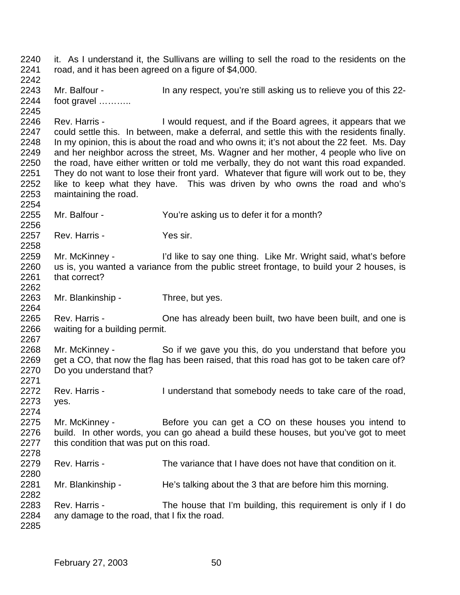it. As I understand it, the Sullivans are willing to sell the road to the residents on the road, and it has been agreed on a figure of \$4,000. Mr. Balfour - In any respect, you're still asking us to relieve you of this 22- foot gravel ……….. Rev. Harris - I would request, and if the Board agrees, it appears that we could settle this. In between, make a deferral, and settle this with the residents finally. In my opinion, this is about the road and who owns it; it's not about the 22 feet. Ms. Day and her neighbor across the street, Ms. Wagner and her mother, 4 people who live on the road, have either written or told me verbally, they do not want this road expanded. They do not want to lose their front yard. Whatever that figure will work out to be, they like to keep what they have. This was driven by who owns the road and who's maintaining the road. Mr. Balfour - You're asking us to defer it for a month? 2257 Rev. Harris - Yes sir. Mr. McKinney - I'd like to say one thing. Like Mr. Wright said, what's before us is, you wanted a variance from the public street frontage, to build your 2 houses, is that correct? 2263 Mr. Blankinship - Three, but yes. Rev. Harris - One has already been built, two have been built, and one is waiting for a building permit. Mr. McKinney - So if we gave you this, do you understand that before you 2269 get a CO, that now the flag has been raised, that this road has got to be taken care of? Do you understand that? Rev. Harris - I understand that somebody needs to take care of the road, yes. Mr. McKinney - Before you can get a CO on these houses you intend to build. In other words, you can go ahead a build these houses, but you've got to meet this condition that was put on this road. Rev. Harris - The variance that I have does not have that condition on it. 2281 Mr. Blankinship - He's talking about the 3 that are before him this morning. Rev. Harris - The house that I'm building, this requirement is only if I do any damage to the road, that I fix the road.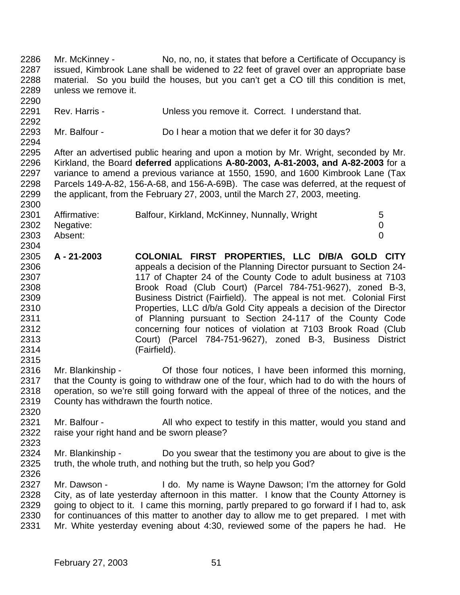Mr. McKinney - No, no, no, it states that before a Certificate of Occupancy is issued, Kimbrook Lane shall be widened to 22 feet of gravel over an appropriate base material. So you build the houses, but you can't get a CO till this condition is met, unless we remove it. Rev. Harris - Unless you remove it. Correct. I understand that. Mr. Balfour - Do I hear a motion that we defer it for 30 days? After an advertised public hearing and upon a motion by Mr. Wright, seconded by Mr. Kirkland, the Board **deferred** applications **A-80-2003, A-81-2003, and A-82-2003** for a variance to amend a previous variance at 1550, 1590, and 1600 Kimbrook Lane (Tax Parcels 149-A-82, 156-A-68, and 156-A-69B). The case was deferred, at the request of the applicant, from the February 27, 2003, until the March 27, 2003, meeting. 2301 Affirmative: Balfour, Kirkland, McKinney, Nunnally, Wright 5 Negative: 0 Absent: 0 **A - 21-2003 COLONIAL FIRST PROPERTIES, LLC D/B/A GOLD CITY** appeals a decision of the Planning Director pursuant to Section 24- 117 of Chapter 24 of the County Code to adult business at 7103 Brook Road (Club Court) (Parcel 784-751-9627), zoned B-3, **Business District (Fairfield).** The appeal is not met. Colonial First 2310 Properties, LLC d/b/a Gold City appeals a decision of the Director of Planning pursuant to Section 24-117 of the County Code concerning four notices of violation at 7103 Brook Road (Club Court) (Parcel 784-751-9627), zoned B-3, Business District (Fairfield). Mr. Blankinship - Of those four notices, I have been informed this morning, 2317 that the County is going to withdraw one of the four, which had to do with the hours of operation, so we're still going forward with the appeal of three of the notices, and the County has withdrawn the fourth notice. 2321 Mr. Balfour - All who expect to testify in this matter, would you stand and raise your right hand and be sworn please? Mr. Blankinship - Do you swear that the testimony you are about to give is the truth, the whole truth, and nothing but the truth, so help you God? 2327 Mr. Dawson - I do. My name is Wayne Dawson; I'm the attorney for Gold City, as of late yesterday afternoon in this matter. I know that the County Attorney is 2329 going to object to it. I came this morning, partly prepared to go forward if I had to, ask for continuances of this matter to another day to allow me to get prepared. I met with Mr. White yesterday evening about 4:30, reviewed some of the papers he had. He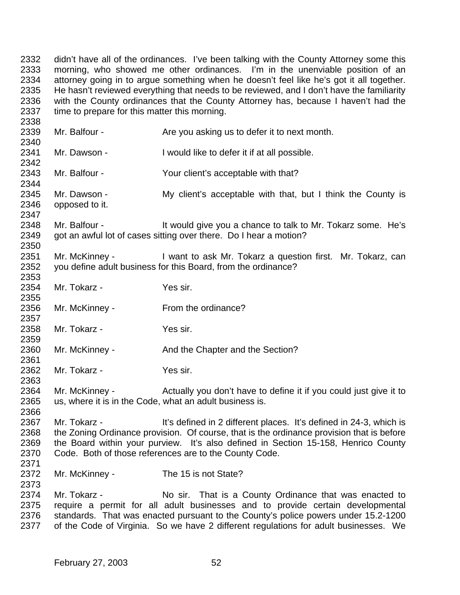didn't have all of the ordinances. I've been talking with the County Attorney some this morning, who showed me other ordinances. I'm in the unenviable position of an attorney going in to argue something when he doesn't feel like he's got it all together. He hasn't reviewed everything that needs to be reviewed, and I don't have the familiarity with the County ordinances that the County Attorney has, because I haven't had the time to prepare for this matter this morning.

2339 Mr. Balfour - Are you asking us to defer it to next month. Mr. Dawson - I would like to defer it if at all possible. Mr. Balfour - Your client's acceptable with that? 2345 Mr. Dawson - My client's acceptable with that, but I think the County is opposed to it. 2348 Mr. Balfour - It would give you a chance to talk to Mr. Tokarz some. He's got an awful lot of cases sitting over there. Do I hear a motion? Mr. McKinney - I want to ask Mr. Tokarz a question first. Mr. Tokarz, can you define adult business for this Board, from the ordinance? Mr. Tokarz - Yes sir. 2355<br>2356 Mr. McKinney - From the ordinance? Mr. Tokarz - Yes sir. 2360 Mr. McKinney - And the Chapter and the Section? Mr. Tokarz - Yes sir. Mr. McKinney - Actually you don't have to define it if you could just give it to us, where it is in the Code, what an adult business is. Mr. Tokarz - It's defined in 2 different places. It's defined in 24-3, which is 2368 the Zoning Ordinance provision. Of course, that is the ordinance provision that is before the Board within your purview. It's also defined in Section 15-158, Henrico County Code. Both of those references are to the County Code. Mr. McKinney - The 15 is not State? 2374 Mr. Tokarz - No sir. That is a County Ordinance that was enacted to require a permit for all adult businesses and to provide certain developmental standards. That was enacted pursuant to the County's police powers under 15.2-1200 of the Code of Virginia. So we have 2 different regulations for adult businesses. We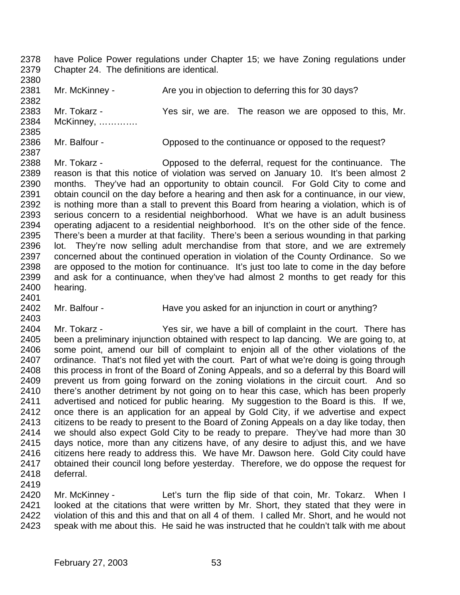- have Police Power regulations under Chapter 15; we have Zoning regulations under Chapter 24. The definitions are identical.
- 2381 Mr. McKinney - Are you in objection to deferring this for 30 days? Mr. Tokarz - Yes sir, we are. The reason we are opposed to this, Mr. McKinney, ………….
- Mr. Balfour Opposed to the continuance or opposed to the request?
- Mr. Tokarz Opposed to the deferral, request for the continuance. The reason is that this notice of violation was served on January 10. It's been almost 2 months. They've had an opportunity to obtain council. For Gold City to come and obtain council on the day before a hearing and then ask for a continuance, in our view, is nothing more than a stall to prevent this Board from hearing a violation, which is of serious concern to a residential neighborhood. What we have is an adult business operating adjacent to a residential neighborhood. It's on the other side of the fence. There's been a murder at that facility. There's been a serious wounding in that parking lot. They're now selling adult merchandise from that store, and we are extremely concerned about the continued operation in violation of the County Ordinance. So we are opposed to the motion for continuance. It's just too late to come in the day before and ask for a continuance, when they've had almost 2 months to get ready for this hearing.
- 2402 Mr. Balfour Have you asked for an injunction in court or anything?
- Mr. Tokarz Yes sir, we have a bill of complaint in the court. There has been a preliminary injunction obtained with respect to lap dancing. We are going to, at some point, amend our bill of complaint to enjoin all of the other violations of the ordinance. That's not filed yet with the court. Part of what we're doing is going through this process in front of the Board of Zoning Appeals, and so a deferral by this Board will prevent us from going forward on the zoning violations in the circuit court. And so there's another detriment by not going on to hear this case, which has been properly advertised and noticed for public hearing. My suggestion to the Board is this. If we, once there is an application for an appeal by Gold City, if we advertise and expect citizens to be ready to present to the Board of Zoning Appeals on a day like today, then we should also expect Gold City to be ready to prepare. They've had more than 30 days notice, more than any citizens have, of any desire to adjust this, and we have citizens here ready to address this. We have Mr. Dawson here. Gold City could have obtained their council long before yesterday. Therefore, we do oppose the request for deferral.
- Mr. McKinney Let's turn the flip side of that coin, Mr. Tokarz. When I 2421 looked at the citations that were written by Mr. Short, they stated that they were in<br>2422 violation of this and this and that on all 4 of them. I called Mr. Short, and he would not violation of this and this and that on all 4 of them. I called Mr. Short, and he would not speak with me about this. He said he was instructed that he couldn't talk with me about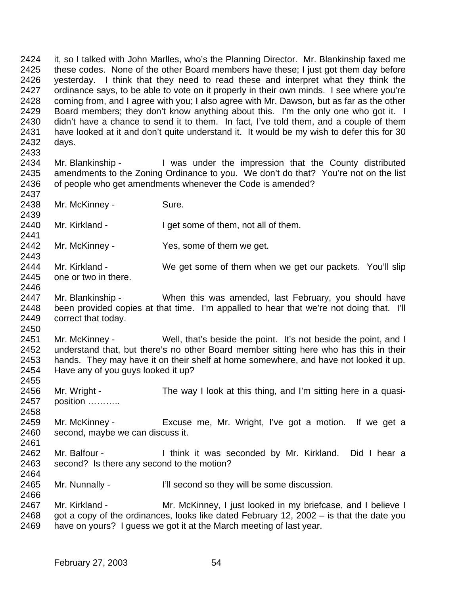it, so I talked with John Marlles, who's the Planning Director. Mr. Blankinship faxed me these codes. None of the other Board members have these; I just got them day before yesterday. I think that they need to read these and interpret what they think the ordinance says, to be able to vote on it properly in their own minds. I see where you're coming from, and I agree with you; I also agree with Mr. Dawson, but as far as the other Board members; they don't know anything about this. I'm the only one who got it. I didn't have a chance to send it to them. In fact, I've told them, and a couple of them have looked at it and don't quite understand it. It would be my wish to defer this for 30 days. 

- 2434 Mr. Blankinship I was under the impression that the County distributed amendments to the Zoning Ordinance to you. We don't do that? You're not on the list of people who get amendments whenever the Code is amended?
- 2438 Mr. McKinney Sure.

- Mr. Kirkland I get some of them, not all of them.
- Mr. McKinney Yes, some of them we get.
- 2444 Mr. Kirkland We get some of them when we get our packets. You'll slip one or two in there.
- Mr. Blankinship When this was amended, last February, you should have been provided copies at that time. I'm appalled to hear that we're not doing that. I'll correct that today.
- Mr. McKinney Well, that's beside the point. It's not beside the point, and I understand that, but there's no other Board member sitting here who has this in their hands. They may have it on their shelf at home somewhere, and have not looked it up. Have any of you guys looked it up?
- 2456 Mr. Wright The way I look at this thing, and I'm sitting here in a quasi-position ………..
- Mr. McKinney Excuse me, Mr. Wright, I've got a motion. If we get a second, maybe we can discuss it.
- 2462 Mr. Balfour I think it was seconded by Mr. Kirkland. Did I hear a second? Is there any second to the motion?
- Mr. Nunnally I'll second so they will be some discussion.
- 2467 Mr. Kirkland Mr. McKinney, I just looked in my briefcase, and I believe I<br>2468 got a copy of the ordinances. looks like dated February 12. 2002 is that the date you got a copy of the ordinances, looks like dated February 12, 2002 – is that the date you have on yours? I guess we got it at the March meeting of last year.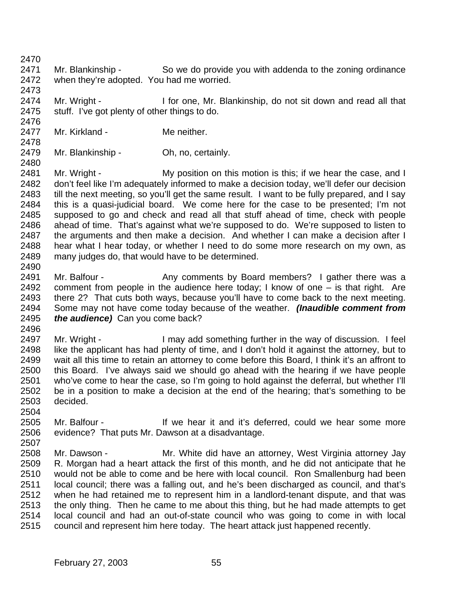Mr. Blankinship - So we do provide you with addenda to the zoning ordinance when they're adopted. You had me worried.

2473<br>2474 Mr. Wright - I for one, Mr. Blankinship, do not sit down and read all that stuff. I've got plenty of other things to do. 

- 2477 Mr. Kirkland Me neither.
- Mr. Blankinship Oh, no, certainly.

2481 Mr. Wright - My position on this motion is this; if we hear the case, and I don't feel like I'm adequately informed to make a decision today, we'll defer our decision 2483 till the next meeting, so you'll get the same result. I want to be fully prepared, and I say<br>2484 this is a quasi-judicial board. We come here for the case to be presented: I'm not this is a quasi-judicial board. We come here for the case to be presented; I'm not supposed to go and check and read all that stuff ahead of time, check with people ahead of time. That's against what we're supposed to do. We're supposed to listen to the arguments and then make a decision. And whether I can make a decision after I hear what I hear today, or whether I need to do some more research on my own, as many judges do, that would have to be determined. 

- 2491 Mr. Balfour Any comments by Board members? I gather there was a comment from people in the audience here today; I know of one – is that right. Are there 2? That cuts both ways, because you'll have to come back to the next meeting. Some may not have come today because of the weather. *(Inaudible comment from the audience)* Can you come back?
- 

 Mr. Wright - I may add something further in the way of discussion. I feel like the applicant has had plenty of time, and I don't hold it against the attorney, but to wait all this time to retain an attorney to come before this Board, I think it's an affront to this Board. I've always said we should go ahead with the hearing if we have people who've come to hear the case, so I'm going to hold against the deferral, but whether I'll be in a position to make a decision at the end of the hearing; that's something to be decided. 

- Mr. Balfour If we hear it and it's deferred, could we hear some more evidence? That puts Mr. Dawson at a disadvantage.
- Mr. Dawson - Mr. White did have an attorney, West Virginia attorney Jay R. Morgan had a heart attack the first of this month, and he did not anticipate that he would not be able to come and be here with local council. Ron Smallenburg had been local council; there was a falling out, and he's been discharged as council, and that's when he had retained me to represent him in a landlord-tenant dispute, and that was the only thing. Then he came to me about this thing, but he had made attempts to get local council and had an out-of-state council who was going to come in with local council and represent him here today. The heart attack just happened recently.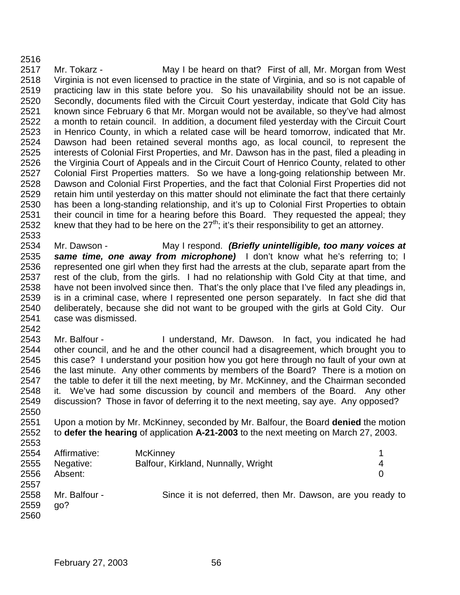2517 Mr. Tokarz - May I be heard on that? First of all, Mr. Morgan from West Virginia is not even licensed to practice in the state of Virginia, and so is not capable of practicing law in this state before you. So his unavailability should not be an issue. Secondly, documents filed with the Circuit Court yesterday, indicate that Gold City has known since February 6 that Mr. Morgan would not be available, so they've had almost a month to retain council. In addition, a document filed yesterday with the Circuit Court in Henrico County, in which a related case will be heard tomorrow, indicated that Mr. Dawson had been retained several months ago, as local council, to represent the interests of Colonial First Properties, and Mr. Dawson has in the past, filed a pleading in the Virginia Court of Appeals and in the Circuit Court of Henrico County, related to other Colonial First Properties matters. So we have a long-going relationship between Mr. Dawson and Colonial First Properties, and the fact that Colonial First Properties did not retain him until yesterday on this matter should not eliminate the fact that there certainly has been a long-standing relationship, and it's up to Colonial First Properties to obtain their council in time for a hearing before this Board. They requested the appeal; they 2532 knew that they had to be here on the  $27<sup>th</sup>$ ; it's their responsibility to get an attorney.

 Mr. Dawson - May I respond. *(Briefly unintelligible, too many voices at same time, one away from microphone)* I don't know what he's referring to; I represented one girl when they first had the arrests at the club, separate apart from the rest of the club, from the girls. I had no relationship with Gold City at that time, and have not been involved since then. That's the only place that I've filed any pleadings in, is in a criminal case, where I represented one person separately. In fact she did that deliberately, because she did not want to be grouped with the girls at Gold City. Our case was dismissed.

 Mr. Balfour - I understand, Mr. Dawson. In fact, you indicated he had other council, and he and the other council had a disagreement, which brought you to this case? I understand your position how you got here through no fault of your own at the last minute. Any other comments by members of the Board? There is a motion on the table to defer it till the next meeting, by Mr. McKinney, and the Chairman seconded it. We've had some discussion by council and members of the Board. Any other discussion? Those in favor of deferring it to the next meeting, say aye. Any opposed? 

 Upon a motion by Mr. McKinney, seconded by Mr. Balfour, the Board **denied** the motion to **defer the hearing** of application **A-21-2003** to the next meeting on March 27, 2003. 

| 2554 | Affirmative:  | <b>McKinney</b>                                             |   |
|------|---------------|-------------------------------------------------------------|---|
| 2555 | Negative:     | Balfour, Kirkland, Nunnally, Wright                         | 4 |
| 2556 | Absent:       |                                                             | 0 |
| 2557 |               |                                                             |   |
| 2558 | Mr. Balfour - | Since it is not deferred, then Mr. Dawson, are you ready to |   |
| 2559 | ao?           |                                                             |   |
| 2560 |               |                                                             |   |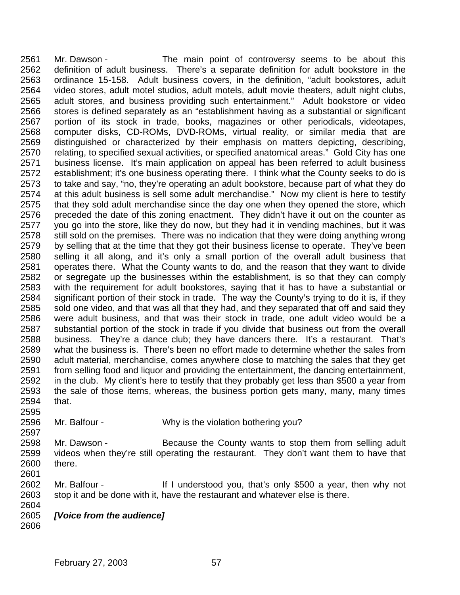Mr. Dawson - The main point of controversy seems to be about this definition of adult business. There's a separate definition for adult bookstore in the ordinance 15-158. Adult business covers, in the definition, "adult bookstores, adult video stores, adult motel studios, adult motels, adult movie theaters, adult night clubs, adult stores, and business providing such entertainment." Adult bookstore or video stores is defined separately as an "establishment having as a substantial or significant portion of its stock in trade, books, magazines or other periodicals, videotapes, computer disks, CD-ROMs, DVD-ROMs, virtual reality, or similar media that are distinguished or characterized by their emphasis on matters depicting, describing, 2570 relating, to specified sexual activities, or specified anatomical areas." Gold City has one<br>2571 business license. It's main application on appeal has been referred to adult business business license. It's main application on appeal has been referred to adult business establishment; it's one business operating there. I think what the County seeks to do is to take and say, "no, they're operating an adult bookstore, because part of what they do at this adult business is sell some adult merchandise." Now my client is here to testify that they sold adult merchandise since the day one when they opened the store, which preceded the date of this zoning enactment. They didn't have it out on the counter as you go into the store, like they do now, but they had it in vending machines, but it was 2578 still sold on the premises. There was no indication that they were doing anything wrong 2579 by selling that at the time that they got their business license to operate. They've been selling it all along, and it's only a small portion of the overall adult business that operates there. What the County wants to do, and the reason that they want to divide or segregate up the businesses within the establishment, is so that they can comply with the requirement for adult bookstores, saying that it has to have a substantial or significant portion of their stock in trade. The way the County's trying to do it is, if they sold one video, and that was all that they had, and they separated that off and said they were adult business, and that was their stock in trade, one adult video would be a substantial portion of the stock in trade if you divide that business out from the overall business. They're a dance club; they have dancers there. It's a restaurant. That's what the business is. There's been no effort made to determine whether the sales from adult material, merchandise, comes anywhere close to matching the sales that they get from selling food and liquor and providing the entertainment, the dancing entertainment, in the club. My client's here to testify that they probably get less than \$500 a year from the sale of those items, whereas, the business portion gets many, many, many times that. 

Mr. Balfour - Why is the violation bothering you?

 Mr. Dawson - Because the County wants to stop them from selling adult videos when they're still operating the restaurant. They don't want them to have that there.

 Mr. Balfour - If I understood you, that's only \$500 a year, then why not stop it and be done with it, have the restaurant and whatever else is there. 

*[Voice from the audience]*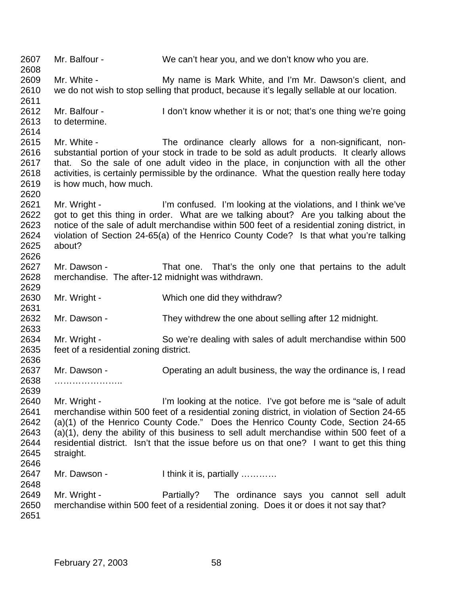| 2607<br>2608                         | Mr. Balfour -                          | We can't hear you, and we don't know who you are.                                                                                                                                                                                                                                |
|--------------------------------------|----------------------------------------|----------------------------------------------------------------------------------------------------------------------------------------------------------------------------------------------------------------------------------------------------------------------------------|
| 2609<br>2610<br>2611                 | Mr. White -                            | My name is Mark White, and I'm Mr. Dawson's client, and<br>we do not wish to stop selling that product, because it's legally sellable at our location.                                                                                                                           |
| 2612<br>2613<br>2614                 | Mr. Balfour -<br>to determine.         | I don't know whether it is or not; that's one thing we're going                                                                                                                                                                                                                  |
| 2615                                 | Mr. White -                            | The ordinance clearly allows for a non-significant, non-                                                                                                                                                                                                                         |
| 2616<br>2617<br>2618<br>2619         | is how much, how much.                 | substantial portion of your stock in trade to be sold as adult products. It clearly allows<br>that. So the sale of one adult video in the place, in conjunction with all the other<br>activities, is certainly permissible by the ordinance. What the question really here today |
| 2620                                 |                                        |                                                                                                                                                                                                                                                                                  |
| 2621                                 | Mr. Wright -                           | I'm confused. I'm looking at the violations, and I think we've                                                                                                                                                                                                                   |
| 2622<br>2623<br>2624<br>2625<br>2626 | about?                                 | got to get this thing in order. What are we talking about? Are you talking about the<br>notice of the sale of adult merchandise within 500 feet of a residential zoning district, in<br>violation of Section 24-65(a) of the Henrico County Code? Is that what you're talking    |
| 2627<br>2628<br>2629                 | Mr. Dawson -                           | That one. That's the only one that pertains to the adult<br>merchandise. The after-12 midnight was withdrawn.                                                                                                                                                                    |
| 2630<br>2631                         | Mr. Wright -                           | Which one did they withdraw?                                                                                                                                                                                                                                                     |
| 2632<br>2633                         | Mr. Dawson -                           | They withdrew the one about selling after 12 midnight.                                                                                                                                                                                                                           |
| 2634                                 | Mr. Wright -                           | So we're dealing with sales of adult merchandise within 500                                                                                                                                                                                                                      |
| 2635<br>2636                         | feet of a residential zoning district. |                                                                                                                                                                                                                                                                                  |
| 2637<br>2638                         | Mr. Dawson -                           | Operating an adult business, the way the ordinance is, I read                                                                                                                                                                                                                    |
| 2639                                 |                                        |                                                                                                                                                                                                                                                                                  |
| 2640                                 | Mr. Wright -                           | I'm looking at the notice. I've got before me is "sale of adult"                                                                                                                                                                                                                 |
| 2641                                 |                                        | merchandise within 500 feet of a residential zoning district, in violation of Section 24-65                                                                                                                                                                                      |
| 2642                                 |                                        | (a)(1) of the Henrico County Code." Does the Henrico County Code, Section 24-65                                                                                                                                                                                                  |
| 2643                                 |                                        | (a)(1), deny the ability of this business to sell adult merchandise within 500 feet of a                                                                                                                                                                                         |
| 2644                                 |                                        | residential district. Isn't that the issue before us on that one? I want to get this thing                                                                                                                                                                                       |
| 2645                                 | straight.                              |                                                                                                                                                                                                                                                                                  |
| 2646                                 |                                        |                                                                                                                                                                                                                                                                                  |
| 2647                                 | Mr. Dawson -                           | I think it is, partially                                                                                                                                                                                                                                                         |
| 2648                                 |                                        |                                                                                                                                                                                                                                                                                  |
| 2649                                 | Mr. Wright -                           | Partially? The ordinance says you cannot sell adult                                                                                                                                                                                                                              |
| 2650<br>2651                         |                                        | merchandise within 500 feet of a residential zoning. Does it or does it not say that?                                                                                                                                                                                            |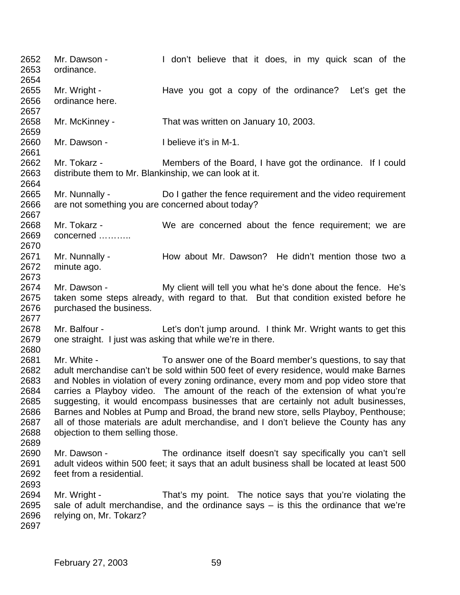Mr. Dawson - I don't believe that it does, in my quick scan of the ordinance. Mr. Wright - Have you got a copy of the ordinance? Let's get the ordinance here. Mr. McKinney - That was written on January 10, 2003. Mr. Dawson - I believe it's in M-1. Mr. Tokarz - Members of the Board, I have got the ordinance. If I could distribute them to Mr. Blankinship, we can look at it. Mr. Nunnally - Do I gather the fence requirement and the video requirement are not something you are concerned about today? Mr. Tokarz - We are concerned about the fence requirement; we are concerned ……….. 2671 Mr. Nunnally - How about Mr. Dawson? He didn't mention those two a minute ago. Mr. Dawson - My client will tell you what he's done about the fence. He's taken some steps already, with regard to that. But that condition existed before he 2676 purchased the business. Mr. Balfour - Let's don't jump around. I think Mr. Wright wants to get this one straight. I just was asking that while we're in there. Mr. White - To answer one of the Board member's questions, to say that adult merchandise can't be sold within 500 feet of every residence, would make Barnes and Nobles in violation of every zoning ordinance, every mom and pop video store that carries a Playboy video. The amount of the reach of the extension of what you're suggesting, it would encompass businesses that are certainly not adult businesses, Barnes and Nobles at Pump and Broad, the brand new store, sells Playboy, Penthouse; all of those materials are adult merchandise, and I don't believe the County has any objection to them selling those. Mr. Dawson - The ordinance itself doesn't say specifically you can't sell adult videos within 500 feet; it says that an adult business shall be located at least 500 feet from a residential. Mr. Wright - That's my point. The notice says that you're violating the sale of adult merchandise, and the ordinance says – is this the ordinance that we're relying on, Mr. Tokarz?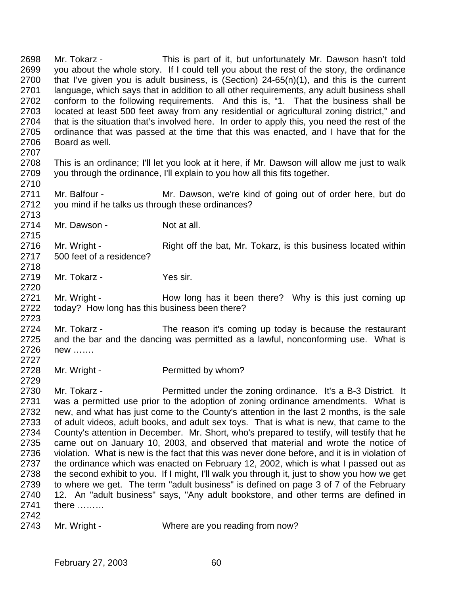Mr. Tokarz - This is part of it, but unfortunately Mr. Dawson hasn't told you about the whole story. If I could tell you about the rest of the story, the ordinance that I've given you is adult business, is (Section) 24-65(n)(1), and this is the current language, which says that in addition to all other requirements, any adult business shall conform to the following requirements. And this is, "1. That the business shall be located at least 500 feet away from any residential or agricultural zoning district," and that is the situation that's involved here. In order to apply this, you need the rest of the ordinance that was passed at the time that this was enacted, and I have that for the Board as well. 

 This is an ordinance; I'll let you look at it here, if Mr. Dawson will allow me just to walk you through the ordinance, I'll explain to you how all this fits together.

 Mr. Balfour - Mr. Dawson, we're kind of going out of order here, but do you mind if he talks us through these ordinances?

2714 Mr. Dawson - Not at all.

2716 Mr. Wright - Right off the bat, Mr. Tokarz, is this business located within 500 feet of a residence? 

2719 Mr. Tokarz - Yes sir.

2721 Mr. Wright - How long has it been there? Why is this just coming up today? How long has this business been there?

 Mr. Tokarz - The reason it's coming up today is because the restaurant and the bar and the dancing was permitted as a lawful, nonconforming use. What is new ……. 

2728 Mr. Wright - Permitted by whom?

 Mr. Tokarz - Permitted under the zoning ordinance. It's a B-3 District. It was a permitted use prior to the adoption of zoning ordinance amendments. What is new, and what has just come to the County's attention in the last 2 months, is the sale of adult videos, adult books, and adult sex toys. That is what is new, that came to the County's attention in December. Mr. Short, who's prepared to testify, will testify that he came out on January 10, 2003, and observed that material and wrote the notice of violation. What is new is the fact that this was never done before, and it is in violation of the ordinance which was enacted on February 12, 2002, which is what I passed out as the second exhibit to you. If I might, I'll walk you through it, just to show you how we get to where we get. The term "adult business" is defined on page 3 of 7 of the February 12. An "adult business" says, "Any adult bookstore, and other terms are defined in there ……… 

2743 Mr. Wright - Where are you reading from now?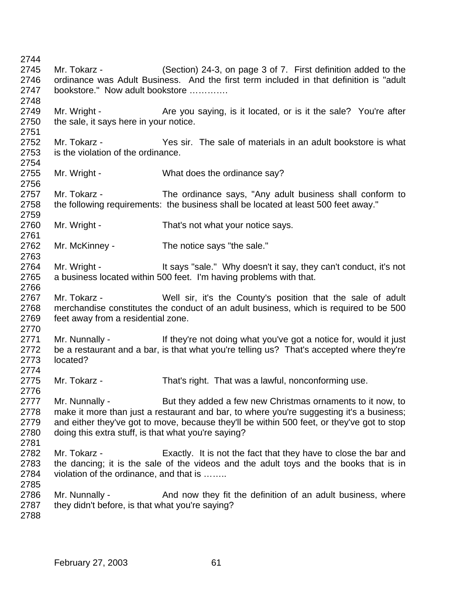Mr. Tokarz - (Section) 24-3, on page 3 of 7. First definition added to the ordinance was Adult Business. And the first term included in that definition is "adult bookstore." Now adult bookstore …………. 2749 Mr. Wright - Are you saying, is it located, or is it the sale? You're after 2750 the sale, it says here in your notice. Mr. Tokarz - Yes sir. The sale of materials in an adult bookstore is what is the violation of the ordinance. 2755 Mr. Wright - What does the ordinance say? Mr. Tokarz - The ordinance says, "Any adult business shall conform to the following requirements: the business shall be located at least 500 feet away." Mr. Wright - That's not what your notice says. Mr. McKinney - The notice says "the sale." 2764 Mr. Wright - It says "sale." Why doesn't it say, they can't conduct, it's not a business located within 500 feet. I'm having problems with that. Mr. Tokarz - Well sir, it's the County's position that the sale of adult merchandise constitutes the conduct of an adult business, which is required to be 500 feet away from a residential zone. 2771 Mr. Nunnally - If they're not doing what you've got a notice for, would it just be a restaurant and a bar, is that what you're telling us? That's accepted where they're located? Mr. Tokarz - That's right. That was a lawful, nonconforming use. 2777 Mr. Nunnally - But they added a few new Christmas ornaments to it now, to<br>2778 make it more than just a restaurant and bar. to where vou're suggesting it's a business: make it more than just a restaurant and bar, to where you're suggesting it's a business; 2779 and either they've got to move, because they'll be within 500 feet, or they've got to stop doing this extra stuff, is that what you're saying? Mr. Tokarz - Exactly. It is not the fact that they have to close the bar and the dancing; it is the sale of the videos and the adult toys and the books that is in violation of the ordinance, and that is …….. 2786 Mr. Nunnally - And now they fit the definition of an adult business, where they didn't before, is that what you're saying?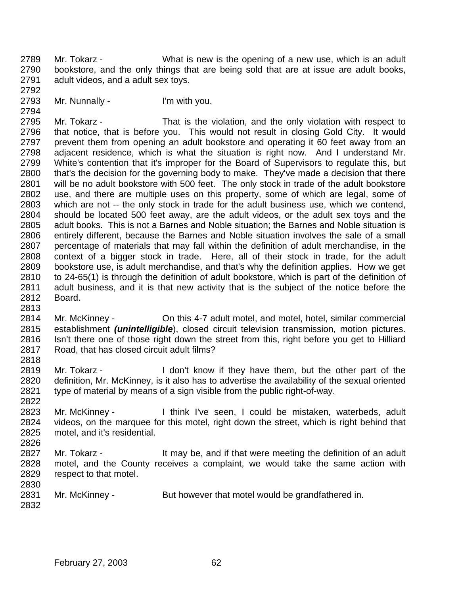Mr. Tokarz - What is new is the opening of a new use, which is an adult bookstore, and the only things that are being sold that are at issue are adult books, adult videos, and a adult sex toys. 

Mr. Nunnally - I'm with you.

 Mr. Tokarz - That is the violation, and the only violation with respect to that notice, that is before you. This would not result in closing Gold City. It would prevent them from opening an adult bookstore and operating it 60 feet away from an adjacent residence, which is what the situation is right now. And I understand Mr. White's contention that it's improper for the Board of Supervisors to regulate this, but that's the decision for the governing body to make. They've made a decision that there will be no adult bookstore with 500 feet. The only stock in trade of the adult bookstore use, and there are multiple uses on this property, some of which are legal, some of which are not -- the only stock in trade for the adult business use, which we contend, should be located 500 feet away, are the adult videos, or the adult sex toys and the adult books. This is not a Barnes and Noble situation; the Barnes and Noble situation is entirely different, because the Barnes and Noble situation involves the sale of a small percentage of materials that may fall within the definition of adult merchandise, in the context of a bigger stock in trade. Here, all of their stock in trade, for the adult bookstore use, is adult merchandise, and that's why the definition applies. How we get to 24-65(1) is through the definition of adult bookstore, which is part of the definition of adult business, and it is that new activity that is the subject of the notice before the Board.

 Mr. McKinney - On this 4-7 adult motel, and motel, hotel, similar commercial establishment *(unintelligible*), closed circuit television transmission, motion pictures. Isn't there one of those right down the street from this, right before you get to Hilliard Road, that has closed circuit adult films? 

- Mr. Tokarz I don't know if they have them, but the other part of the definition, Mr. McKinney, is it also has to advertise the availability of the sexual oriented type of material by means of a sign visible from the public right-of-way.
- Mr. McKinney I think I've seen, I could be mistaken, waterbeds, adult videos, on the marquee for this motel, right down the street, which is right behind that motel, and it's residential.
- 2827 Mr. Tokarz It may be, and if that were meeting the definition of an adult motel, and the County receives a complaint, we would take the same action with respect to that motel.
- 2831 Mr. McKinney - But however that motel would be grandfathered in.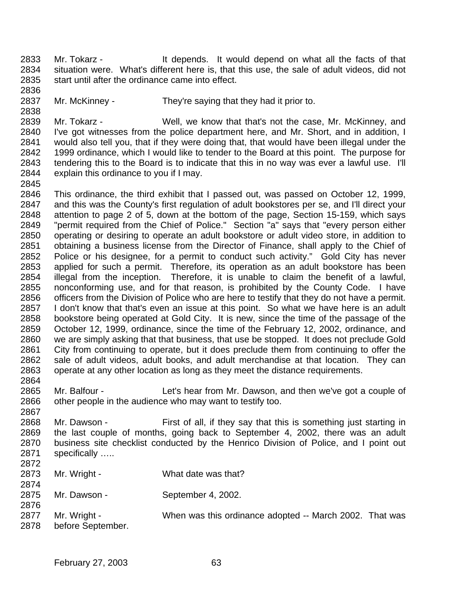Mr. Tokarz - It depends. It would depend on what all the facts of that situation were. What's different here is, that this use, the sale of adult videos, did not start until after the ordinance came into effect. 

Mr. McKinney - They're saying that they had it prior to.

 Mr. Tokarz - Well, we know that that's not the case, Mr. McKinney, and I've got witnesses from the police department here, and Mr. Short, and in addition, I would also tell you, that if they were doing that, that would have been illegal under the 1999 ordinance, which I would like to tender to the Board at this point. The purpose for tendering this to the Board is to indicate that this in no way was ever a lawful use. I'll explain this ordinance to you if I may.

 This ordinance, the third exhibit that I passed out, was passed on October 12, 1999, and this was the County's first regulation of adult bookstores per se, and I'll direct your attention to page 2 of 5, down at the bottom of the page, Section 15-159, which says "permit required from the Chief of Police." Section "a" says that "every person either operating or desiring to operate an adult bookstore or adult video store, in addition to obtaining a business license from the Director of Finance, shall apply to the Chief of Police or his designee, for a permit to conduct such activity." Gold City has never applied for such a permit. Therefore, its operation as an adult bookstore has been illegal from the inception. Therefore, it is unable to claim the benefit of a lawful, nonconforming use, and for that reason, is prohibited by the County Code. I have officers from the Division of Police who are here to testify that they do not have a permit. I don't know that that's even an issue at this point. So what we have here is an adult bookstore being operated at Gold City. It is new, since the time of the passage of the October 12, 1999, ordinance, since the time of the February 12, 2002, ordinance, and we are simply asking that that business, that use be stopped. It does not preclude Gold City from continuing to operate, but it does preclude them from continuing to offer the sale of adult videos, adult books, and adult merchandise at that location. They can operate at any other location as long as they meet the distance requirements. 

 Mr. Balfour - Let's hear from Mr. Dawson, and then we've got a couple of other people in the audience who may want to testify too.

 Mr. Dawson - First of all, if they say that this is something just starting in the last couple of months, going back to September 4, 2002, there was an adult business site checklist conducted by the Henrico Division of Police, and I point out specifically ….. 

- 2873 Mr. Wright What date was that? 2875 Mr. Dawson - September 4, 2002. Mr. Wright - When was this ordinance adopted -- March 2002. That was
- before September.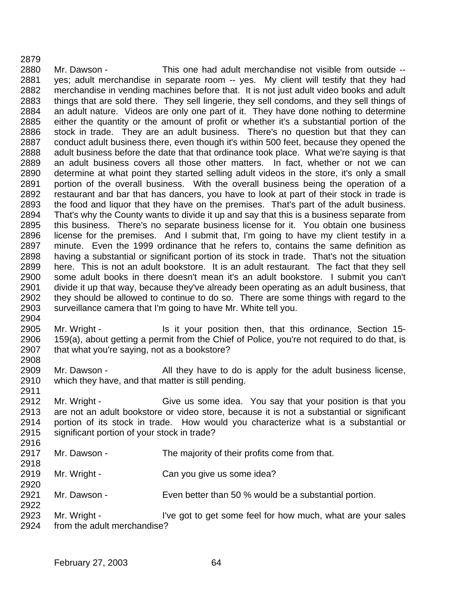Mr. Dawson - This one had adult merchandise not visible from outside -- yes; adult merchandise in separate room -- yes. My client will testify that they had merchandise in vending machines before that. It is not just adult video books and adult things that are sold there. They sell lingerie, they sell condoms, and they sell things of an adult nature. Videos are only one part of it. They have done nothing to determine either the quantity or the amount of profit or whether it's a substantial portion of the stock in trade. They are an adult business. There's no question but that they can conduct adult business there, even though it's within 500 feet, because they opened the adult business before the date that that ordinance took place. What we're saying is that an adult business covers all those other matters. In fact, whether or not we can determine at what point they started selling adult videos in the store, it's only a small portion of the overall business. With the overall business being the operation of a restaurant and bar that has dancers, you have to look at part of their stock in trade is the food and liquor that they have on the premises. That's part of the adult business. That's why the County wants to divide it up and say that this is a business separate from this business. There's no separate business license for it. You obtain one business license for the premises. And I submit that, I'm going to have my client testify in a minute. Even the 1999 ordinance that he refers to, contains the same definition as having a substantial or significant portion of its stock in trade. That's not the situation here. This is not an adult bookstore. It is an adult restaurant. The fact that they sell some adult books in there doesn't mean it's an adult bookstore. I submit you can't divide it up that way, because they've already been operating as an adult business, that 2902 they should be allowed to continue to do so. There are some things with regard to the 2903 surveillance camera that I'm going to have Mr. White tell you. surveillance camera that I'm going to have Mr. White tell you. 

- Mr. Wright Is it your position then, that this ordinance, Section 15- 159(a), about getting a permit from the Chief of Police, you're not required to do that, is that what you're saying, not as a bookstore?
- Mr. Dawson All they have to do is apply for the adult business license, which they have, and that matter is still pending.
- Mr. Wright Give us some idea. You say that your position is that you are not an adult bookstore or video store, because it is not a substantial or significant portion of its stock in trade. How would you characterize what is a substantial or significant portion of your stock in trade?
- 2917 Mr. Dawson The majority of their profits come from that.
- 2919 Mr. Wright Can you give us some idea?
- Mr. Dawson Even better than 50 % would be a substantial portion.
- Mr. Wright I've got to get some feel for how much, what are your sales from the adult merchandise?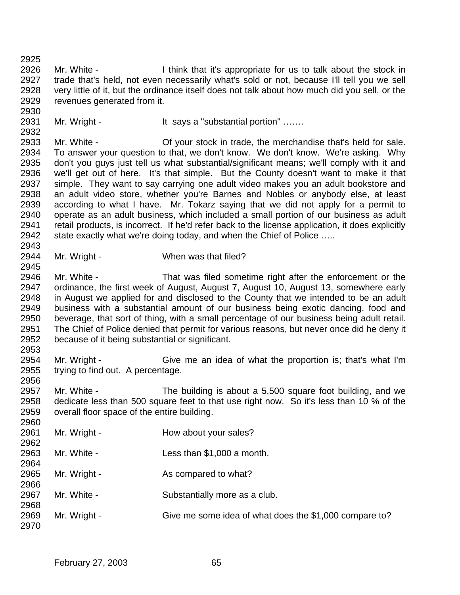Mr. White - I think that it's appropriate for us to talk about the stock in trade that's held, not even necessarily what's sold or not, because I'll tell you we sell very little of it, but the ordinance itself does not talk about how much did you sell, or the revenues generated from it.

2931 Mr. Wright - It says a "substantial portion" ......

 Mr. White - Of your stock in trade, the merchandise that's held for sale. To answer your question to that, we don't know. We don't know. We're asking. Why don't you guys just tell us what substantial/significant means; we'll comply with it and we'll get out of here. It's that simple. But the County doesn't want to make it that simple. They want to say carrying one adult video makes you an adult bookstore and an adult video store, whether you're Barnes and Nobles or anybody else, at least according to what I have. Mr. Tokarz saying that we did not apply for a permit to operate as an adult business, which included a small portion of our business as adult retail products, is incorrect. If he'd refer back to the license application, it does explicitly 2942 state exactly what we're doing today, and when the Chief of Police ..... 

Mr. Wright - When was that filed?

 Mr. White - That was filed sometime right after the enforcement or the ordinance, the first week of August, August 7, August 10, August 13, somewhere early in August we applied for and disclosed to the County that we intended to be an adult business with a substantial amount of our business being exotic dancing, food and beverage, that sort of thing, with a small percentage of our business being adult retail. The Chief of Police denied that permit for various reasons, but never once did he deny it because of it being substantial or significant.

 Mr. Wright - Give me an idea of what the proportion is; that's what I'm trying to find out. A percentage. 

 Mr. White - The building is about a 5,500 square foot building, and we dedicate less than 500 square feet to that use right now. So it's less than 10 % of the overall floor space of the entire building.

| Mr. Wright - | How about your sales?                                  |
|--------------|--------------------------------------------------------|
|              |                                                        |
| Mr. White -  | Less than \$1,000 a month.                             |
|              |                                                        |
| Mr. Wright - | As compared to what?                                   |
|              |                                                        |
| Mr. White -  | Substantially more as a club.                          |
|              |                                                        |
| Mr. Wright - | Give me some idea of what does the \$1,000 compare to? |
|              |                                                        |
|              |                                                        |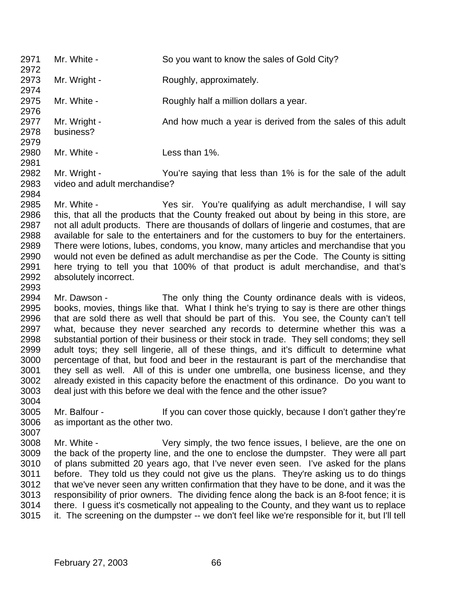| 2971         | Mr. White -                                                                                                                                                                       | So you want to know the sales of Gold City?                                                                                                                                          |  |
|--------------|-----------------------------------------------------------------------------------------------------------------------------------------------------------------------------------|--------------------------------------------------------------------------------------------------------------------------------------------------------------------------------------|--|
| 2972         |                                                                                                                                                                                   |                                                                                                                                                                                      |  |
| 2973<br>2974 | Mr. Wright -                                                                                                                                                                      | Roughly, approximately.                                                                                                                                                              |  |
| 2975         | Mr. White -                                                                                                                                                                       | Roughly half a million dollars a year.                                                                                                                                               |  |
| 2976         |                                                                                                                                                                                   |                                                                                                                                                                                      |  |
| 2977         | Mr. Wright -                                                                                                                                                                      | And how much a year is derived from the sales of this adult                                                                                                                          |  |
| 2978         | business?                                                                                                                                                                         |                                                                                                                                                                                      |  |
| 2979         |                                                                                                                                                                                   |                                                                                                                                                                                      |  |
| 2980         | Mr. White -                                                                                                                                                                       | Less than 1%.                                                                                                                                                                        |  |
| 2981<br>2982 | Mr. Wright -                                                                                                                                                                      | You're saying that less than 1% is for the sale of the adult                                                                                                                         |  |
| 2983         | video and adult merchandise?                                                                                                                                                      |                                                                                                                                                                                      |  |
| 2984         |                                                                                                                                                                                   |                                                                                                                                                                                      |  |
| 2985         | Mr. White -                                                                                                                                                                       | Yes sir. You're qualifying as adult merchandise, I will say                                                                                                                          |  |
| 2986         |                                                                                                                                                                                   | this, that all the products that the County freaked out about by being in this store, are                                                                                            |  |
| 2987         | not all adult products. There are thousands of dollars of lingerie and costumes, that are                                                                                         |                                                                                                                                                                                      |  |
| 2988<br>2989 | available for sale to the entertainers and for the customers to buy for the entertainers.<br>There were lotions, lubes, condoms, you know, many articles and merchandise that you |                                                                                                                                                                                      |  |
| 2990         | would not even be defined as adult merchandise as per the Code. The County is sitting                                                                                             |                                                                                                                                                                                      |  |
| 2991         | here trying to tell you that 100% of that product is adult merchandise, and that's                                                                                                |                                                                                                                                                                                      |  |
| 2992         | absolutely incorrect.                                                                                                                                                             |                                                                                                                                                                                      |  |
| 2993         |                                                                                                                                                                                   |                                                                                                                                                                                      |  |
| 2994         | Mr. Dawson -                                                                                                                                                                      | The only thing the County ordinance deals with is videos,                                                                                                                            |  |
| 2995<br>റററെ |                                                                                                                                                                                   | books, movies, things like that. What I think he's trying to say is there are other things<br>that are sold there as well that should be part of this. You see the County can't tell |  |

 that are sold there as well that should be part of this. You see, the County can't tell what, because they never searched any records to determine whether this was a substantial portion of their business or their stock in trade. They sell condoms; they sell adult toys; they sell lingerie, all of these things, and it's difficult to determine what percentage of that, but food and beer in the restaurant is part of the merchandise that they sell as well. All of this is under one umbrella, one business license, and they already existed in this capacity before the enactment of this ordinance. Do you want to deal just with this before we deal with the fence and the other issue? 

- 3005 Mr. Balfour If you can cover those quickly, because I don't gather they're as important as the other two.
- Mr. White Very simply, the two fence issues, I believe, are the one on the back of the property line, and the one to enclose the dumpster. They were all part of plans submitted 20 years ago, that I've never even seen. I've asked for the plans before. They told us they could not give us the plans. They're asking us to do things that we've never seen any written confirmation that they have to be done, and it was the responsibility of prior owners. The dividing fence along the back is an 8-foot fence; it is there. I guess it's cosmetically not appealing to the County, and they want us to replace it. The screening on the dumpster -- we don't feel like we're responsible for it, but I'll tell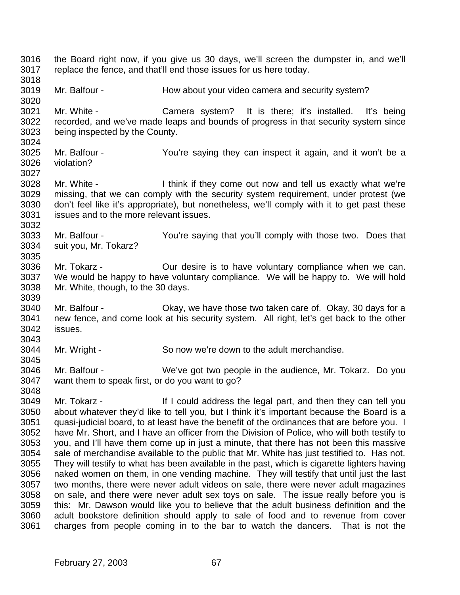the Board right now, if you give us 30 days, we'll screen the dumpster in, and we'll replace the fence, and that'll end those issues for us here today. Mr. Balfour - How about your video camera and security system? Mr. White - Camera system? It is there; it's installed. It's being recorded, and we've made leaps and bounds of progress in that security system since being inspected by the County. Mr. Balfour - You're saying they can inspect it again, and it won't be a violation? Mr. White - I think if they come out now and tell us exactly what we're missing, that we can comply with the security system requirement, under protest (we don't feel like it's appropriate), but nonetheless, we'll comply with it to get past these issues and to the more relevant issues. Mr. Balfour - You're saying that you'll comply with those two. Does that suit you, Mr. Tokarz? Mr. Tokarz - Our desire is to have voluntary compliance when we can. We would be happy to have voluntary compliance. We will be happy to. We will hold Mr. White, though, to the 30 days. Mr. Balfour - Okay, we have those two taken care of. Okay, 30 days for a new fence, and come look at his security system. All right, let's get back to the other issues. Mr. Wright - So now we're down to the adult merchandise. Mr. Balfour - We've got two people in the audience, Mr. Tokarz. Do you want them to speak first, or do you want to go? Mr. Tokarz - If I could address the legal part, and then they can tell you about whatever they'd like to tell you, but I think it's important because the Board is a 3051 guasi-judicial board, to at least have the benefit of the ordinances that are before you. I have Mr. Short, and I have an officer from the Division of Police, who will both testify to you, and I'll have them come up in just a minute, that there has not been this massive sale of merchandise available to the public that Mr. White has just testified to. Has not. They will testify to what has been available in the past, which is cigarette lighters having naked women on them, in one vending machine. They will testify that until just the last two months, there were never adult videos on sale, there were never adult magazines on sale, and there were never adult sex toys on sale. The issue really before you is this: Mr. Dawson would like you to believe that the adult business definition and the adult bookstore definition should apply to sale of food and to revenue from cover charges from people coming in to the bar to watch the dancers. That is not the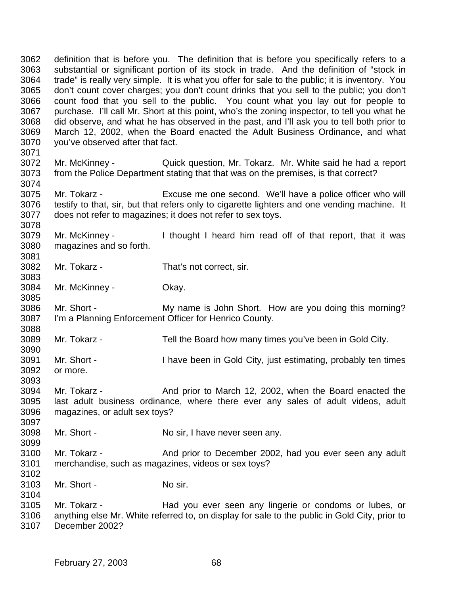definition that is before you. The definition that is before you specifically refers to a substantial or significant portion of its stock in trade. And the definition of "stock in trade" is really very simple. It is what you offer for sale to the public; it is inventory. You don't count cover charges; you don't count drinks that you sell to the public; you don't count food that you sell to the public. You count what you lay out for people to purchase. I'll call Mr. Short at this point, who's the zoning inspector, to tell you what he did observe, and what he has observed in the past, and I'll ask you to tell both prior to March 12, 2002, when the Board enacted the Adult Business Ordinance, and what you've observed after that fact. Mr. McKinney - Quick question, Mr. Tokarz. Mr. White said he had a report from the Police Department stating that that was on the premises, is that correct? Mr. Tokarz - Excuse me one second. We'll have a police officer who will testify to that, sir, but that refers only to cigarette lighters and one vending machine. It does not refer to magazines; it does not refer to sex toys. Mr. McKinney - I thought I heard him read off of that report, that it was magazines and so forth. Mr. Tokarz - That's not correct, sir. Mr. McKinney - Okay. Mr. Short - My name is John Short. How are you doing this morning? I'm a Planning Enforcement Officer for Henrico County. Mr. Tokarz - Tell the Board how many times you've been in Gold City. Mr. Short - I have been in Gold City, just estimating, probably ten times or more. Mr. Tokarz - And prior to March 12, 2002, when the Board enacted the last adult business ordinance, where there ever any sales of adult videos, adult magazines, or adult sex toys? Mr. Short - No sir, I have never seen any. Mr. Tokarz - And prior to December 2002, had you ever seen any adult merchandise, such as magazines, videos or sex toys? 3103 Mr. Short - No sir. Mr. Tokarz - Had you ever seen any lingerie or condoms or lubes, or anything else Mr. White referred to, on display for sale to the public in Gold City, prior to December 2002?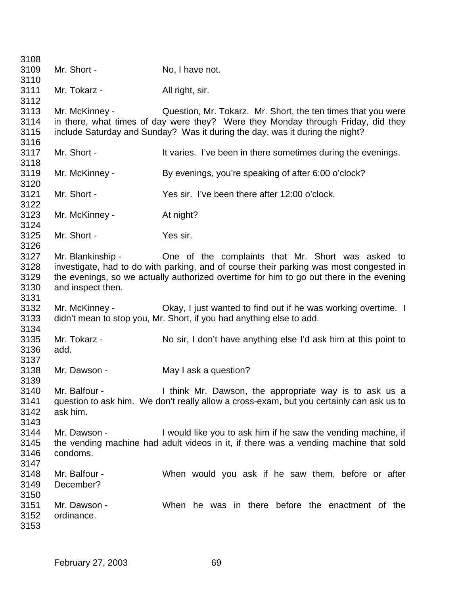| 3108 |                   |                                                                                          |
|------|-------------------|------------------------------------------------------------------------------------------|
| 3109 | Mr. Short -       | No, I have not.                                                                          |
| 3110 |                   |                                                                                          |
| 3111 | Mr. Tokarz -      | All right, sir.                                                                          |
| 3112 |                   |                                                                                          |
| 3113 | Mr. McKinney -    | Question, Mr. Tokarz. Mr. Short, the ten times that you were                             |
| 3114 |                   | in there, what times of day were they? Were they Monday through Friday, did they         |
| 3115 |                   | include Saturday and Sunday? Was it during the day, was it during the night?             |
| 3116 |                   |                                                                                          |
| 3117 | Mr. Short -       | It varies. I've been in there sometimes during the evenings.                             |
| 3118 |                   |                                                                                          |
| 3119 | Mr. McKinney -    | By evenings, you're speaking of after 6:00 o'clock?                                      |
| 3120 |                   |                                                                                          |
| 3121 | Mr. Short -       | Yes sir. I've been there after 12:00 o'clock.                                            |
| 3122 |                   |                                                                                          |
| 3123 | Mr. McKinney -    | At night?                                                                                |
| 3124 |                   |                                                                                          |
| 3125 | Mr. Short -       | Yes sir.                                                                                 |
| 3126 |                   |                                                                                          |
| 3127 | Mr. Blankinship - | One of the complaints that Mr. Short was asked to                                        |
| 3128 |                   | investigate, had to do with parking, and of course their parking was most congested in   |
| 3129 |                   | the evenings, so we actually authorized overtime for him to go out there in the evening  |
| 3130 | and inspect then. |                                                                                          |
| 3131 |                   |                                                                                          |
| 3132 | Mr. McKinney -    | Okay, I just wanted to find out if he was working overtime. I                            |
| 3133 |                   | didn't mean to stop you, Mr. Short, if you had anything else to add.                     |
| 3134 |                   |                                                                                          |
| 3135 | Mr. Tokarz -      | No sir, I don't have anything else I'd ask him at this point to                          |
| 3136 | add.              |                                                                                          |
| 3137 |                   |                                                                                          |
| 3138 | Mr. Dawson -      | May I ask a question?                                                                    |
| 3139 |                   |                                                                                          |
| 3140 | Mr. Balfour -     | I think Mr. Dawson, the appropriate way is to ask us a                                   |
| 3141 |                   | question to ask him. We don't really allow a cross-exam, but you certainly can ask us to |
| 3142 | ask him.          |                                                                                          |
| 3143 |                   |                                                                                          |
| 3144 | Mr. Dawson -      | I would like you to ask him if he saw the vending machine, if                            |
| 3145 |                   | the vending machine had adult videos in it, if there was a vending machine that sold     |
| 3146 | condoms.          |                                                                                          |
| 3147 |                   |                                                                                          |
| 3148 | Mr. Balfour -     | When would you ask if he saw them, before or after                                       |
| 3149 | December?         |                                                                                          |
| 3150 |                   |                                                                                          |
| 3151 | Mr. Dawson -      | When he was in there before the enactment of the                                         |
| 3152 | ordinance.        |                                                                                          |
| 3153 |                   |                                                                                          |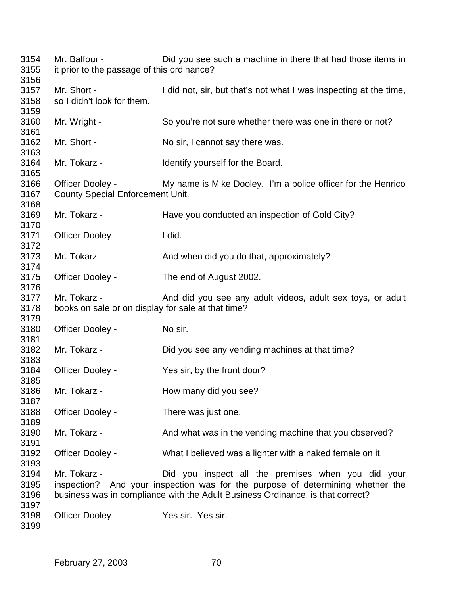Mr. Balfour - Did you see such a machine in there that had those items in it prior to the passage of this ordinance? Mr. Short - I did not, sir, but that's not what I was inspecting at the time, so I didn't look for them. Mr. Wright - So you're not sure whether there was one in there or not? Mr. Short - No sir, I cannot say there was. Mr. Tokarz - Identify yourself for the Board. Officer Dooley - My name is Mike Dooley. I'm a police officer for the Henrico County Special Enforcement Unit. Mr. Tokarz - Have you conducted an inspection of Gold City? Officer Dooley - I did. Mr. Tokarz - And when did you do that, approximately? Officer Dooley - The end of August 2002. Mr. Tokarz - And did you see any adult videos, adult sex toys, or adult books on sale or on display for sale at that time? 3180 Officer Dooley - No sir. Mr. Tokarz - Did you see any vending machines at that time? Officer Dooley - Yes sir, by the front door? Mr. Tokarz - How many did you see? Officer Dooley - There was just one. 3190 Mr. Tokarz - And what was in the vending machine that you observed? Officer Dooley - What I believed was a lighter with a naked female on it. Mr. Tokarz - Did you inspect all the premises when you did your inspection? And your inspection was for the purpose of determining whether the business was in compliance with the Adult Business Ordinance, is that correct? Officer Dooley - Yes sir. Yes sir.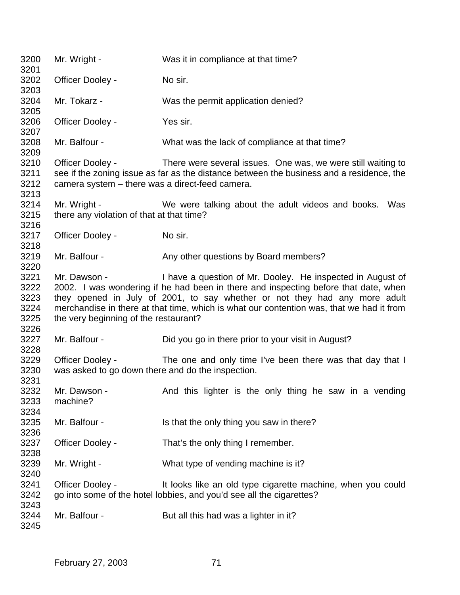| 3200                                         | Mr. Wright -                                                                                                                                                                                                                                                                                                                                                                         | Was it in compliance at that time?                                                                                                                       |  |
|----------------------------------------------|--------------------------------------------------------------------------------------------------------------------------------------------------------------------------------------------------------------------------------------------------------------------------------------------------------------------------------------------------------------------------------------|----------------------------------------------------------------------------------------------------------------------------------------------------------|--|
| 3201<br>3202                                 | Officer Dooley -                                                                                                                                                                                                                                                                                                                                                                     | No sir.                                                                                                                                                  |  |
| 3203                                         |                                                                                                                                                                                                                                                                                                                                                                                      |                                                                                                                                                          |  |
| 3204                                         | Mr. Tokarz -                                                                                                                                                                                                                                                                                                                                                                         | Was the permit application denied?                                                                                                                       |  |
| 3205<br>3206<br>3207                         | Officer Dooley -                                                                                                                                                                                                                                                                                                                                                                     | Yes sir.                                                                                                                                                 |  |
| 3208<br>3209                                 | Mr. Balfour -                                                                                                                                                                                                                                                                                                                                                                        | What was the lack of compliance at that time?                                                                                                            |  |
| 3210<br>3211<br>3212<br>3213                 | Officer Dooley -<br>camera system - there was a direct-feed camera.                                                                                                                                                                                                                                                                                                                  | There were several issues. One was, we were still waiting to<br>see if the zoning issue as far as the distance between the business and a residence, the |  |
| 3214<br>3215                                 | Mr. Wright -<br>there any violation of that at that time?                                                                                                                                                                                                                                                                                                                            | We were talking about the adult videos and books. Was                                                                                                    |  |
| 3216<br>3217<br>3218                         | Officer Dooley -                                                                                                                                                                                                                                                                                                                                                                     | No sir.                                                                                                                                                  |  |
| 3219<br>3220                                 | Mr. Balfour -                                                                                                                                                                                                                                                                                                                                                                        | Any other questions by Board members?                                                                                                                    |  |
| 3221<br>3222<br>3223<br>3224<br>3225<br>3226 | I have a question of Mr. Dooley. He inspected in August of<br>Mr. Dawson -<br>2002. I was wondering if he had been in there and inspecting before that date, when<br>they opened in July of 2001, to say whether or not they had any more adult<br>merchandise in there at that time, which is what our contention was, that we had it from<br>the very beginning of the restaurant? |                                                                                                                                                          |  |
| 3227<br>3228                                 | Mr. Balfour -                                                                                                                                                                                                                                                                                                                                                                        | Did you go in there prior to your visit in August?                                                                                                       |  |
| 3229<br>3230<br>3231                         | Officer Dooley -<br>was asked to go down there and do the inspection.                                                                                                                                                                                                                                                                                                                | The one and only time I've been there was that day that I                                                                                                |  |
| 3232<br>3233<br>3234                         | Mr. Dawson -<br>machine?                                                                                                                                                                                                                                                                                                                                                             | And this lighter is the only thing he saw in a vending                                                                                                   |  |
| 3235<br>3236                                 | Mr. Balfour -                                                                                                                                                                                                                                                                                                                                                                        | Is that the only thing you saw in there?                                                                                                                 |  |
| 3237<br>3238                                 | Officer Dooley -                                                                                                                                                                                                                                                                                                                                                                     | That's the only thing I remember.                                                                                                                        |  |
| 3239<br>3240                                 | Mr. Wright -                                                                                                                                                                                                                                                                                                                                                                         | What type of vending machine is it?                                                                                                                      |  |
| 3241<br>3242<br>3243                         | Officer Dooley -                                                                                                                                                                                                                                                                                                                                                                     | It looks like an old type cigarette machine, when you could<br>go into some of the hotel lobbies, and you'd see all the cigarettes?                      |  |
| 3244<br>3245                                 | Mr. Balfour -                                                                                                                                                                                                                                                                                                                                                                        | But all this had was a lighter in it?                                                                                                                    |  |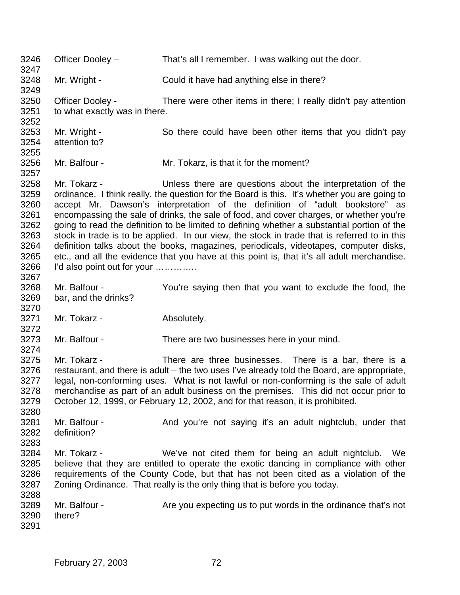Officer Dooley – That's all I remember. I was walking out the door. Mr. Wright - Could it have had anything else in there? Officer Dooley - There were other items in there; I really didn't pay attention to what exactly was in there. Mr. Wright - So there could have been other items that you didn't pay attention to? Mr. Balfour - Mr. Tokarz, is that it for the moment? Mr. Tokarz - Unless there are questions about the interpretation of the ordinance. I think really, the question for the Board is this. It's whether you are going to accept Mr. Dawson's interpretation of the definition of "adult bookstore" as encompassing the sale of drinks, the sale of food, and cover charges, or whether you're going to read the definition to be limited to defining whether a substantial portion of the stock in trade is to be applied. In our view, the stock in trade that is referred to in this definition talks about the books, magazines, periodicals, videotapes, computer disks, etc., and all the evidence that you have at this point is, that it's all adult merchandise. I'd also point out for your ………….. Mr. Balfour - You're saying then that you want to exclude the food, the bar, and the drinks? Mr. Tokarz - Absolutely. Mr. Balfour - There are two businesses here in your mind. Mr. Tokarz - There are three businesses. There is a bar, there is a restaurant, and there is adult – the two uses I've already told the Board, are appropriate, legal, non-conforming uses. What is not lawful or non-conforming is the sale of adult merchandise as part of an adult business on the premises. This did not occur prior to October 12, 1999, or February 12, 2002, and for that reason, it is prohibited. 3281 Mr. Balfour - And you're not saying it's an adult nightclub, under that definition? Mr. Tokarz - We've not cited them for being an adult nightclub. We believe that they are entitled to operate the exotic dancing in compliance with other requirements of the County Code, but that has not been cited as a violation of the Zoning Ordinance. That really is the only thing that is before you today. 3289 Mr. Balfour - Are you expecting us to put words in the ordinance that's not there?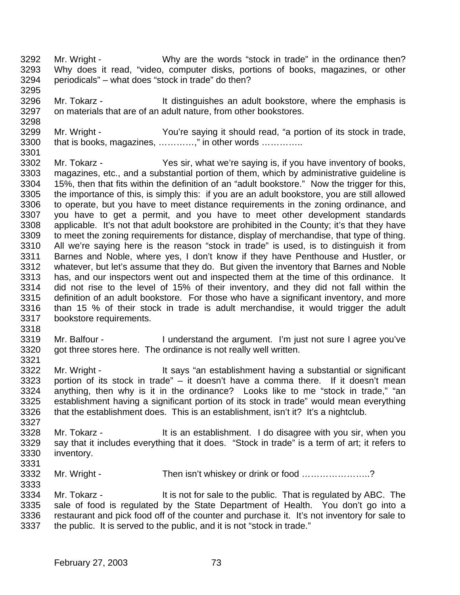- Mr. Wright Why are the words "stock in trade" in the ordinance then? Why does it read, "video, computer disks, portions of books, magazines, or other periodicals" – what does "stock in trade" do then?
- Mr. Tokarz It distinguishes an adult bookstore, where the emphasis is on materials that are of an adult nature, from other bookstores.
- Mr. Wright You're saying it should read, "a portion of its stock in trade, 3300 that is books, magazines, …………," in other words ………….
- Mr. Tokarz Yes sir, what we're saying is, if you have inventory of books, magazines, etc., and a substantial portion of them, which by administrative guideline is 15%, then that fits within the definition of an "adult bookstore." Now the trigger for this, the importance of this, is simply this: if you are an adult bookstore, you are still allowed to operate, but you have to meet distance requirements in the zoning ordinance, and you have to get a permit, and you have to meet other development standards applicable. It's not that adult bookstore are prohibited in the County; it's that they have to meet the zoning requirements for distance, display of merchandise, that type of thing. All we're saying here is the reason "stock in trade" is used, is to distinguish it from Barnes and Noble, where yes, I don't know if they have Penthouse and Hustler, or whatever, but let's assume that they do. But given the inventory that Barnes and Noble has, and our inspectors went out and inspected them at the time of this ordinance. It did not rise to the level of 15% of their inventory, and they did not fall within the definition of an adult bookstore. For those who have a significant inventory, and more than 15 % of their stock in trade is adult merchandise, it would trigger the adult bookstore requirements.
- 

- 3319 Mr. Balfour I understand the argument. I'm just not sure I agree you've got three stores here. The ordinance is not really well written.
- Mr. Wright It says "an establishment having a substantial or significant portion of its stock in trade" – it doesn't have a comma there. If it doesn't mean anything, then why is it in the ordinance? Looks like to me "stock in trade," "an establishment having a significant portion of its stock in trade" would mean everything that the establishment does. This is an establishment, isn't it? It's a nightclub.
- Mr. Tokarz It is an establishment. I do disagree with you sir, when you say that it includes everything that it does. "Stock in trade" is a term of art; it refers to inventory.
- Mr. Wright Then isn't whiskey or drink or food …………………..?
- Mr. Tokarz It is not for sale to the public. That is regulated by ABC. The sale of food is regulated by the State Department of Health. You don't go into a restaurant and pick food off of the counter and purchase it. It's not inventory for sale to the public. It is served to the public, and it is not "stock in trade."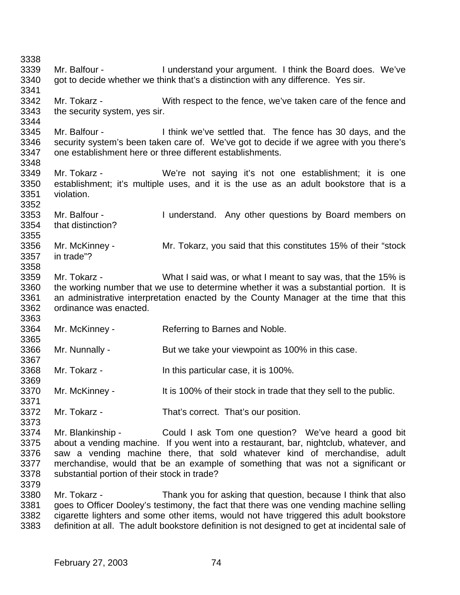Mr. Balfour - I understand your argument. I think the Board does. We've got to decide whether we think that's a distinction with any difference. Yes sir. Mr. Tokarz - With respect to the fence, we've taken care of the fence and the security system, yes sir. Mr. Balfour - I think we've settled that. The fence has 30 days, and the security system's been taken care of. We've got to decide if we agree with you there's one establishment here or three different establishments. Mr. Tokarz - We're not saying it's not one establishment; it is one establishment; it's multiple uses, and it is the use as an adult bookstore that is a violation. Mr. Balfour - I understand. Any other questions by Board members on that distinction? Mr. McKinney - Mr. Tokarz, you said that this constitutes 15% of their "stock in trade"? Mr. Tokarz - What I said was, or what I meant to say was, that the 15% is the working number that we use to determine whether it was a substantial portion. It is an administrative interpretation enacted by the County Manager at the time that this ordinance was enacted. Mr. McKinney - Referring to Barnes and Noble. 3366 Mr. Nunnally - But we take your viewpoint as 100% in this case. Mr. Tokarz - In this particular case, it is 100%. Mr. McKinney - It is 100% of their stock in trade that they sell to the public. Mr. Tokarz - That's correct. That's our position. Mr. Blankinship - Could I ask Tom one question? We've heard a good bit about a vending machine. If you went into a restaurant, bar, nightclub, whatever, and saw a vending machine there, that sold whatever kind of merchandise, adult merchandise, would that be an example of something that was not a significant or substantial portion of their stock in trade? Mr. Tokarz - Thank you for asking that question, because I think that also goes to Officer Dooley's testimony, the fact that there was one vending machine selling cigarette lighters and some other items, would not have triggered this adult bookstore definition at all. The adult bookstore definition is not designed to get at incidental sale of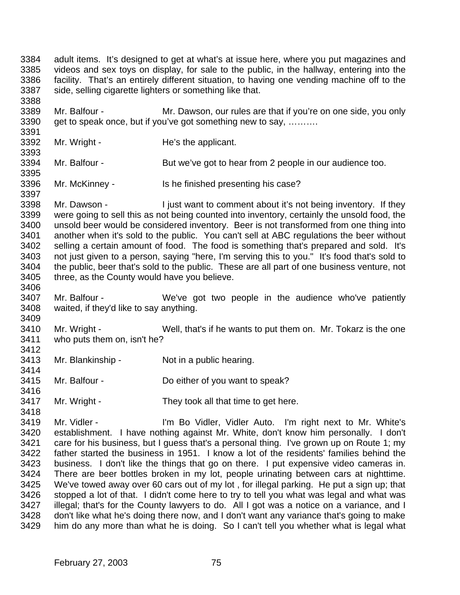adult items. It's designed to get at what's at issue here, where you put magazines and videos and sex toys on display, for sale to the public, in the hallway, entering into the facility. That's an entirely different situation, to having one vending machine off to the side, selling cigarette lighters or something like that. 

 Mr. Balfour - Mr. Dawson, our rules are that if you're on one side, you only 3390 get to speak once, but if you've got something new to say, ……….

3392 Mr. Wright - He's the applicant.

- 3394 Mr. Balfour But we've got to hear from 2 people in our audience too.
- Mr. McKinney Is he finished presenting his case?

3398 Mr. Dawson - I just want to comment about it's not being inventory. If they were going to sell this as not being counted into inventory, certainly the unsold food, the unsold beer would be considered inventory. Beer is not transformed from one thing into another when it's sold to the public. You can't sell at ABC regulations the beer without selling a certain amount of food. The food is something that's prepared and sold. It's not just given to a person, saying "here, I'm serving this to you." It's food that's sold to the public, beer that's sold to the public. These are all part of one business venture, not three, as the County would have you believe.

 Mr. Balfour - We've got two people in the audience who've patiently waited, if they'd like to say anything.

 Mr. Wright - Well, that's if he wants to put them on. Mr. Tokarz is the one who puts them on, isn't he?

- 3412<br>3413 Mr. Blankinship - Not in a public hearing.
- Mr. Balfour Do either of you want to speak?
- Mr. Wright They took all that time to get here.

 Mr. Vidler - I'm Bo Vidler, Vidler Auto. I'm right next to Mr. White's establishment. I have nothing against Mr. White, don't know him personally. I don't care for his business, but I guess that's a personal thing. I've grown up on Route 1; my father started the business in 1951. I know a lot of the residents' families behind the business. I don't like the things that go on there. I put expensive video cameras in. There are beer bottles broken in my lot, people urinating between cars at nighttime. We've towed away over 60 cars out of my lot , for illegal parking. He put a sign up; that stopped a lot of that. I didn't come here to try to tell you what was legal and what was 3427 illegal; that's for the County lawyers to do. All I got was a notice on a variance, and I don't like what he's doing there now, and I don't want any variance that's going to make him do any more than what he is doing. So I can't tell you whether what is legal what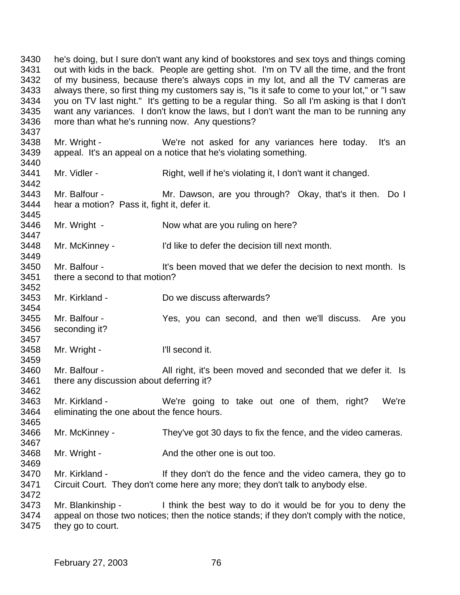he's doing, but I sure don't want any kind of bookstores and sex toys and things coming out with kids in the back. People are getting shot. I'm on TV all the time, and the front of my business, because there's always cops in my lot, and all the TV cameras are always there, so first thing my customers say is, "Is it safe to come to your lot," or "I saw you on TV last night." It's getting to be a regular thing. So all I'm asking is that I don't want any variances. I don't know the laws, but I don't want the man to be running any more than what he's running now. Any questions? Mr. Wright - We're not asked for any variances here today. It's an appeal. It's an appeal on a notice that he's violating something. Mr. Vidler - Right, well if he's violating it, I don't want it changed. Mr. Balfour - Mr. Dawson, are you through? Okay, that's it then. Do I hear a motion? Pass it, fight it, defer it. 3446 Mr. Wright - Now what are you ruling on here? Mr. McKinney - I'd like to defer the decision till next month. Mr. Balfour - It's been moved that we defer the decision to next month. Is there a second to that motion? Mr. Kirkland - Do we discuss afterwards? Mr. Balfour - Yes, you can second, and then we'll discuss. Are you seconding it? Mr. Wright - I'll second it. Mr. Balfour - All right, it's been moved and seconded that we defer it. Is there any discussion about deferring it? Mr. Kirkland - We're going to take out one of them, right? We're eliminating the one about the fence hours. Mr. McKinney - They've got 30 days to fix the fence, and the video cameras. 3468 Mr. Wright - And the other one is out too. 3470 Mr. Kirkland - If they don't do the fence and the video camera, they go to Circuit Court. They don't come here any more; they don't talk to anybody else. Mr. Blankinship - I think the best way to do it would be for you to deny the appeal on those two notices; then the notice stands; if they don't comply with the notice, they go to court.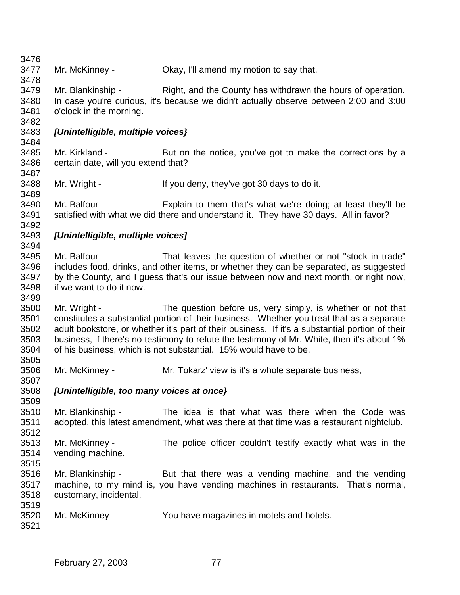Mr. McKinney - Okay, I'll amend my motion to say that. Mr. Blankinship - Right, and the County has withdrawn the hours of operation. In case you're curious, it's because we didn't actually observe between 2:00 and 3:00 o'clock in the morning. *[Unintelligible, multiple voices}* Mr. Kirkland - But on the notice, you've got to make the corrections by a certain date, will you extend that? Mr. Wright - If you deny, they've got 30 days to do it. Mr. Balfour - Explain to them that's what we're doing; at least they'll be satisfied with what we did there and understand it. They have 30 days. All in favor? *[Unintelligible, multiple voices]* Mr. Balfour - That leaves the question of whether or not "stock in trade" includes food, drinks, and other items, or whether they can be separated, as suggested by the County, and I guess that's our issue between now and next month, or right now, if we want to do it now. Mr. Wright - The question before us, very simply, is whether or not that constitutes a substantial portion of their business. Whether you treat that as a separate adult bookstore, or whether it's part of their business. If it's a substantial portion of their business, if there's no testimony to refute the testimony of Mr. White, then it's about 1% of his business, which is not substantial. 15% would have to be. Mr. McKinney - Mr. Tokarz' view is it's a whole separate business, *[Unintelligible, too many voices at once}* Mr. Blankinship - The idea is that what was there when the Code was adopted, this latest amendment, what was there at that time was a restaurant nightclub. Mr. McKinney - The police officer couldn't testify exactly what was in the vending machine. 3516 Mr. Blankinship - But that there was a vending machine, and the vending<br>3517 machine, to my mind is, you have vending machines in restaurants. That's normal. machine, to my mind is, you have vending machines in restaurants. That's normal, customary, incidental. Mr. McKinney - You have magazines in motels and hotels.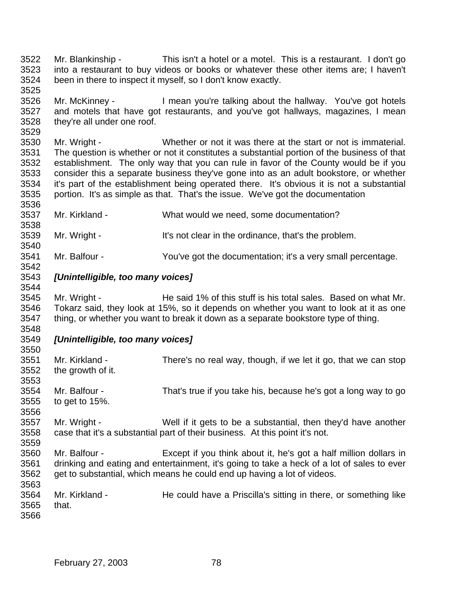- Mr. Blankinship This isn't a hotel or a motel. This is a restaurant. I don't go into a restaurant to buy videos or books or whatever these other items are; I haven't been in there to inspect it myself, so I don't know exactly.
- Mr. McKinney I mean you're talking about the hallway. You've got hotels and motels that have got restaurants, and you've got hallways, magazines, I mean they're all under one roof.
- Mr. Wright - Whether or not it was there at the start or not is immaterial. The question is whether or not it constitutes a substantial portion of the business of that establishment. The only way that you can rule in favor of the County would be if you consider this a separate business they've gone into as an adult bookstore, or whether it's part of the establishment being operated there. It's obvious it is not a substantial portion. It's as simple as that. That's the issue. We've got the documentation
- Mr. Kirkland What would we need, some documentation?
- Mr. Wright It's not clear in the ordinance, that's the problem.
- Mr. Balfour You've got the documentation; it's a very small percentage.
- *[Unintelligible, too many voices]*

- Mr. Wright He said 1% of this stuff is his total sales. Based on what Mr. Tokarz said, they look at 15%, so it depends on whether you want to look at it as one thing, or whether you want to break it down as a separate bookstore type of thing.
- *[Unintelligible, too many voices]*

| ວວວບ |                                                                                            |                                                                  |
|------|--------------------------------------------------------------------------------------------|------------------------------------------------------------------|
| 3551 | Mr. Kirkland -                                                                             | There's no real way, though, if we let it go, that we can stop   |
| 3552 | the growth of it.                                                                          |                                                                  |
| 3553 |                                                                                            |                                                                  |
| 3554 | Mr. Balfour -                                                                              | That's true if you take his, because he's got a long way to go   |
| 3555 | to get to $15\%$ .                                                                         |                                                                  |
| 3556 |                                                                                            |                                                                  |
| 3557 | Mr. Wright -                                                                               | Well if it gets to be a substantial, then they'd have another    |
| 3558 | case that it's a substantial part of their business. At this point it's not.               |                                                                  |
| 3559 |                                                                                            |                                                                  |
| 3560 | Mr. Balfour -                                                                              | Except if you think about it, he's got a half million dollars in |
| 3561 | drinking and eating and entertainment, it's going to take a heck of a lot of sales to ever |                                                                  |
| 3562 | get to substantial, which means he could end up having a lot of videos.                    |                                                                  |
| 3563 |                                                                                            |                                                                  |
| 3564 | Mr. Kirkland -                                                                             | He could have a Priscilla's sitting in there, or something like  |
| 3565 | that.                                                                                      |                                                                  |
| 3566 |                                                                                            |                                                                  |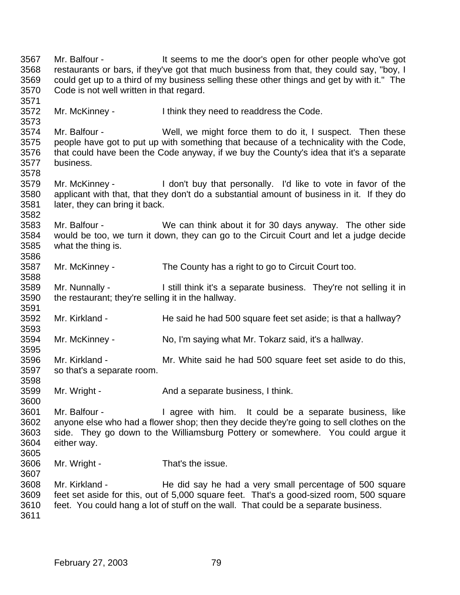Mr. Balfour - It seems to me the door's open for other people who've got restaurants or bars, if they've got that much business from that, they could say, "boy, I could get up to a third of my business selling these other things and get by with it." The Code is not well written in that regard. Mr. McKinney - I think they need to readdress the Code. Mr. Balfour - Well, we might force them to do it, I suspect. Then these people have got to put up with something that because of a technicality with the Code, 3576 that could have been the Code anyway, if we buy the County's idea that it's a separate 3577 business. business. Mr. McKinney - I don't buy that personally. I'd like to vote in favor of the applicant with that, that they don't do a substantial amount of business in it. If they do later, they can bring it back. Mr. Balfour - We can think about it for 30 days anyway. The other side would be too, we turn it down, they can go to the Circuit Court and let a judge decide what the thing is. Mr. McKinney - The County has a right to go to Circuit Court too. Mr. Nunnally - I still think it's a separate business. They're not selling it in the restaurant; they're selling it in the hallway. Mr. Kirkland - He said he had 500 square feet set aside; is that a hallway? Mr. McKinney - No, I'm saying what Mr. Tokarz said, it's a hallway. Mr. Kirkland - Mr. White said he had 500 square feet set aside to do this, so that's a separate room. 3599 Mr. Wright - And a separate business, I think. Mr. Balfour - I agree with him. It could be a separate business, like anyone else who had a flower shop; then they decide they're going to sell clothes on the side. They go down to the Williamsburg Pottery or somewhere. You could argue it either way. Mr. Wright - That's the issue. Mr. Kirkland - He did say he had a very small percentage of 500 square feet set aside for this, out of 5,000 square feet. That's a good-sized room, 500 square feet. You could hang a lot of stuff on the wall. That could be a separate business.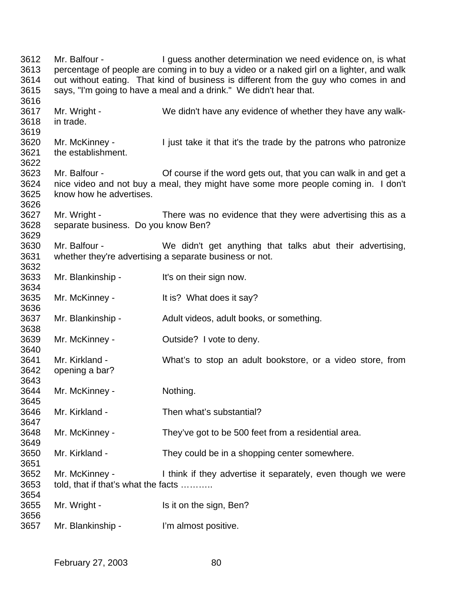Mr. Balfour - I guess another determination we need evidence on, is what percentage of people are coming in to buy a video or a naked girl on a lighter, and walk out without eating. That kind of business is different from the guy who comes in and says, "I'm going to have a meal and a drink." We didn't hear that. Mr. Wright - We didn't have any evidence of whether they have any walk- in trade. Mr. McKinney - I just take it that it's the trade by the patrons who patronize the establishment. Mr. Balfour - Of course if the word gets out, that you can walk in and get a nice video and not buy a meal, they might have some more people coming in. I don't know how he advertises. Mr. Wright - There was no evidence that they were advertising this as a separate business. Do you know Ben? Mr. Balfour - We didn't get anything that talks abut their advertising, whether they're advertising a separate business or not. Mr. Blankinship - It's on their sign now. Mr. McKinney - It is? What does it say? Mr. Blankinship - Adult videos, adult books, or something. Mr. McKinney - Outside? I vote to deny. Mr. Kirkland - What's to stop an adult bookstore, or a video store, from opening a bar? Mr. McKinney - Nothing. Mr. Kirkland - Then what's substantial? Mr. McKinney - They've got to be 500 feet from a residential area. Mr. Kirkland - They could be in a shopping center somewhere. Mr. McKinney - I think if they advertise it separately, even though we were told, that if that's what the facts ……….. Mr. Wright - Is it on the sign, Ben? Mr. Blankinship - I'm almost positive.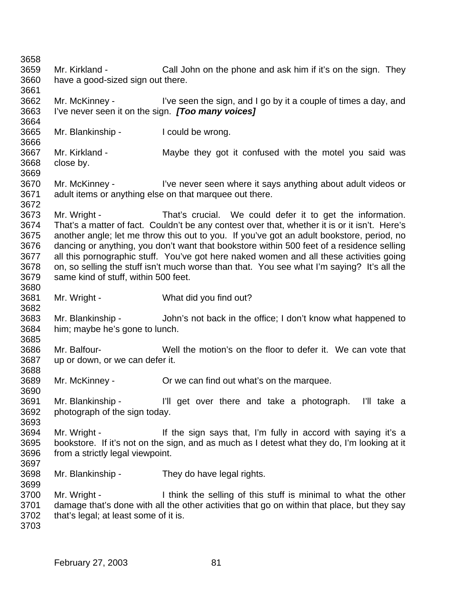Mr. Kirkland - Call John on the phone and ask him if it's on the sign. They have a good-sized sign out there. Mr. McKinney - I've seen the sign, and I go by it a couple of times a day, and I've never seen it on the sign. *[Too many voices]* Mr. Blankinship - I could be wrong. Mr. Kirkland - Maybe they got it confused with the motel you said was close by. Mr. McKinney - I've never seen where it says anything about adult videos or adult items or anything else on that marquee out there. Mr. Wright - That's crucial. We could defer it to get the information. That's a matter of fact. Couldn't be any contest over that, whether it is or it isn't. Here's another angle; let me throw this out to you. If you've got an adult bookstore, period, no dancing or anything, you don't want that bookstore within 500 feet of a residence selling all this pornographic stuff. You've got here naked women and all these activities going on, so selling the stuff isn't much worse than that. You see what I'm saying? It's all the same kind of stuff, within 500 feet. Mr. Wright - What did you find out? Mr. Blankinship - John's not back in the office; I don't know what happened to him; maybe he's gone to lunch. Mr. Balfour- Well the motion's on the floor to defer it. We can vote that up or down, or we can defer it. Mr. McKinney - Or we can find out what's on the marquee. Mr. Blankinship - I'll get over there and take a photograph. I'll take a photograph of the sign today. 3694 Mr. Wright - If the sign says that, I'm fully in accord with saying it's a bookstore. If it's not on the sign, and as much as I detest what they do, I'm looking at it from a strictly legal viewpoint. Mr. Blankinship - They do have legal rights. 3700 Mr. Wright - I think the selling of this stuff is minimal to what the other damage that's done with all the other activities that go on within that place, but they say that's legal; at least some of it is.